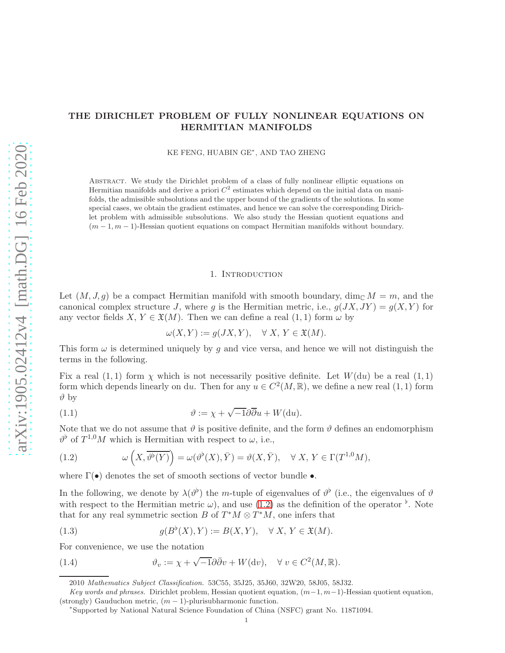# THE DIRICHLET PROBLEM OF FULLY NONLINEAR EQUATIONS ON HERMITIAN MANIFOLDS

KE FENG, HUABIN GE<sup>∗</sup> , AND TAO ZHENG

Abstract. We study the Dirichlet problem of a class of fully nonlinear elliptic equations on Hermitian manifolds and derive a priori  $C^2$  estimates which depend on the initial data on manifolds, the admissible subsolutions and the upper bound of the gradients of the solutions. In some special cases, we obtain the gradient estimates, and hence we can solve the corresponding Dirichlet problem with admissible subsolutions. We also study the Hessian quotient equations and  $(m-1, m-1)$ -Hessian quotient equations on compact Hermitian manifolds without boundary.

#### 1. INTRODUCTION

<span id="page-0-3"></span>Let  $(M, J, q)$  be a compact Hermitian manifold with smooth boundary, dim<sub>C</sub>  $M = m$ , and the canonical complex structure J, where g is the Hermitian metric, i.e.,  $g(JX, JY) = g(X, Y)$  for any vector fields  $X, Y \in \mathfrak{X}(M)$ . Then we can define a real  $(1, 1)$  form  $\omega$  by

<span id="page-0-1"></span>
$$
\omega(X,Y):=g(JX,Y),\quad \forall\; X,\, Y\in \mathfrak{X}(M).
$$

This form  $\omega$  is determined uniquely by g and vice versa, and hence we will not distinguish the terms in the following.

Fix a real  $(1, 1)$  form  $\chi$  which is not necessarily positive definite. Let  $W(du)$  be a real  $(1, 1)$ form which depends linearly on du. Then for any  $u \in C^2(M, \mathbb{R})$ , we define a new real  $(1, 1)$  form  $\vartheta$  by

(1.1) 
$$
\vartheta := \chi + \sqrt{-1} \partial \overline{\partial} u + W(\mathrm{d} u).
$$

Note that we do not assume that  $\vartheta$  is positive definite, and the form  $\vartheta$  defines an endomorphism  $\vartheta^{\flat}$  of  $T^{1,0}M$  which is Hermitian with respect to  $\omega$ , i.e.,

<span id="page-0-0"></span>(1.2) 
$$
\omega\left(X, \overline{\vartheta^{\flat}(Y)}\right) = \omega(\vartheta^{\flat}(X), \overline{Y}) = \vartheta(X, \overline{Y}), \quad \forall X, Y \in \Gamma(T^{1,0}M),
$$

where  $\Gamma(\bullet)$  denotes the set of smooth sections of vector bundle  $\bullet$ .

In the following, we denote by  $\lambda(\vartheta^{\flat})$  the m-tuple of eigenvalues of  $\vartheta^{\flat}$  (i.e., the eigenvalues of  $\vartheta$ with respect to the Hermitian metric  $\omega$ , and use [\(1.2\)](#page-0-0) as the definition of the operator  $\phi$ . Note that for any real symmetric section  $B$  of  $T^*M \otimes T^*M$ , one infers that

(1.3) 
$$
g(B^{\flat}(X), Y) := B(X, Y), \quad \forall X, Y \in \mathfrak{X}(M).
$$

For convenience, we use the notation

(1.4) 
$$
\vartheta_v := \chi + \sqrt{-1} \partial \bar{\partial} v + W(\mathrm{d} v), \quad \forall v \in C^2(M, \mathbb{R}).
$$

<span id="page-0-2"></span><sup>2010</sup> Mathematics Subject Classification. 53C55, 35J25, 35J60, 32W20, 58J05, 58J32.

Key words and phrases. Dirichlet problem, Hessian quotient equation,  $(m-1, m-1)$ -Hessian quotient equation, (strongly) Gauduchon metric,  $(m - 1)$ -plurisubharmonic function.

<sup>∗</sup> Supported by National Natural Science Foundation of China (NSFC) grant No. 11871094.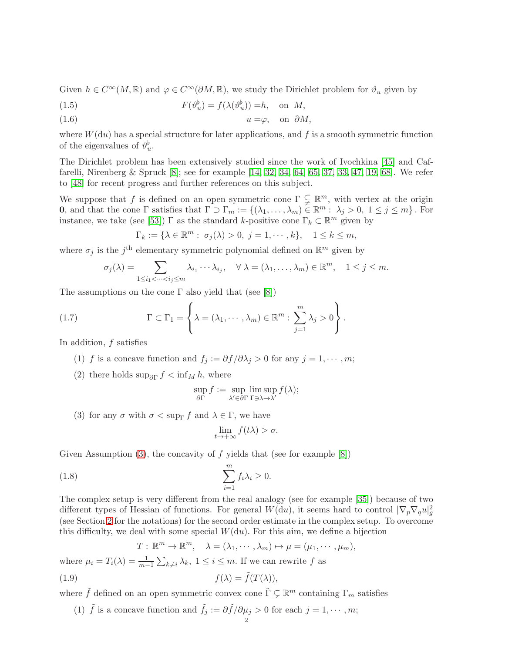Given  $h \in C^{\infty}(M,\mathbb{R})$  and  $\varphi \in C^{\infty}(\partial M,\mathbb{R})$ , we study the Dirichlet problem for  $\vartheta_u$  given by

<span id="page-1-4"></span>(1.5) 
$$
F(\vartheta_u^{\flat}) = f(\lambda(\vartheta_u^{\flat})) = h, \text{ on } M,
$$

<span id="page-1-5"></span>
$$
(1.6) \t\t u = \varphi, \t on \partial M,
$$

where  $W(du)$  has a special structure for later applications, and f is a smooth symmetric function of the eigenvalues of  $\vartheta_u^{\flat}$ .

The Dirichlet problem has been extensively studied since the work of Ivochkina [\[45\]](#page-43-0) and Caffarelli, Nirenberg & Spruck [\[8\]](#page-42-0); see for example [\[14,](#page-42-1) [32,](#page-43-1) [34,](#page-43-2) [64,](#page-44-0) [65,](#page-44-1) [37,](#page-43-3) [33,](#page-43-4) [47,](#page-43-5) [19,](#page-42-2) [68\]](#page-44-2). We refer to [\[48\]](#page-43-6) for recent progress and further references on this subject.

We suppose that f is defined on an open symmetric cone  $\Gamma \subsetneq \mathbb{R}^m$ , with vertex at the origin **0**, and that the cone  $\Gamma$  satisfies that  $\Gamma \supset \Gamma_m := \{(\lambda_1, \ldots, \lambda_m) \in \mathbb{R}^m : \lambda_j > 0, 1 \le j \le m\}$ . For instance, we take (see [\[53\]](#page-43-7))  $\Gamma$  as the standard k-positive cone  $\Gamma_k \subset \mathbb{R}^m$  given by

$$
\Gamma_k := \{ \lambda \in \mathbb{R}^m : \sigma_j(\lambda) > 0, \ j = 1, \cdots, k \}, \quad 1 \le k \le m,
$$

where  $\sigma_j$  is the j<sup>th</sup> elementary symmetric polynomial defined on  $\mathbb{R}^m$  given by

<span id="page-1-7"></span>
$$
\sigma_j(\lambda) = \sum_{1 \leq i_1 < \dots < i_j \leq m} \lambda_{i_1} \dots \lambda_{i_j}, \quad \forall \lambda = (\lambda_1, \dots, \lambda_m) \in \mathbb{R}^m, \quad 1 \leq j \leq m.
$$

The assumptions on the cone  $\Gamma$  also yield that (see [\[8\]](#page-42-0))

(1.7) 
$$
\Gamma \subset \Gamma_1 = \left\{ \lambda = (\lambda_1, \cdots, \lambda_m) \in \mathbb{R}^m : \sum_{j=1}^m \lambda_j > 0 \right\}.
$$

<span id="page-1-2"></span>In addition, f satisfies

- <span id="page-1-3"></span>(1) f is a concave function and  $f_j := \partial f / \partial \lambda_j > 0$  for any  $j = 1, \dots, m$ ;
- (2) there holds  $\sup_{\partial \Gamma} f < \inf_M h$ , where

$$
\sup_{\partial \Gamma} f := \sup_{\lambda' \in \partial \Gamma} \limsup_{\Gamma \ni \lambda \to \lambda'} f(\lambda);
$$

<span id="page-1-0"></span>(3) for any  $\sigma$  with  $\sigma < \sup_{\Gamma} f$  and  $\lambda \in \Gamma$ , we have

<span id="page-1-6"></span>
$$
\lim_{t \to +\infty} f(t\lambda) > \sigma.
$$

Given Assumption [\(3\)](#page-1-0), the concavity of f yields that (see for example  $[8]$ )

(1.8) 
$$
\sum_{i=1}^{m} f_i \lambda_i \geq 0.
$$

The complex setup is very different from the real analogy (see for example [\[35\]](#page-43-8)) because of two different types of Hessian of functions. For general  $W(du)$ , it seems hard to control  $|\nabla_p \nabla_q u|_g^2$ (see Section [2](#page-7-0) for the notations) for the second order estimate in the complex setup. To overcome this difficulty, we deal with some special  $W(\mathrm{d}u)$ . For this aim, we define a bijection

$$
T: \mathbb{R}^m \to \mathbb{R}^m, \quad \lambda = (\lambda_1, \cdots, \lambda_m) \mapsto \mu = (\mu_1, \cdots, \mu_m),
$$
  
where  $\mu_i = T_i(\lambda) = \frac{1}{m-1} \sum_{k \neq i} \lambda_k, 1 \leq i \leq m$ . If we can rewrite  $f$  as  
(1.9)  $f(\lambda) = \tilde{f}(T(\lambda)),$ 

where  $\tilde{f}$  defined on an open symmetric convex cone  $\tilde{\Gamma} \subsetneq \mathbb{R}^m$  containing  $\Gamma_m$  satisfies

<span id="page-1-1"></span>(1)  $\tilde{f}$  is a concave function and  $\tilde{f}_j := \partial \tilde{f}/\partial \mu_j > 0$  for each  $j = 1, \dots, m;$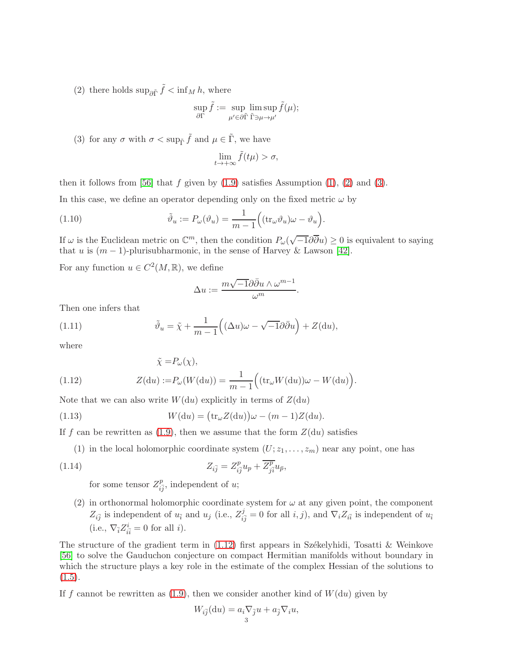(2) there holds  $\sup_{\partial \tilde{\Gamma}} \tilde{f} < \inf_M h$ , where

$$
\sup_{\partial \Gamma} \tilde{f} := \sup_{\mu' \in \partial \tilde{\Gamma}} \limsup_{\tilde{\Gamma} \ni \mu \to \mu'} \tilde{f}(\mu);
$$

(3) for any  $\sigma$  with  $\sigma < \sup_{\tilde{\Gamma}} \tilde{f}$  and  $\mu \in \tilde{\Gamma}$ , we have

$$
\lim_{t\to+\infty}\tilde{f}(t\mu)>\sigma,
$$

then it follows from [\[56\]](#page-44-3) that f given by  $(1.9)$  satisfies Assumption  $(1)$ ,  $(2)$  and  $(3)$ .

In this case, we define an operator depending only on the fixed metric  $\omega$  by

(1.10) 
$$
\tilde{\vartheta}_u := P_{\omega}(\vartheta_u) = \frac{1}{m-1} \Big( (\text{tr}_{\omega} \vartheta_u) \omega - \vartheta_u \Big).
$$

If  $\omega$  is the Euclidean metric on  $\mathbb{C}^m$ , then the condition  $P_\omega(\sqrt{-1}\partial\overline{\partial}u) \geq 0$  is equivalent to saying that u is  $(m-1)$ -plurisubharmonic, in the sense of Harvey & Lawson [\[42\]](#page-43-9).

For any function  $u \in C^2(M, \mathbb{R})$ , we define

$$
\Delta u:=\frac{m\sqrt{-1}\partial\bar{\partial}u\wedge\omega^{m-1}}{\omega^m}.
$$

Then one infers that

(1.11) 
$$
\tilde{\vartheta}_u = \tilde{\chi} + \frac{1}{m-1} \Big( (\Delta u) \omega - \sqrt{-1} \partial \bar{\partial} u \Big) + Z(\mathrm{d} u),
$$

where

<span id="page-2-0"></span>(1.12) 
$$
\tilde{\chi} = P_{\omega}(\chi),
$$

$$
Z(du) := P_{\omega}(W(du)) = \frac{1}{m-1} ((tr_{\omega}W(du))\omega - W(du)).
$$

Note that we can also write  $W(du)$  explicitly in terms of  $Z(du)$ 

(1.13) 
$$
W(\mathrm{d}u) = (\mathrm{tr}_{\omega}Z(\mathrm{d}u))\omega - (m-1)Z(\mathrm{d}u).
$$

<span id="page-2-1"></span>If f can be rewritten as [\(1.9\)](#page-1-1), then we assume that the form  $Z(du)$  satisfies

(1) in the local holomorphic coordinate system  $(U; z_1, \ldots, z_m)$  near any point, one has

(1.14) 
$$
Z_{i\bar{j}} = Z_{i\bar{j}}^p u_p + \overline{Z_{j\bar{i}}^p} u_{\bar{p}},
$$

for some tensor  $Z_{i\bar{j}}^p$ , independent of u;

<span id="page-2-2"></span>(2) in orthonormal holomorphic coordinate system for  $\omega$  at any given point, the component  $Z_{i\bar{j}}$  is independent of  $u_{\bar{i}}$  and  $u_j$  (i.e.,  $Z_{i\bar{j}}^j = 0$  for all  $i, j$ ), and  $\nabla_i Z_{i\bar{i}}$  is independent of  $u_{\bar{i}}$ (i.e.,  $\nabla_{\overline{i}} Z^i_{i\overline{i}} = 0$  for all *i*).

The structure of the gradient term in  $(1.12)$  first appears in Székelyhidi, Tosatti & Weinkove [\[56\]](#page-44-3) to solve the Gauduchon conjecture on compact Hermitian manifolds without boundary in which the structure plays a key role in the estimate of the complex Hessian of the solutions to  $(1.5).$  $(1.5).$ 

If f cannot be rewritten as  $(1.9)$ , then we consider another kind of  $W(du)$  given by

$$
W_{i\overline{j}}(\mathrm{d}u) = a_i \nabla_{\overline{j}} u + a_{\overline{j}} \nabla_i u,
$$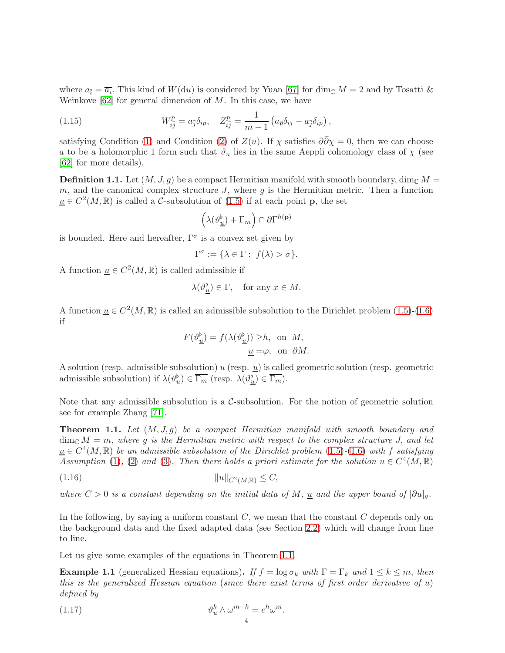where  $a_{\bar{i}} = \overline{a_i}$ . This kind of  $W(du)$  is considered by Yuan [\[67\]](#page-44-4) for dim<sub>C</sub>  $M = 2$  and by Tosatti & Weinkove  $[62]$  for general dimension of M. In this case, we have

<span id="page-3-2"></span>(1.15) 
$$
W_{i\bar{j}}^p = a_{\bar{j}} \delta_{ip}, \quad Z_{i\bar{j}}^p = \frac{1}{m-1} \left( a_{\bar{p}} \delta_{ij} - a_{\bar{j}} \delta_{ip} \right),
$$

satisfying Condition [\(1\)](#page-2-1) and Condition [\(2\)](#page-2-2) of  $Z(u)$ . If  $\chi$  satisfies  $\partial \overline{\partial} \chi = 0$ , then we can choose a to be a holomorphic 1 form such that  $\vartheta_u$  lies in the same Aeppli cohomology class of  $\chi$  (see [\[62\]](#page-44-5) for more details).

<span id="page-3-3"></span>**Definition 1.1.** Let  $(M, J, g)$  be a compact Hermitian manifold with smooth boundary, dim<sub>C</sub>  $M =$ m, and the canonical complex structure  $J$ , where  $g$  is the Hermitian metric. Then a function  $\underline{u} \in C^2(M, \mathbb{R})$  is called a C-subsolution of  $(1.5)$  if at each point **p**, the set

$$
\left(\lambda(\vartheta_{\underline{u}}^{\flat})+\Gamma_m\right)\cap\partial\Gamma^{h(\mathbf{p})}
$$

is bounded. Here and hereafter,  $\Gamma^{\sigma}$  is a convex set given by

$$
\Gamma^\sigma:=\{\lambda\in\Gamma:\ f(\lambda)>\sigma\}.
$$

A function  $\underline{u} \in C^2(M, \mathbb{R})$  is called admissible if

$$
\lambda(\vartheta_{\underline{u}}^{\flat}) \in \Gamma, \quad \text{for any } x \in M.
$$

A function  $\underline{u} \in C^2(M,\mathbb{R})$  is called an admissible subsolution to the Dirichlet problem  $(1.5)-(1.6)$  $(1.5)-(1.6)$ if

$$
F(\vartheta_{\underline{u}}^{\underline{b}}) = f(\lambda(\vartheta_{\underline{u}}^{\underline{b}})) \geq h, \text{ on } M,
$$
  

$$
\underline{u} = \varphi, \text{ on } \partial M.
$$

A solution (resp. admissible subsolution) u (resp.  $\underline{u}$ ) is called geometric solution (resp. geometric admissible subsolution) if  $\lambda(\vartheta_u^{\flat}) \in \overline{\Gamma_m}$  (resp.  $\lambda(\vartheta_{\underline{u}}^{\flat}) \in \overline{\Gamma_m}$ ).

Note that any admissible subsolution is a  $\mathcal{C}$ -subsolution. For the notion of geometric solution see for example Zhang [\[71\]](#page-44-6).

<span id="page-3-0"></span>**Theorem 1.1.** Let  $(M, J, g)$  be a compact Hermitian manifold with smooth boundary and  $\dim_{\mathbb{C}} M = m$ , where g is the Hermitian metric with respect to the complex structure J, and let  $\underline{u} \in C^4(M, \mathbb{R})$  be an admissible subsolution of the Dirichlet problem [\(1.5\)](#page-1-4)-[\(1.6\)](#page-1-5) with f satisfying Assumption [\(1\)](#page-1-2), [\(2\)](#page-1-3) and [\(3\)](#page-1-0). Then there holds a priori estimate for the solution  $u \in C^4(M, \mathbb{R})$ 

$$
(1.16) \t\t\t\t ||u||_{C^2(M,\mathbb{R})} \leq C,
$$

where  $C > 0$  is a constant depending on the initial data of M,  $\underline{u}$  and the upper bound of  $|\partial u|_q$ .

In the following, by saying a uniform constant  $C$ , we mean that the constant  $C$  depends only on the background data and the fixed adapted data (see Section [2.2\)](#page-9-0) which will change from line to line.

Let us give some examples of the equations in Theorem [1.1.](#page-3-0)

**Example 1.1** (generalized Hessian equations). If  $f = \log \sigma_k$  with  $\Gamma = \Gamma_k$  and  $1 \leq k \leq m$ , then this is the generalized Hessian equation (since there exist terms of first order derivative of  $u$ ) defined by

<span id="page-3-1"></span>(1.17) 
$$
\vartheta_u^k \wedge \omega^{m-k} = e^h \omega^m.
$$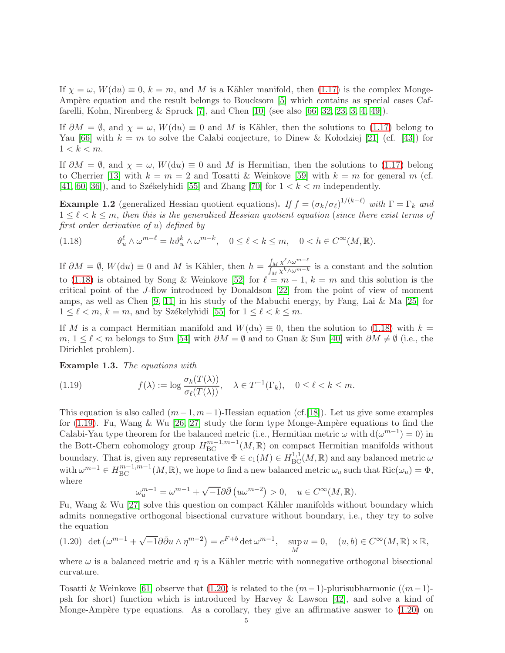If  $\chi = \omega$ ,  $W(\mathrm{d}u) \equiv 0$ ,  $k = m$ , and M is a Kähler manifold, then [\(1.17\)](#page-3-1) is the complex Monge-Ampère equation and the result belongs to Boucksom [\[5\]](#page-42-3) which contains as special cases Caffarelli, Kohn, Nirenberg & Spruck [\[7\]](#page-42-4), and Chen [\[10\]](#page-42-5) (see also [\[66,](#page-44-7) [32,](#page-43-1) [23,](#page-42-6) [3,](#page-42-7) [4,](#page-42-8) [49\]](#page-43-10)).

If  $\partial M = \emptyset$ , and  $\chi = \omega$ ,  $W(\mathrm{d}u) \equiv 0$  and M is Kähler, then the solutions to [\(1.17\)](#page-3-1) belong to Yau [\[66\]](#page-44-7) with  $k = m$  to solve the Calabi conjecture, to Dinew & Kolodziej [\[21\]](#page-42-9) (cf. [\[43\]](#page-43-11)) for  $1 < k < m$ .

If  $\partial M = \emptyset$ , and  $\chi = \omega$ ,  $W(\mathrm{d}u) \equiv 0$  and M is Hermitian, then the solutions to [\(1.17\)](#page-3-1) belong to Cherrier [\[13\]](#page-42-10) with  $k = m = 2$  and Tosatti & Weinkove [\[59\]](#page-44-8) with  $k = m$  for general m (cf. [\[41,](#page-43-12) [60,](#page-44-9) [36\]](#page-43-13)), and to Székelyhidi [\[55\]](#page-44-10) and Zhang [\[70\]](#page-44-11) for  $1 < k < m$  independently.

**Example 1.2** (generalized Hessian quotient equations). If  $f = (\sigma_k/\sigma_{\ell})^{1/(k-\ell)}$  with  $\Gamma = \Gamma_k$  and  $1 \leq \ell \leq k \leq m$ , then this is the generalized Hessian quotient equation (since there exist terms of first order derivative of u) defined by

<span id="page-4-0"></span>(1.18) 
$$
\vartheta_u^{\ell} \wedge \omega^{m-\ell} = h \vartheta_u^k \wedge \omega^{m-k}, \quad 0 \leq \ell < k \leq m, \quad 0 < h \in C^{\infty}(M, \mathbb{R}).
$$

If  $\partial M = \emptyset$ ,  $W(\mathrm{d}u) \equiv 0$  and M is Kähler, then  $h = \frac{\int_M \chi^{\ell} \wedge \omega^{m-\ell}}{\int_M \chi^k \wedge \omega^{m-k}}$  $\int_{M} \frac{\chi \wedge \omega}{\chi^k \wedge \omega^{m-k}}$  is a constant and the solution to [\(1.18\)](#page-4-0) is obtained by Song & Weinkove [\[52\]](#page-43-14) for  $\ell = m - 1$ ,  $k = m$  and this solution is the critical point of the J-flow introduced by Donaldson [\[22\]](#page-42-11) from the point of view of moment amps, as well as Chen [\[9,](#page-42-12) [11\]](#page-42-13) in his study of the Mabuchi energy, by Fang, Lai & Ma [\[25\]](#page-42-14) for  $1 \leq \ell < m$ ,  $k = m$ , and by Székelyhidi [\[55\]](#page-44-10) for  $1 \leq \ell < k \leq m$ .

If M is a compact Hermitian manifold and  $W(du) \equiv 0$ , then the solution to [\(1.18\)](#page-4-0) with  $k =$ m,  $1 \leq \ell \leq m$  belongs to Sun [\[54\]](#page-44-12) with  $\partial M = \emptyset$  and to Guan & Sun [\[40\]](#page-43-15) with  $\partial M \neq \emptyset$  (i.e., the Dirichlet problem).

Example 1.3. The equations with

<span id="page-4-1"></span>(1.19) 
$$
f(\lambda) := \log \frac{\sigma_k(T(\lambda))}{\sigma_\ell(T(\lambda))}, \quad \lambda \in T^{-1}(\Gamma_k), \quad 0 \le \ell < k \le m.
$$

This equation is also called  $(m-1, m-1)$ -Hessian equation (cf.[\[18\]](#page-42-15)). Let us give some examples for [\(1.19\)](#page-4-1). Fu, Wang & Wu [\[26,](#page-43-16) [27\]](#page-43-17) study the form type Monge-Ampère equations to find the Calabi-Yau type theorem for the balanced metric (i.e., Hermitian metric  $\omega$  with  $d(\omega^{m-1}) = 0$ ) in the Bott-Chern cohomology group  $H^{m-1,m-1}_{BC}(M,\mathbb{R})$  on compact Hermitian manifolds without boundary. That is, given any representative  $\Phi \in c_1(M) \in H^{1,1}_{BC}(M,\mathbb{R})$  and any balanced metric  $\omega$ with  $\omega^{m-1} \in H^{m-1,m-1}_{BC}(M,\mathbb{R})$ , we hope to find a new balanced metric  $\omega_u$  such that  $\text{Ric}(\omega_u) = \Phi$ , where

$$
\omega_u^{m-1} = \omega^{m-1} + \sqrt{-1}\partial\bar{\partial} \left( u\omega^{m-2} \right) > 0, \quad u \in C^\infty(M, \mathbb{R}).
$$

Fu, Wang & Wu [\[27\]](#page-43-17) solve this question on compact Kähler manifolds without boundary which admits nonnegative orthogonal bisectional curvature without boundary, i.e., they try to solve the equation

<span id="page-4-2"></span>
$$
(1.20) \ \det\left(\omega^{m-1} + \sqrt{-1}\partial\bar{\partial}_u\wedge\eta^{m-2}\right) = e^{F+b}\det\omega^{m-1}, \quad \sup_M u = 0, \quad (u, b) \in C^\infty(M, \mathbb{R}) \times \mathbb{R},
$$

where  $\omega$  is a balanced metric and  $\eta$  is a Kähler metric with nonnegative orthogonal bisectional curvature.

Tosatti & Weinkove [\[61\]](#page-44-13) observe that [\(1.20\)](#page-4-2) is related to the  $(m-1)$ -plurisubharmonic  $((m-1)$ psh for short) function which is introduced by Harvey & Lawson [\[42\]](#page-43-9), and solve a kind of Monge-Ampère type equations. As a corollary, they give an affirmative answer to  $(1.20)$  on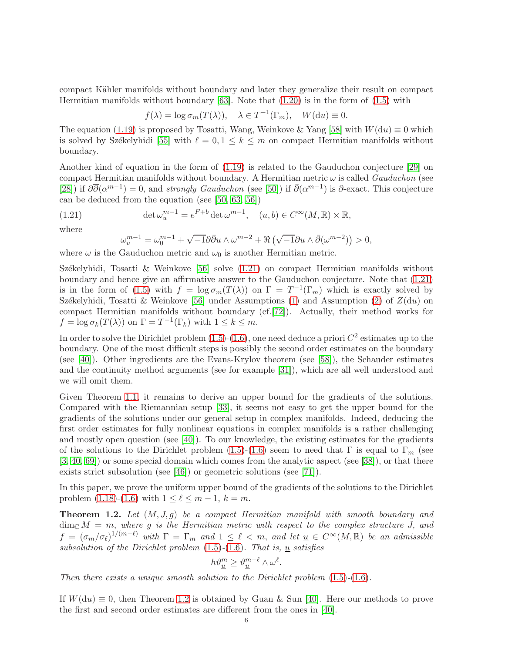compact Kähler manifolds without boundary and later they generalize their result on compact Hermitian manifolds without boundary  $[63]$ . Note that  $(1.20)$  is in the form of  $(1.5)$  with

$$
f(\lambda) = \log \sigma_m(T(\lambda)), \quad \lambda \in T^{-1}(\Gamma_m), \quad W(\mathrm{d}u) \equiv 0.
$$

The equation [\(1.19\)](#page-4-1) is proposed by Tosatti, Wang, Weinkove & Yang [\[58\]](#page-44-15) with  $W(du) \equiv 0$  which is solved by Székelyhidi [\[55\]](#page-44-10) with  $\ell = 0, 1 \leq k \leq m$  on compact Hermitian manifolds without boundary.

Another kind of equation in the form of [\(1.19\)](#page-4-1) is related to the Gauduchon conjecture [\[29\]](#page-43-18) on compact Hermitian manifolds without boundary. A Hermitian metric  $\omega$  is called *Gauduchon* (see [\[28\]](#page-43-19)) if  $\partial \overline{\partial}(\alpha^{m-1}) = 0$ , and *strongly Gauduchon* (see [\[50\]](#page-43-20)) if  $\overline{\partial}(\alpha^{m-1})$  is  $\partial$ -exact. This conjecture can be deduced from the equation (see [\[50,](#page-43-20) [63,](#page-44-14) [56\]](#page-44-3))

(1.21) 
$$
\det \omega_u^{m-1} = e^{F+b} \det \omega^{m-1}, \quad (u, b) \in C^{\infty}(M, \mathbb{R}) \times \mathbb{R},
$$

where

<span id="page-5-0"></span>
$$
\omega_u^{m-1} = \omega_0^{m-1} + \sqrt{-1}\partial\bar{\partial}_u \wedge \omega^{m-2} + \Re\left(\sqrt{-1}\partial_u \wedge \bar{\partial}(\omega^{m-2})\right) > 0,
$$

where  $\omega$  is the Gauduchon metric and  $\omega_0$  is another Hermitian metric.

Székelyhidi, Tosatti & Weinkove [\[56\]](#page-44-3) solve  $(1.21)$  on compact Hermitian manifolds without boundary and hence give an affirmative answer to the Gauduchon conjecture. Note that [\(1.21\)](#page-5-0) is in the form of [\(1.5\)](#page-1-4) with  $f = \log \sigma_m(T(\lambda))$  on  $\Gamma = T^{-1}(\Gamma_m)$  which is exactly solved by Székelyhidi, Tosatti & Weinkove [\[56\]](#page-44-3) under Assumptions [\(1\)](#page-2-1) and Assumption [\(2\)](#page-2-2) of  $Z(du)$  on compact Hermitian manifolds without boundary (cf.[\[72\]](#page-44-16)). Actually, their method works for  $f = \log \sigma_k(T(\lambda))$  on  $\Gamma = T^{-1}(\Gamma_k)$  with  $1 \leq k \leq m$ .

In order to solve the Dirichlet problem  $(1.5)-(1.6)$  $(1.5)-(1.6)$ , one need deduce a priori  $C^2$  estimates up to the boundary. One of the most difficult steps is possibly the second order estimates on the boundary (see [\[40\]](#page-43-15)). Other ingredients are the Evans-Krylov theorem (see [\[58\]](#page-44-15)), the Schauder estimates and the continuity method arguments (see for example [\[31\]](#page-43-21)), which are all well understood and we will omit them.

Given Theorem [1.1,](#page-3-0) it remains to derive an upper bound for the gradients of the solutions. Compared with the Riemannian setup [\[33\]](#page-43-4), it seems not easy to get the upper bound for the gradients of the solutions under our general setup in complex manifolds. Indeed, deducing the first order estimates for fully nonlinear equations in complex manifolds is a rather challenging and mostly open question (see  $[40]$ ). To our knowledge, the existing estimates for the gradients of the solutions to the Dirichlet problem [\(1.5\)](#page-1-4)-[\(1.6\)](#page-1-5) seem to need that Γ is equal to  $\Gamma_m$  (see [\[3,](#page-42-7) [40,](#page-43-15) [69\]](#page-44-17)) or some special domain which comes from the analytic aspect (see [\[38\]](#page-43-22)), or that there exists strict subsolution (see [\[46\]](#page-43-23)) or geometric solutions (see [\[71\]](#page-44-6)).

In this paper, we prove the uniform upper bound of the gradients of the solutions to the Dirichlet problem  $(1.18)-(1.6)$  $(1.18)-(1.6)$  with  $1 \leq \ell \leq m-1, k=m$ .

<span id="page-5-1"></span>**Theorem 1.2.** Let  $(M, J, g)$  be a compact Hermitian manifold with smooth boundary and  $\dim_{\mathbb{C}} M = m$ , where g is the Hermitian metric with respect to the complex structure J, and  $f = (\sigma_m/\sigma_\ell)^{1/(m-\ell)}$  with  $\Gamma = \Gamma_m$  and  $1 \leq \ell < m$ , and let  $\underline{u} \in C^\infty(M, \mathbb{R})$  be an admissible subsolution of the Dirichlet problem  $(1.5)-(1.6)$  $(1.5)-(1.6)$  $(1.5)-(1.6)$ . That is, <u>u</u> satisfies

$$
h\vartheta_{\underline{u}}^m\geq \vartheta_{\underline{u}}^{m-\ell}\wedge\omega^\ell.
$$

Then there exists a unique smooth solution to the Dirichlet problem  $(1.5)-(1.6)$  $(1.5)-(1.6)$  $(1.5)-(1.6)$ .

If  $W(du) \equiv 0$ , then Theorem [1.2](#page-5-1) is obtained by Guan & Sun [\[40\]](#page-43-15). Here our methods to prove the first and second order estimates are different from the ones in [\[40\]](#page-43-15).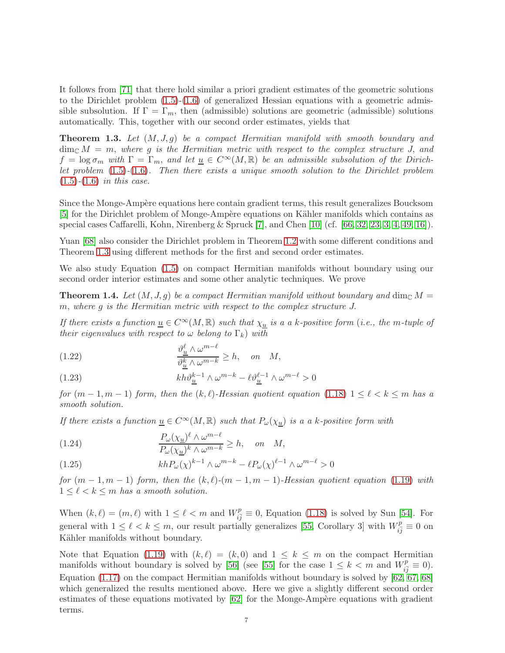It follows from [\[71\]](#page-44-6) that there hold similar a priori gradient estimates of the geometric solutions to the Dirichlet problem  $(1.5)-(1.6)$  $(1.5)-(1.6)$  of generalized Hessian equations with a geometric admissible subsolution. If  $\Gamma = \Gamma_m$ , then (admissible) solutions are geometric (admissible) solutions automatically. This, together with our second order estimates, yields that

<span id="page-6-0"></span>**Theorem 1.3.** Let  $(M, J, q)$  be a compact Hermitian manifold with smooth boundary and  $\dim_{\mathbb{C}} M = m$ , where g is the Hermitian metric with respect to the complex structure J, and  $f = \log \sigma_m$  with  $\Gamma = \Gamma_m$ , and let  $\underline{u} \in C^\infty(M, \mathbb{R})$  be an admissible subsolution of the Dirichlet problem [\(1.5\)](#page-1-4)-[\(1.6\)](#page-1-5). Then there exists a unique smooth solution to the Dirichlet problem  $(1.5)-(1.6)$  $(1.5)-(1.6)$  $(1.5)-(1.6)$  in this case.

Since the Monge-Ampère equations here contain gradient terms, this result generalizes Boucksom [\[5\]](#page-42-3) for the Dirichlet problem of Monge-Ampère equations on Kähler manifolds which contains as special cases Caffarelli, Kohn, Nirenberg & Spruck [\[7\]](#page-42-4), and Chen [\[10\]](#page-42-5) (cf. [\[66,](#page-44-7) [32,](#page-43-1) [23,](#page-42-6) [3,](#page-42-7) [4,](#page-42-8) [49,](#page-43-10) [16\]](#page-42-16)).

Yuan [\[68\]](#page-44-2) also consider the Dirichlet problem in Theorem [1.2](#page-5-1) with some different conditions and Theorem [1.3](#page-6-0) using different methods for the first and second order estimates.

We also study Equation [\(1.5\)](#page-1-4) on compact Hermitian manifolds without boundary using our second order interior estimates and some other analytic techniques. We prove

<span id="page-6-1"></span>**Theorem 1.4.** Let  $(M, J, g)$  be a compact Hermitian manifold without boundary and dim<sub>C</sub>  $M =$ m, where g is the Hermitian metric with respect to the complex structure J.

If there exists a function  $\underline{u} \in C^{\infty}(M,\mathbb{R})$  such that  $\chi_{\underline{u}}$  is a a k-positive form (i.e., the m-tuple of their eigenvalues with respect to  $\omega$  belong to  $\Gamma_k$ ) with

(1.22) 
$$
\frac{\partial_{\underline{u}}^{\ell} \wedge \omega^{m-\ell}}{\partial_{\underline{u}}^k \wedge \omega^{m-k}} \geq h, \quad on \quad M,
$$

(1.23) 
$$
kh\vartheta_{\underline{u}}^{k-1}\wedge\omega^{m-k}-\ell\vartheta_{\underline{u}}^{\ell-1}\wedge\omega^{m-\ell}>0
$$

for  $(m-1, m-1)$  form, then the  $(k, \ell)$ -Hessian quotient equation  $(1.18)$   $1 \leq \ell < k \leq m$  has a smooth solution.

If there exists a function  $\underline{u} \in C^{\infty}(M, \mathbb{R})$  such that  $P_{\omega}(\chi_{\underline{u}})$  is a a k-positive form with

(1.24) 
$$
\frac{P_{\omega}(\chi_{\underline{u}})^{\ell} \wedge \omega^{m-\ell}}{P_{\omega}(\chi_{\underline{u}})^{k} \wedge \omega^{m-k}} \geq h, \quad on \quad M,
$$

(1.25) 
$$
khP_{\omega}(\chi)^{k-1} \wedge \omega^{m-k} - \ell P_{\omega}(\chi)^{\ell-1} \wedge \omega^{m-\ell} > 0
$$

for  $(m-1, m-1)$  form, then the  $(k, \ell)$ - $(m-1, m-1)$ -Hessian quotient equation [\(1.19\)](#page-4-1) with  $1 \leq \ell < k \leq m$  has a smooth solution.

When  $(k, \ell) = (m, \ell)$  with  $1 \leq \ell < m$  and  $W_{i\bar{j}}^p \equiv 0$ , Equation [\(1.18\)](#page-4-0) is solved by Sun [\[54\]](#page-44-12). For general with  $1 \leq \ell \leq k \leq m$ , our result partially generalizes [\[55,](#page-44-10) Corollary 3] with  $W_{i\bar{j}}^p \equiv 0$  on Kähler manifolds without boundary.

Note that Equation [\(1.19\)](#page-4-1) with  $(k, \ell) = (k, 0)$  and  $1 \leq k \leq m$  on the compact Hermitian manifolds without boundary is solved by [\[56\]](#page-44-3) (see [\[55\]](#page-44-10) for the case  $1 \leq k \leq m$  and  $W_{i\bar{j}}^p \equiv 0$ ). Equation  $(1.17)$  on the compact Hermitian manifolds without boundary is solved by  $[62, 67, 68]$  $[62, 67, 68]$  $[62, 67, 68]$ which generalized the results mentioned above. Here we give a slightly different second order estimates of these equations motivated by  $[62]$  for the Monge-Ampère equations with gradient terms.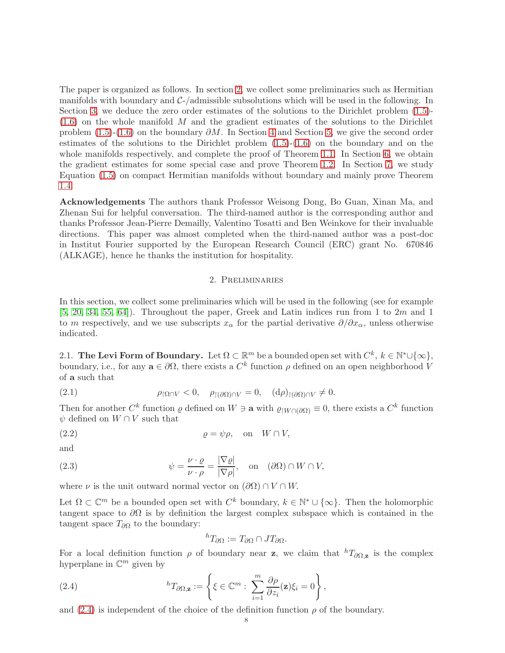The paper is organized as follows. In section [2,](#page-7-0) we collect some preliminaries such as Hermitian manifolds with boundary and  $C$ -/admissible subsolutions which will be used in the following. In Section [3,](#page-15-0) we deduce the zero order estimates of the solutions to the Dirichlet problem [\(1.5\)](#page-1-4)-  $(1.6)$  on the whole manifold M and the gradient estimates of the solutions to the Dirichlet problem [\(1.5\)](#page-1-4)-[\(1.6\)](#page-1-5) on the boundary  $\partial M$ . In Section [4](#page-15-1) and Section [5,](#page-24-0) we give the second order estimates of the solutions to the Dirichlet problem [\(1.5\)](#page-1-4)-[\(1.6\)](#page-1-5) on the boundary and on the whole manifolds respectively, and complete the proof of Theorem [1.1.](#page-3-0) In Section [6,](#page-32-0) we obtain the gradient estimates for some special case and prove Theorem [1.2.](#page-5-1) In Section [7,](#page-35-0) we study Equation [\(1.5\)](#page-1-4) on compact Hermitian manifolds without boundary and mainly prove Theorem [1.4.](#page-6-1)

Acknowledgements The authors thank Professor Weisong Dong, Bo Guan, Xinan Ma, and Zhenan Sui for helpful conversation. The third-named author is the corresponding author and thanks Professor Jean-Pierre Demailly, Valentino Tosatti and Ben Weinkove for their invaluable directions. This paper was almost completed when the third-named author was a post-doc in Institut Fourier supported by the European Research Council (ERC) grant No. 670846 (ALKAGE), hence he thanks the institution for hospitality.

## 2. Preliminaries

<span id="page-7-0"></span>In this section, we collect some preliminaries which will be used in the following (see for example  $[5, 20, 34, 55, 64]$  $[5, 20, 34, 55, 64]$  $[5, 20, 34, 55, 64]$  $[5, 20, 34, 55, 64]$  $[5, 20, 34, 55, 64]$ . Throughout the paper, Greek and Latin indices run from 1 to 2m and 1 to m respectively, and we use subscripts  $x_\alpha$  for the partial derivative  $\partial/\partial x_\alpha$ , unless otherwise indicated.

2.1. The Levi Form of Boundary. Let  $\Omega \subset \mathbb{R}^m$  be a bounded open set with  $C^k$ ,  $k \in \mathbb{N}^* \cup \{\infty\}$ , boundary, i.e., for any  $\mathbf{a} \in \partial \Omega$ , there exists a  $C^k$  function  $\rho$  defined on an open neighborhood V of a such that

<span id="page-7-4"></span>(2.1) 
$$
\rho_{\lceil \Omega \cap V \rceil} < 0, \quad \rho_{\lceil (\partial \Omega) \cap V} = 0, \quad (\mathrm{d}\rho)_{\lceil (\partial \Omega) \cap V \rceil} \neq 0.
$$

Then for another  $C^k$  function  $\varrho$  defined on  $W \ni \mathbf{a}$  with  $\varrho_{|W \cap (\partial \Omega)} \equiv 0$ , there exists a  $C^k$  function  $\psi$  defined on  $W \cap V$  such that

(2.2) 
$$
\varrho = \psi \rho, \text{ on } W \cap V,
$$

and

(2.3) 
$$
\psi = \frac{\nu \cdot \varrho}{\nu \cdot \rho} = \frac{|\nabla \varrho|}{|\nabla \rho|}, \text{ on } (\partial \Omega) \cap W \cap V,
$$

where  $\nu$  is the unit outward normal vector on  $(\partial\Omega) \cap V \cap W$ .

Let  $\Omega \subset \mathbb{C}^m$  be a bounded open set with  $C^k$  boundary,  $k \in \mathbb{N}^* \cup \{\infty\}$ . Then the holomorphic tangent space to  $\partial\Omega$  is by definition the largest complex subspace which is contained in the tangent space  $T_{\partial\Omega}$  to the boundary:

<span id="page-7-3"></span><span id="page-7-2"></span><span id="page-7-1"></span>
$$
{}^hT_{\partial\Omega} := T_{\partial\Omega} \cap JT_{\partial\Omega}.
$$

For a local definition function  $\rho$  of boundary near z, we claim that  ${}^h T_{\partial \Omega, z}$  is the complex hyperplane in  $\mathbb{C}^m$  given by

(2.4) 
$$
{}^{h}T_{\partial\Omega,\mathbf{z}} := \left\{ \xi \in \mathbb{C}^{m} : \sum_{i=1}^{m} \frac{\partial \rho}{\partial z_{i}}(\mathbf{z}) \xi_{i} = 0 \right\},
$$

and [\(2.4\)](#page-7-1) is independent of the choice of the definition function  $\rho$  of the boundary.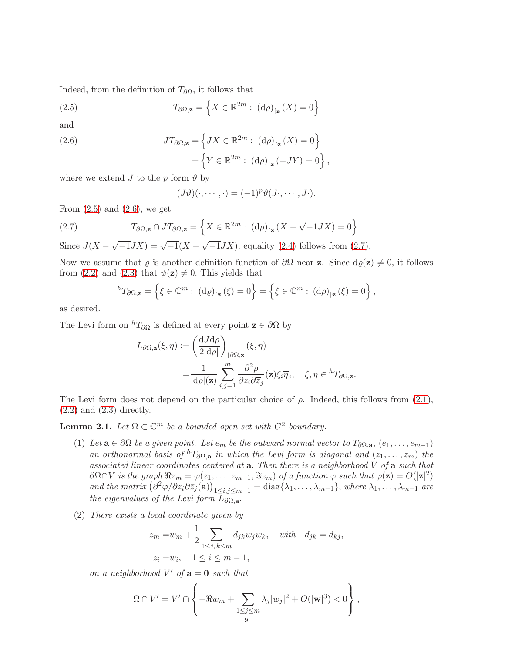Indeed, from the definition of  $T_{\partial\Omega}$ , it follows that

(2.5) 
$$
T_{\partial\Omega,\mathbf{z}} = \left\{ X \in \mathbb{R}^{2m} : (\mathrm{d}\rho)_{|\mathbf{z}}(X) = 0 \right\}
$$

and

<span id="page-8-1"></span>(2.6) 
$$
JT_{\partial\Omega,\mathbf{z}} = \left\{ JX \in \mathbb{R}^{2m} : (\mathrm{d}\rho)_{|\mathbf{z}}(X) = 0 \right\} = \left\{ Y \in \mathbb{R}^{2m} : (\mathrm{d}\rho)_{|\mathbf{z}}(-JY) = 0 \right\},
$$

where we extend J to the p form  $\vartheta$  by

<span id="page-8-2"></span><span id="page-8-0"></span>
$$
(J\vartheta)(\cdot,\cdots,\cdot) = (-1)^p \vartheta(J\cdot,\cdots,J\cdot).
$$

From  $(2.5)$  and  $(2.6)$ , we get

(2.7) 
$$
T_{\partial\Omega,\mathbf{z}} \cap JT_{\partial\Omega,\mathbf{z}} = \left\{ X \in \mathbb{R}^{2m} : (\mathrm{d}\rho)_{|\mathbf{z}} (X - \sqrt{-1}JX) = 0 \right\}.
$$

Since  $J(X - \sqrt{-1}JX) = \sqrt{-1}(X - \sqrt{-1}JX)$ , equality [\(2.4\)](#page-7-1) follows from [\(2.7\)](#page-8-2).

Now we assume that  $\varrho$  is another definition function of  $\partial\Omega$  near **z**. Since  $d\varrho(\mathbf{z})\neq 0$ , it follows from [\(2.2\)](#page-7-2) and [\(2.3\)](#page-7-3) that  $\psi(\mathbf{z}) \neq 0$ . This yields that

$$
{}^{h}T_{\partial\Omega,\mathbf{z}} = \left\{ \xi \in \mathbb{C}^m : (\mathrm{d}\varrho)_{|\mathbf{z}}(\xi) = 0 \right\} = \left\{ \xi \in \mathbb{C}^m : (\mathrm{d}\rho)_{|\mathbf{z}}(\xi) = 0 \right\},\,
$$

as desired.

The Levi form on  ${}^h T_{\partial\Omega}$  is defined at every point  $\mathbf{z} \in \partial\Omega$  by

$$
L_{\partial\Omega,\mathbf{z}}(\xi,\eta) := \left(\frac{\mathrm{d}J\mathrm{d}\rho}{2|\mathrm{d}\rho|}\right)_{|\partial\Omega,\mathbf{z}}(\xi,\bar{\eta})
$$
  
= 
$$
\frac{1}{|\mathrm{d}\rho|(\mathbf{z})}\sum_{i,j=1}^m \frac{\partial^2 \rho}{\partial z_i \partial \overline{z}_j}(\mathbf{z})\xi_i\overline{\eta}_j, \quad \xi,\eta \in {}^hT_{\partial\Omega,\mathbf{z}}.
$$

The Levi form does not depend on the particular choice of  $\rho$ . Indeed, this follows from [\(2.1\)](#page-7-4),  $(2.2)$  and  $(2.3)$  directly.

**Lemma 2.1.** Let  $\Omega \subset \mathbb{C}^m$  be a bounded open set with  $C^2$  boundary.

- (1) Let  $\mathbf{a} \in \partial \Omega$  be a given point. Let  $e_m$  be the outward normal vector to  $T_{\partial \Omega, \mathbf{a}}, (e_1, \ldots, e_{m-1})$ an orthonormal basis of  ${}^h T_{\partial\Omega, \mathbf{a}}$  in which the Levi form is diagonal and  $(z_1, \ldots, z_m)$  the associated linear coordinates centered at  $a$ . Then there is a neighborhood  $V$  of  $a$  such that  $\partial\Omega \cap V$  is the graph  $\Re z_m = \varphi(z_1,\ldots,z_{m-1},\Im z_m)$  of a function  $\varphi$  such that  $\varphi(\mathbf{z}) = O(|\mathbf{z}|^2)$ and the matrix  $(\partial^2 \varphi / \partial z_i \partial \overline{z}_j(\mathbf{a}))_{1 \leq i,j \leq m-1} = \text{diag} \{\lambda_1, \ldots, \lambda_{m-1}\},$  where  $\lambda_1, \ldots, \lambda_{m-1}$  are the eigenvalues of the Levi form  $L_{\partial\Omega,\mathbf{a}}$ .
- (2) There exists a local coordinate given by

$$
z_m = w_m + \frac{1}{2} \sum_{1 \le j, k \le m} d_{jk} w_j w_k, \quad with \quad d_{jk} = d_{kj},
$$
  

$$
z_i = w_i, \quad 1 \le i \le m - 1,
$$

on a neighborhood  $V'$  of  $\mathbf{a} = \mathbf{0}$  such that

$$
\Omega \cap V' = V' \cap \left\{-\Re w_m + \sum_{\substack{1 \le j \le m \\ 9}} \lambda_j |w_j|^2 + O(|\mathbf{w}|^3) < 0\right\},\,
$$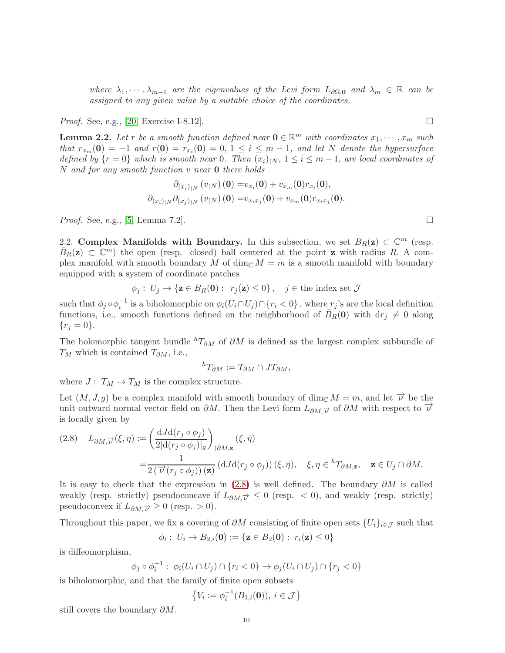where  $\lambda_1, \dots, \lambda_{m-1}$  are the eigenvalues of the Levi form  $L_{\partial\Omega, 0}$  and  $\lambda_m \in \mathbb{R}$  can be assigned to any given value by a suitable choice of the coordinates.

*Proof.* See, e.g., [\[20,](#page-42-17) Exercise I-8.12].

<span id="page-9-2"></span>**Lemma 2.2.** Let r be a smooth function defined near  $0 \in \mathbb{R}^m$  with coordinates  $x_1, \dots, x_m$  such that  $r_{x_m}(0) = -1$  and  $r(0) = r_{x_i}(0) = 0, 1 \le i \le m-1$ , and let N denote the hypersurface defined by  $\{r=0\}$  which is smooth near 0. Then  $(x_i)_{\mid N}, 1 \leq i \leq m-1$ , are local coordinates of  $N$  and for any smooth function  $v$  near  $0$  there holds

$$
\partial_{(x_i)_{\restriction N}} (v_{\restriction N}) (0) = v_{x_i}(0) + v_{x_m}(0) r_{x_i}(0),
$$
  

$$
\partial_{(x_i)_{\restriction N}} \partial_{(x_j)_{\restriction N}} (v_{\restriction N}) (0) = v_{x_i x_j}(0) + v_{x_m}(0) r_{x_i x_j}(0).
$$

<span id="page-9-0"></span>*Proof.* See, e.g., [\[5,](#page-42-3) Lemma 7.2].

2.2. Complex Manifolds with Boundary. In this subsection, we set  $B_R(z) \subset \mathbb{C}^m$  (resp.  $\bar{B}_R(z) \subset \mathbb{C}^m$  the open (resp. closed) ball centered at the point z with radius R. A complex manifold with smooth boundary M of dim<sub>C</sub>  $M = m$  is a smooth manifold with boundary equipped with a system of coordinate patches

$$
\phi_j: U_j \to \{ \mathbf{z} \in B_R(\mathbf{0}) : r_j(\mathbf{z}) \le 0 \}, \quad j \in \text{the index set } \mathcal{J}
$$

such that  $\phi_j \circ \phi_i^{-1}$  is a biholomorphic on  $\phi_i(U_i \cap U_j) \cap \{r_i < 0\}$ , where  $r_j$ 's are the local definition functions, i.e., smooth functions defined on the neighborhood of  $\bar{B}_R(0)$  with  $dr_j \neq 0$  along  ${r_j = 0}.$ 

The holomorphic tangent bundle  ${}^h T_{\partial M}$  of  $\partial M$  is defined as the largest complex subbundle of  $T_M$  which is contained  $T_{\partial M}$ , i.e.,

$$
{}^hT_{\partial M} := T_{\partial M} \cap JT_{\partial M},
$$

where  $J: T_M \to T_M$  is the complex structure.

Let  $(M, J, g)$  be a complex manifold with smooth boundary of dim<sub>C</sub>  $M = m$ , and let  $\overrightarrow{\nu}$  be the unit outward normal vector field on  $\partial M$ . Then the Levi form  $L_{\partial M,\vec{v}}$  of  $\partial M$  with respect to  $\vec{v}$ is locally given by

<span id="page-9-1"></span>
$$
(2.8) \quad L_{\partial M, \vec{\nu}}(\xi, \eta) := \left( \frac{dJ d(r_j \circ \phi_j)}{2 |d(r_j \circ \phi_j)|_g} \right)_{\restriction \partial M, \mathbf{z}} (\xi, \bar{\eta})
$$

$$
= \frac{1}{2 \left( \overrightarrow{\nu}(r_j \circ \phi_j) \right) (\mathbf{z})} \left( dJ d(r_j \circ \phi_j) \right) (\xi, \bar{\eta}), \quad \xi, \eta \in {}^h T_{\partial M, \mathbf{z}}, \quad \mathbf{z} \in U_j \cap \partial M.
$$

It is easy to check that the expression in [\(2.8\)](#page-9-1) is well defined. The boundary  $\partial M$  is called weakly (resp. strictly) pseudoconcave if  $L_{\partial M,\vec{v}} \leq 0$  (resp. < 0), and weakly (resp. strictly) pseudoconvex if  $L_{\partial M,\vec{v}} \geq 0$  (resp. > 0).

Throughout this paper, we fix a covering of  $\partial M$  consisting of finite open sets  $\{U_i\}_{i\in\mathcal{J}}$  such that

$$
\phi_i: U_i \to B_{2,i}(\mathbf{0}) := \{ \mathbf{z} \in B_2(\mathbf{0}) : r_i(\mathbf{z}) \leq 0 \}
$$

is diffeomorphism,

$$
\phi_j \circ \phi_i^{-1} : \phi_i(U_i \cap U_j) \cap \{r_i < 0\} \to \phi_j(U_i \cap U_j) \cap \{r_j < 0\}
$$

is biholomorphic, and that the family of finite open subsets

$$
\{V_i := \phi_i^{-1}(B_{1,i}(\mathbf{0})), i \in \mathcal{J}\}
$$

still covers the boundary  $\partial M$ .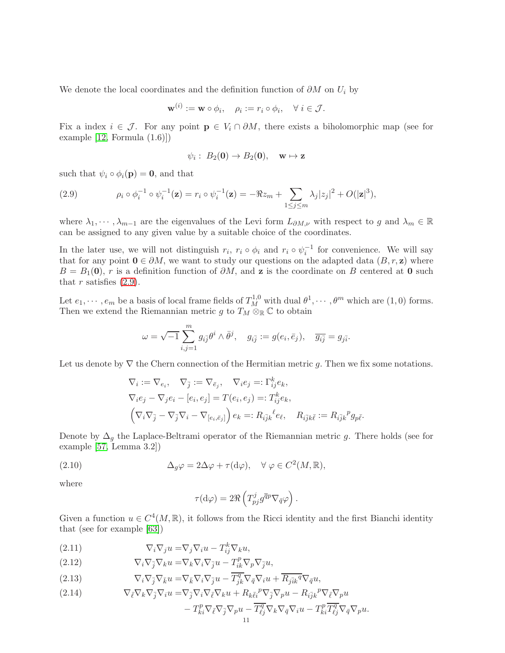We denote the local coordinates and the definition function of  $\partial M$  on  $U_i$  by

$$
\mathbf{w}^{(i)} := \mathbf{w} \circ \phi_i, \quad \rho_i := r_i \circ \phi_i, \quad \forall \ i \in \mathcal{J}.
$$

Fix a index  $i \in \mathcal{J}$ . For any point  $p \in V_i \cap \partial M$ , there exists a biholomorphic map (see for example  $[12, \text{Formula } (1.6)]$ 

$$
\psi_i: B_2(\mathbf{0}) \to B_2(\mathbf{0}), \quad \mathbf{w} \mapsto \mathbf{z}
$$

such that  $\psi_i \circ \phi_i(p) = 0$ , and that

<span id="page-10-0"></span>(2.9) 
$$
\rho_i \circ \phi_i^{-1} \circ \psi_i^{-1}(\mathbf{z}) = r_i \circ \psi_i^{-1}(\mathbf{z}) = -\Re z_m + \sum_{1 \le j \le m} \lambda_j |z_j|^2 + O(|\mathbf{z}|^3),
$$

where  $\lambda_1, \dots, \lambda_{m-1}$  are the eigenvalues of the Levi form  $L_{\partial M,\nu}$  with respect to g and  $\lambda_m \in \mathbb{R}$ can be assigned to any given value by a suitable choice of the coordinates.

In the later use, we will not distinguish  $r_i$ ,  $r_i \circ \phi_i$  and  $r_i \circ \psi_i^{-1}$  for convenience. We will say that for any point  $0 \in \partial M$ , we want to study our questions on the adapted data  $(B, r, z)$  where  $B = B_1(0)$ , r is a definition function of  $\partial M$ , and z is the coordinate on B centered at 0 such that r satisfies  $(2.9)$ .

Let  $e_1, \dots, e_m$  be a basis of local frame fields of  $T_M^{1,0}$  with dual  $\theta^1, \dots, \theta^m$  which are  $(1,0)$  forms. Then we extend the Riemannian metric g to  $T_M \otimes_{\mathbb{R}} \mathbb{C}$  to obtain

$$
\omega = \sqrt{-1} \sum_{i,j=1}^m g_{i\overline{j}} \theta^i \wedge \overline{\theta}^j, \quad g_{i\overline{j}} := g(e_i, \overline{e}_j), \quad \overline{g_{i\overline{j}}} = g_{j\overline{i}}.
$$

Let us denote by  $\nabla$  the Chern connection of the Hermitian metric q. Then we fix some notations.

$$
\nabla_i := \nabla_{e_i}, \quad \nabla_{\overline{j}} := \nabla_{\overline{e}_j}, \quad \nabla_i e_j =: \Gamma^k_{ij} e_k,
$$
  

$$
\nabla_i e_j - \nabla_j e_i - [e_i, e_j] = T(e_i, e_j) =: T^k_{ij} e_k,
$$
  

$$
\left(\nabla_i \nabla_{\overline{j}} - \nabla_{\overline{j}} \nabla_i - \nabla_{[e_i, \overline{e}_j]}\right) e_k =: R_{i\overline{j}k}{}^{\ell} e_\ell, \quad R_{i\overline{j}k\overline{\ell}} := R_{i\overline{j}k}{}^p g_{p\overline{\ell}}.
$$

Denote by  $\Delta_q$  the Laplace-Beltrami operator of the Riemannian metric g. There holds (see for example [\[57,](#page-44-18) Lemma 3.2])

(2.10) 
$$
\Delta_g \varphi = 2\Delta \varphi + \tau (\mathrm{d}\varphi), \quad \forall \varphi \in C^2(M, \mathbb{R}),
$$

where

$$
\tau(\mathrm{d}\varphi) = 2\Re\left(T_{pj}^j g^{\overline{q}p} \nabla_{\overline{q}}\varphi\right).
$$

Given a function  $u \in C^4(M, \mathbb{R})$ , it follows from the Ricci identity and the first Bianchi identity that (see for example [\[63\]](#page-44-14))

<span id="page-10-3"></span>(2.11) 
$$
\nabla_i \nabla_j u = \nabla_j \nabla_i u - T_{ij}^k \nabla_k u,
$$

<span id="page-10-1"></span>(2.12) 
$$
\nabla_i \nabla_{\bar{j}} \nabla_k u = \nabla_k \nabla_i \nabla_{\bar{j}} u - T^p_{ik} \nabla_p \nabla_{\bar{j}} u,
$$

<span id="page-10-2"></span>(2.13) 
$$
\nabla_i \nabla_{\bar{j}} \nabla_{\bar{k}} u = \nabla_{\bar{k}} \nabla_i \nabla_{\bar{j}} u - \overline{T_{jk}^q} \nabla_{\bar{q}} \nabla_i u + \overline{R_{j\bar{i}k}^q} \nabla_{\bar{q}} u,
$$

<span id="page-10-4"></span>(2.14) 
$$
\nabla_{\bar{\ell}} \nabla_k \nabla_{\bar{j}} \nabla_i u = \nabla_{\bar{j}} \nabla_i \nabla_{\bar{\ell}} \nabla_k u + R_{k \bar{\ell} i}{}^p \nabla_{\bar{j}} \nabla_p u - R_{i \bar{j} k}{}^p \nabla_{\bar{\ell}} \nabla_p u
$$

$$
- T_{ki}^p \nabla_{\bar{\ell}} \nabla_{\bar{j}} \nabla_p u - \overline{T_{\ell j}^q} \nabla_k \nabla_{\bar{q}} \nabla_i u - T_{ki}^p \overline{T_{\ell j}^q} \nabla_{\bar{q}} \nabla_p u.
$$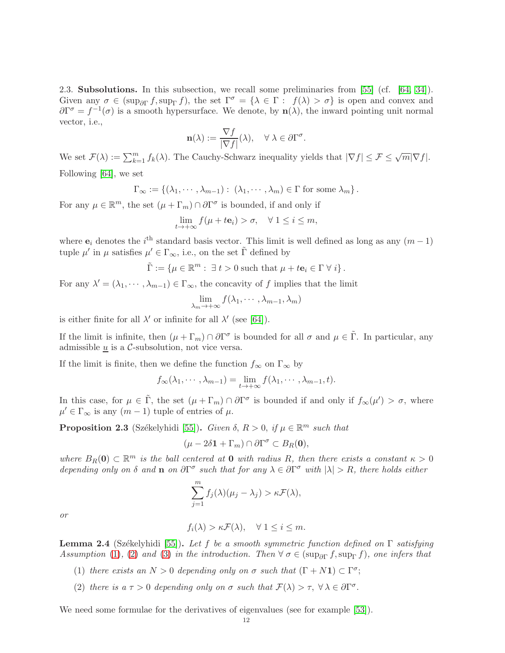<span id="page-11-0"></span>2.3. Subsolutions. In this subsection, we recall some preliminaries from [\[55\]](#page-44-10) (cf. [\[64,](#page-44-0) [34\]](#page-43-2)). Given any  $\sigma \in (\text{sup}_{\partial \Gamma} f, \text{sup}_{\Gamma} f)$ , the set  $\Gamma^{\sigma} = {\lambda \in \Gamma : f(\lambda) > \sigma}$  is open and convex and  $\partial \Gamma^{\sigma} = f^{-1}(\sigma)$  is a smooth hypersurface. We denote, by  $n(\lambda)$ , the inward pointing unit normal vector, i.e.,

$$
\mathbf{n}(\lambda) := \frac{\nabla f}{|\nabla f|}(\lambda), \quad \forall \ \lambda \in \partial \Gamma^{\sigma}.
$$

We set  $\mathcal{F}(\lambda) := \sum_{k=1}^m f_k(\lambda)$ . The Cauchy-Schwarz inequality yields that  $|\nabla f| \leq \mathcal{F} \leq \sqrt{m} |\nabla f|$ .

Following [\[64\]](#page-44-0), we set

$$
\Gamma_{\infty} := \{(\lambda_1, \cdots, \lambda_{m-1}) : (\lambda_1, \cdots, \lambda_m) \in \Gamma \text{ for some } \lambda_m \}.
$$

For any  $\mu \in \mathbb{R}^m$ , the set  $(\mu + \Gamma_m) \cap \partial \Gamma^{\sigma}$  is bounded, if and only if

$$
\lim_{t \to +\infty} f(\mu + t\mathbf{e}_i) > \sigma, \quad \forall \ 1 \le i \le m,
$$

where  $e_i$  denotes the  $i^{\text{th}}$  standard basis vector. This limit is well defined as long as any  $(m-1)$ tuple  $\mu'$  in  $\mu$  satisfies  $\mu' \in \Gamma_{\infty}$ , i.e., on the set  $\tilde{\Gamma}$  defined by

$$
\tilde{\Gamma} := \{ \mu \in \mathbb{R}^m : \exists t > 0 \text{ such that } \mu + t\mathbf{e}_i \in \Gamma \ \forall i \}.
$$

For any  $\lambda' = (\lambda_1, \dots, \lambda_{m-1}) \in \Gamma_{\infty}$ , the concavity of f implies that the limit

$$
\lim_{\lambda_m \to +\infty} f(\lambda_1, \cdots, \lambda_{m-1}, \lambda_m)
$$

is either finite for all  $\lambda'$  or infinite for all  $\lambda'$  (see [\[64\]](#page-44-0)).

If the limit is infinite, then  $(\mu + \Gamma_m) \cap \partial \Gamma^{\sigma}$  is bounded for all  $\sigma$  and  $\mu \in \tilde{\Gamma}$ . In particular, any admissible  $\underline{u}$  is a C-subsolution, not vice versa.

If the limit is finite, then we define the function  $f_{\infty}$  on  $\Gamma_{\infty}$  by

$$
f_{\infty}(\lambda_1,\cdots,\lambda_{m-1})=\lim_{t\to+\infty}f(\lambda_1,\cdots,\lambda_{m-1},t).
$$

In this case, for  $\mu \in \tilde{\Gamma}$ , the set  $(\mu + \Gamma_m) \cap \partial \Gamma^{\sigma}$  is bounded if and only if  $f_{\infty}(\mu') > \sigma$ , where  $\mu' \in \Gamma_{\infty}$  is any  $(m-1)$  tuple of entries of  $\mu$ .

<span id="page-11-3"></span>**Proposition 2.3** (Székelyhidi [\[55\]](#page-44-10)). Given  $\delta$ ,  $R > 0$ , if  $\mu \in \mathbb{R}^m$  such that

$$
(\mu - 2\delta \mathbf{1} + \Gamma_m) \cap \partial \Gamma^{\sigma} \subset B_R(\mathbf{0}),
$$

where  $B_R(0) \subset \mathbb{R}^m$  is the ball centered at 0 with radius R, then there exists a constant  $\kappa > 0$ depending only on  $\delta$  and **n** on  $\partial \Gamma^{\sigma}$  such that for any  $\lambda \in \partial \Gamma^{\sigma}$  with  $|\lambda| > R$ , there holds either

$$
\sum_{j=1}^{m} f_j(\lambda)(\mu_j - \lambda_j) > \kappa \mathcal{F}(\lambda),
$$

or

$$
f_i(\lambda) > \kappa \mathcal{F}(\lambda), \quad \forall \ 1 \leq i \leq m.
$$

<span id="page-11-4"></span><span id="page-11-2"></span>**Lemma 2.4** (Székelyhidi [\[55\]](#page-44-10)). Let f be a smooth symmetric function defined on  $\Gamma$  satisfying Assumption [\(1\)](#page-1-2), [\(2\)](#page-1-3) and [\(3\)](#page-1-0) in the introduction. Then  $\forall \sigma \in (\text{sup}_{\partial \Gamma} f, \text{sup}_{\Gamma} f)$ , one infers that

- <span id="page-11-1"></span>(1) there exists an  $N > 0$  depending only on  $\sigma$  such that  $(\Gamma + N\mathbf{1}) \subset \Gamma^{\sigma}$ ;
- (2) there is  $a \tau > 0$  depending only on  $\sigma$  such that  $\mathcal{F}(\lambda) > \tau$ ,  $\forall \lambda \in \partial \Gamma^{\sigma}$ .

We need some formulae for the derivatives of eigenvalues (see for example [\[53\]](#page-43-7)).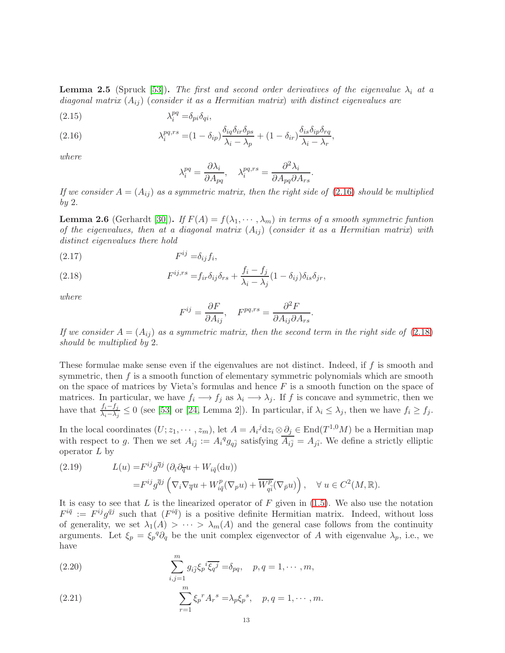<span id="page-12-4"></span>**Lemma 2.5** (Spruck [\[53\]](#page-43-7)). The first and second order derivatives of the eigenvalue  $\lambda_i$  at a diagonal matrix  $(A_{ij})$  (consider it as a Hermitian matrix) with distinct eigenvalues are

<span id="page-12-5"></span>
$$
(2.15) \t\t \t\t \lambda_i^{pq} = \delta_{pi}\delta_{qi},
$$

<span id="page-12-0"></span>(2.16) 
$$
\lambda_i^{pq,rs} = (1 - \delta_{ip}) \frac{\delta_{iq}\delta_{ir}\delta_{ps}}{\lambda_i - \lambda_p} + (1 - \delta_{ir}) \frac{\delta_{is}\delta_{ip}\delta_{rq}}{\lambda_i - \lambda_r},
$$

where

$$
\lambda_i^{pq} = \frac{\partial \lambda_i}{\partial A_{pq}}, \quad \lambda_i^{pq,rs} = \frac{\partial^2 \lambda_i}{\partial A_{pq} \partial A_{rs}}.
$$

If we consider  $A = (A_{ij})$  as a symmetric matrix, then the right side of [\(2.16\)](#page-12-0) should be multiplied by 2.

<span id="page-12-6"></span>**Lemma 2.6** (Gerhardt [\[30\]](#page-43-24)). If  $F(A) = f(\lambda_1, \dots, \lambda_m)$  in terms of a smooth symmetric funtion of the eigenvalues, then at a diagonal matrix  $(A_{ij})$  (consider it as a Hermitian matrix) with distinct eigenvalues there hold

$$
(2.17) \tF^{ij} = \delta_{ij} f_i,
$$

<span id="page-12-1"></span>(2.18) 
$$
F^{ij,rs} = f_{ir}\delta_{ij}\delta_{rs} + \frac{f_i - f_j}{\lambda_i - \lambda_j}(1 - \delta_{ij})\delta_{is}\delta_{jr},
$$

where

$$
F^{ij} = \frac{\partial F}{\partial A_{ij}}, \quad F^{pq,rs} = \frac{\partial^2 F}{\partial A_{ij} \partial A_{rs}}
$$

.

If we consider  $A = (A_{ij})$  as a symmetric matrix, then the second term in the right side of [\(2.18\)](#page-12-1) should be multiplied by 2.

These formulae make sense even if the eigenvalues are not distinct. Indeed, if f is smooth and symmetric, then  $f$  is a smooth function of elementary symmetric polynomials which are smooth on the space of matrices by Vieta's formulas and hence  $F$  is a smooth function on the space of matrices. In particular, we have  $f_i \longrightarrow f_j$  as  $\lambda_i \longrightarrow \lambda_j$ . If f is concave and symmetric, then we have that  $\frac{f_i - f_j}{\lambda_i - \lambda_j} \le 0$  (see [\[53\]](#page-43-7) or [\[24,](#page-42-19) Lemma 2]). In particular, if  $\lambda_i \le \lambda_j$ , then we have  $f_i \ge f_j$ .

In the local coordinates  $(U; z_1, \dots, z_m)$ , let  $A = A_i^j dz_i \otimes \partial_j \in \text{End}(T^{1,0}M)$  be a Hermitian map with respect to g. Then we set  $A_{i\bar{j}} := A_i{}^q g_{q\bar{j}}$  satisfying  $\overline{A_{i\bar{j}}} = A_{j\bar{i}}$ . We define a strictly elliptic operator  $L$  by

<span id="page-12-7"></span>(2.19) 
$$
L(u) = F^{ij}g^{\overline{q}j} (\partial_i \partial_{\overline{q}} u + W_{i\overline{q}}(du))
$$

$$
= F^{ij}g^{\overline{q}j} \left( \nabla_i \nabla_{\overline{q}} u + W_{i\overline{q}}^p (\nabla_p u) + \overline{W^p_{q\overline{i}}} (\nabla_{\overline{p}} u) \right), \quad \forall u \in C^2(M, \mathbb{R}).
$$

It is easy to see that  $L$  is the linearized operator of  $F$  given in [\(1.5\)](#page-1-4). We also use the notation  $F^{i\bar{q}} := F^{ij}g^{\bar{q}j}$  such that  $(F^{i\bar{q}})$  is a positive definite Hermitian matrix. Indeed, without loss of generality, we set  $\lambda_1(A) > \cdots > \lambda_m(A)$  and the general case follows from the continuity arguments. Let  $\xi_p = \xi_p^q \partial_q$  be the unit complex eigenvector of A with eigenvalue  $\lambda_p$ , i.e., we have

<span id="page-12-2"></span>(2.20) 
$$
\sum_{i,j=1}^{m} g_{i\bar{j}} \xi_p{}^{i} \overline{\xi_q{}^{j}} = \delta_{pq}, \quad p, q = 1, \cdots, m,
$$

<span id="page-12-3"></span>(2.21) 
$$
\sum_{r=1}^{m} \xi_p^r A_r^s = \lambda_p \xi_p^s, \quad p, q = 1, \cdots, m.
$$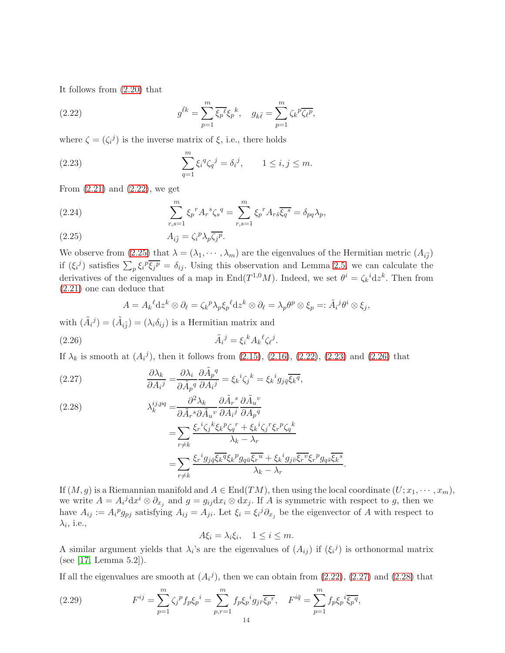It follows from [\(2.20\)](#page-12-2) that

<span id="page-13-0"></span>(2.22) 
$$
g^{\bar{\ell}k} = \sum_{p=1}^{m} \overline{\xi_p}^{\ell} \xi_p{}^{k}, \quad g_{k\bar{\ell}} = \sum_{p=1}^{m} \zeta_k{}^{p} \overline{\zeta_{\ell}{}^{p}},
$$

where  $\zeta = (\zeta_i^j)$  is the inverse matrix of  $\xi$ , i.e., there holds

<span id="page-13-2"></span>(2.23) 
$$
\sum_{q=1}^{m} \xi_i^q \zeta_q^j = \delta_i^j, \qquad 1 \le i, j \le m.
$$

From  $(2.21)$  and  $(2.22)$ , we get

<span id="page-13-6"></span>(2.24) 
$$
\sum_{r,s=1}^{m} \xi_p^r A_r^s \zeta_s^q = \sum_{r,s=1}^{m} \xi_p^r A_r \overline{s} \overline{\zeta_q^s} = \delta_{pq} \lambda_p,
$$

<span id="page-13-1"></span>(2.25) 
$$
A_{i\bar{j}} = \zeta_i^p \lambda_p \overline{\zeta_j^p}.
$$

We observe from  $(2.25)$  that  $\lambda = (\lambda_1, \dots, \lambda_m)$  are the eigenvalues of the Hermitian metric  $(A_{i\bar{j}})$ if  $(\xi_i)^j$  satisfies  $\sum_p \xi_i^p \overline{\xi_j^p} = \delta_{ij}$ . Using this observation and Lemma [2.5,](#page-12-4) we can calculate the derivatives of the eigenvalues of a map in End $(T^{1,0}M)$ . Indeed, we set  $\theta^i = \zeta_k{}^i \mathrm{d}z^k$ . Then from [\(2.21\)](#page-12-3) one can deduce that

<span id="page-13-3"></span>
$$
A = A_k{}^{\ell} \mathrm{d}z^k \otimes \partial_{\ell} = \zeta_k{}^p \lambda_p \zeta_p{}^{\ell} \mathrm{d}z^k \otimes \partial_{\ell} = \lambda_p \theta^p \otimes \zeta_p =: \tilde{A}_i{}^j \theta^i \otimes \zeta_j,
$$

with  $(\tilde{A}_i^j) = (\tilde{A}_{i\bar{j}}) = (\lambda_i \delta_{ij})$  is a Hermitian matrix and

$$
\tilde{A}_i{}^j = \xi_i{}^k A_k{}^\ell \zeta_\ell{}^j.
$$

If  $\lambda_k$  is smooth at  $(A_i^j)$ , then it follows from  $(2.15)$ ,  $(2.16)$ ,  $(2.22)$ ,  $(2.23)$  and  $(2.26)$  that

<span id="page-13-4"></span>(2.27) 
$$
\frac{\partial \lambda_k}{\partial A_i^j} = \frac{\partial \lambda_i}{\partial \tilde{A}_p^q} \frac{\partial \tilde{A}_p^q}{\partial A_i^j} = \xi_k{}^i \zeta_j{}^k = \xi_k{}^i g_{j\bar{q}} \overline{\xi_k}^q,
$$

<span id="page-13-5"></span>(2.28)  
\n
$$
\lambda_k^{ij,pq} = \frac{\partial^2 \lambda_k}{\partial \tilde{A}_r{}^s \partial \tilde{A}_u{}^v} \frac{\partial \tilde{A}_r{}^s}{\partial A_i{}^j} \frac{\partial \tilde{A}_u{}^v}{\partial A_p{}^q}
$$
\n
$$
= \sum_{r \neq k} \frac{\xi_r{}^i \zeta_j{}^k \xi_k{}^p \zeta_q{}^r + \xi_k{}^i \zeta_j{}^r \xi_r{}^p \zeta_q{}^k}{\lambda_k - \lambda_r}
$$
\n
$$
= \sum_{r \neq k} \frac{\xi_r{}^i g_{j\bar{q}} \overline{\xi_k}{}^q \xi_k{}^p g_{q\bar{u}} \overline{\xi_r}{}^u + \xi_k{}^i g_{j\bar{v}} \overline{\xi_r}{}^v \xi_r{}^p g_{q\bar{s}} \overline{\xi_k}{}^s}
$$

If  $(M, g)$  is a Riemannian manifold and  $A \in End(TM)$ , then using the local coordinate  $(U; x_1, \dots, x_m)$ , we write  $A = A_i^j dx^i \otimes \partial_{x_j}$  and  $g = g_{ij} dx_i \otimes dx_j$ . If A is symmetric with respect to g, then we have  $A_{ij} := A_i^p g_{pj}$  satisfying  $A_{ij} = A_{ji}$ . Let  $\xi_i = \xi_i^j \partial_{x_j}$  be the eigenvector of A with respect to  $\lambda_i$ , i.e.,

.

 $A\xi_i = \lambda_i \xi_i, \quad 1 \leq i \leq m.$ 

A similar argument yields that  $\lambda_i$ 's are the eigenvalues of  $(A_{ij})$  if  $(\xi_i^j)$  is orthonormal matrix (see [\[17,](#page-42-20) Lemma 5.2]).

If all the eigenvalues are smooth at  $(A_i^j)$ , then we can obtain from  $(2.22)$ ,  $(2.27)$  and  $(2.28)$  that

<span id="page-13-7"></span>(2.29) 
$$
F^{ij} = \sum_{p=1}^{m} \zeta_j^p f_p \zeta_p{}^i = \sum_{p,r=1}^{m} f_p \zeta_p{}^i g_{j\bar{r}} \overline{\zeta_p{}^r}, \quad F^{i\bar{q}} = \sum_{p=1}^{m} f_p \zeta_p{}^i \overline{\zeta_p{}^q},
$$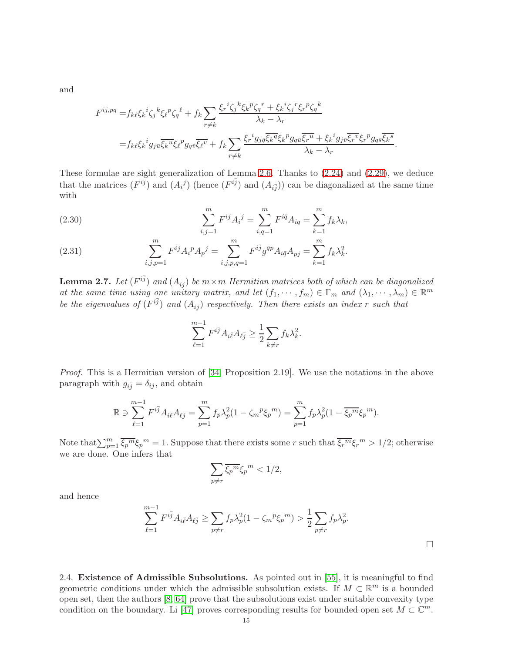and

$$
F^{ij,pq} = f_{k\ell} \xi_k{}^i \zeta_j{}^k \xi_{\ell}{}^p \zeta_q{}^{\ell} + f_k \sum_{r \neq k} \frac{\xi_r{}^i \zeta_j{}^k \xi_k{}^p \zeta_q{}^r + \xi_k{}^i \zeta_j{}^r \xi_r{}^p \zeta_q{}^k}{\lambda_k - \lambda_r}
$$
  
= 
$$
f_{k\ell} \xi_k{}^i g_{j\bar{u}} \overline{\xi_k{}^u} \xi_{\ell}{}^p g_{q\bar{v}} \overline{\xi_{\ell}{}^v} + f_k \sum_{r \neq k} \frac{\xi_r{}^i g_{j\bar{q}} \overline{\xi_k}{}^q \xi_k{}^p g_{q\bar{u}} \overline{\xi_r{}^u} + \xi_k{}^i g_{j\bar{v}} \overline{\xi_r{}^v} \xi_r{}^p g_{q\bar{s}} \overline{\xi_k}{}^s}{\lambda_k - \lambda_r}.
$$

These formulae are sight generalization of Lemma [2.6.](#page-12-6) Thanks to [\(2.24\)](#page-13-6) and [\(2.29\)](#page-13-7), we deduce that the matrices  $(F^{ij})$  and  $(A_i^j)$  (hence  $(F^{i\bar{j}})$  and  $(A_{i\bar{j}})$ ) can be diagonalized at the same time with

<span id="page-14-1"></span>(2.30) 
$$
\sum_{i,j=1}^{m} F^{ij} A_i{}^j = \sum_{i,q=1}^{m} F^{i\bar{q}} A_{i\bar{q}} = \sum_{k=1}^{m} f_k \lambda_k,
$$

(2.31) 
$$
\sum_{i,j,p=1}^m F^{ij} A_i^p A_p{}^j = \sum_{i,j,p,q=1}^m F^{i\bar{j}} g^{\bar{q}p} A_{i\bar{q}} A_{p\bar{j}} = \sum_{k=1}^m f_k \lambda_k^2.
$$

<span id="page-14-0"></span>**Lemma 2.7.** Let  $(F^{i\bar{j}})$  and  $(A_{i\bar{j}})$  be  $m \times m$  Hermitian matrices both of which can be diagonalized at the same time using one unitary matrix, and let  $(f_1, \dots, f_m) \in \Gamma_m$  and  $(\lambda_1, \dots, \lambda_m) \in \mathbb{R}^m$ be the eigenvalues of  $(F^{i\bar{j}})$  and  $(A_{i\bar{j}})$  respectively. Then there exists an index r such that

$$
\sum_{\ell=1}^{m-1} F^{i\bar{j}} A_{i\bar{\ell}} A_{\ell\bar{j}} \ge \frac{1}{2} \sum_{k \ne r} f_k \lambda_k^2.
$$

Proof. This is a Hermitian version of [\[34,](#page-43-2) Proposition 2.19]. We use the notations in the above paragraph with  $g_{i\bar{j}} = \delta_{ij}$ , and obtain

$$
\mathbb{R} \ni \sum_{\ell=1}^{m-1} F^{i\bar{j}} A_{i\bar{\ell}} A_{\ell\bar{j}} = \sum_{p=1}^{m} f_p \lambda_p^2 (1 - \zeta_m{}^p \xi_p{}^m) = \sum_{p=1}^{m} f_p \lambda_p^2 (1 - \overline{\xi_p}{}^m \xi_p{}^m).
$$

Note that  $\sum_{p=1}^m \overline{\xi_p^m} \xi_p^m = 1$ . Suppose that there exists some r such that  $\overline{\xi_r^m} \xi_r^m > 1/2$ ; otherwise we are done. One infers that

$$
\sum_{p \neq r} \overline{\xi_p^m} \xi_p^m < 1/2,
$$

and hence

$$
\sum_{\ell=1}^{m-1} F^{i\bar{j}} A_{i\bar{\ell}} A_{\ell\bar{j}} \ge \sum_{p \ne r} f_p \lambda_p^2 (1 - \zeta_m{}^p \zeta_p{}^m) > \frac{1}{2} \sum_{p \ne r} f_p \lambda_p^2.
$$

 $\Box$ 

2.4. Existence of Admissible Subsolutions. As pointed out in [\[55\]](#page-44-10), it is meaningful to find geometric conditions under which the admissible subsolution exists. If  $M \subset \mathbb{R}^m$  is a bounded open set, then the authors [\[8,](#page-42-0) [64\]](#page-44-0) prove that the subsolutions exist under suitable convexity type condition on the boundary. Li [\[47\]](#page-43-5) proves corresponding results for bounded open set  $M \subset \mathbb{C}^m$ .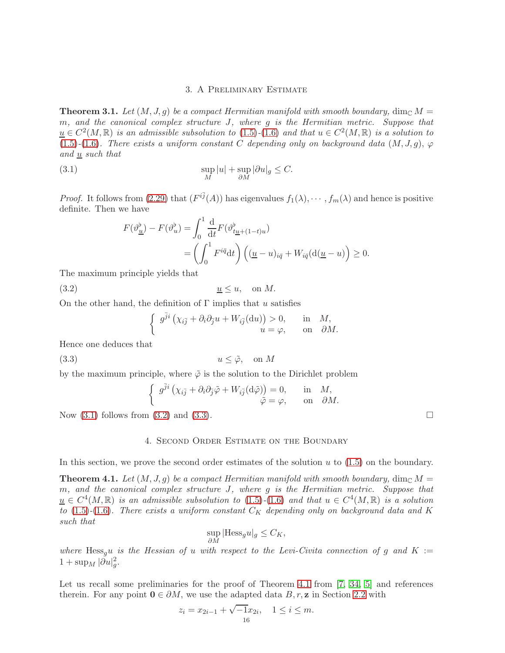## <span id="page-15-2"></span>3. A Preliminary Estimate

<span id="page-15-0"></span>**Theorem 3.1.** Let  $(M, J, g)$  be a compact Hermitian manifold with smooth boundary, dim<sub>C</sub>  $M =$ m, and the canonical complex structure J, where g is the Hermitian metric. Suppose that  $\underline{u} \in C^2(M, \mathbb{R})$  is an admissible subsolution to [\(1.5\)](#page-1-4)-[\(1.6\)](#page-1-5) and that  $u \in C^2(M, \mathbb{R})$  is a solution to [\(1.5\)](#page-1-4)-[\(1.6\)](#page-1-5). There exists a uniform constant C depending only on background data  $(M, J, g)$ ,  $\varphi$ and  $\underline{u}$  such that

(3.1) 
$$
\sup_{M}|u| + \sup_{\partial M}|\partial u|_{g} \leq C.
$$

*Proof.* It follows from [\(2.29\)](#page-13-7) that  $(F^{i\bar{j}}(A))$  has eigenvalues  $f_1(\lambda), \cdots, f_m(\lambda)$  and hence is positive definite. Then we have

$$
F(\vartheta_{\underline{u}}^{\flat}) - F(\vartheta_{u}^{\flat}) = \int_{0}^{1} \frac{d}{dt} F(\vartheta_{t\underline{u} + (1-t)u}^{\flat})
$$
  
= 
$$
\left(\int_{0}^{1} F^{i\overline{q}} dt\right) \left((\underline{u} - u)_{i\overline{q}} + W_{i\overline{q}}(d(\underline{u} - u)\right) \ge 0.
$$

The maximum principle yields that

(3.2)  $\underline{u} \leq u$ , on M.

On the other hand, the definition of  $\Gamma$  implies that u satisfies

<span id="page-15-3"></span>
$$
\begin{cases} g^{\bar{j}i} \left( \chi_{i\bar{j}} + \partial_i \partial_{\bar{j}} u + W_{i\bar{j}}(du) \right) > 0, & \text{in } M, \\ u = \varphi, & \text{on } \partial M. \end{cases}
$$

Hence one deduces that

$$
(3.3) \t\t u \le \tilde{\varphi}, \t on M
$$

by the maximum principle, where  $\tilde{\varphi}$  is the solution to the Dirichlet problem

<span id="page-15-4"></span>
$$
\begin{cases} g^{\bar{j}i} \left( \chi_{i\bar{j}} + \partial_i \partial_{\bar{j}} \tilde{\varphi} + W_{i\bar{j}} (\mathrm{d}\tilde{\varphi}) \right) = 0, & \text{in} \quad M, \\ \tilde{\varphi} = \varphi, & \text{on} \quad \partial M. \end{cases}
$$

<span id="page-15-1"></span>Now  $(3.1)$  follows from  $(3.2)$  and  $(3.3)$ .

## 4. Second Order Estimate on the Boundary

In this section, we prove the second order estimates of the solution  $u$  to  $(1.5)$  on the boundary.

<span id="page-15-5"></span>**Theorem 4.1.** Let  $(M, J, g)$  be a compact Hermitian manifold with smooth boundary,  $\dim_{\mathbb{C}} M =$ m, and the canonical complex structure J, where g is the Hermitian metric. Suppose that  $u \in C<sup>4</sup>(M,\mathbb{R})$  is an admissible subsolution to [\(1.5\)](#page-1-4)-[\(1.6\)](#page-1-5) and that  $u \in C<sup>4</sup>(M,\mathbb{R})$  is a solution to [\(1.5\)](#page-1-4)-[\(1.6\)](#page-1-5). There exists a uniform constant  $C_K$  depending only on background data and K such that

$$
\sup_{\partial M} | \text{Hess}_{g} u|_{g} \leq C_{K},
$$

where Hess<sub>g</sub>u is the Hessian of u with respect to the Levi-Civita connection of g and K :=  $1 + \sup_M |\partial u|_g^2$ .

Let us recall some preliminaries for the proof of Theorem [4.1](#page-15-5) from [\[7,](#page-42-4) [34,](#page-43-2) [5\]](#page-42-3) and references therein. For any point  $0 \in \partial M$ , we use the adapted data B, r, z in Section [2.2](#page-9-0) with

$$
z_i = x_{2i-1} + \sqrt{-1}x_{2i}, \quad 1 \le i \le m.
$$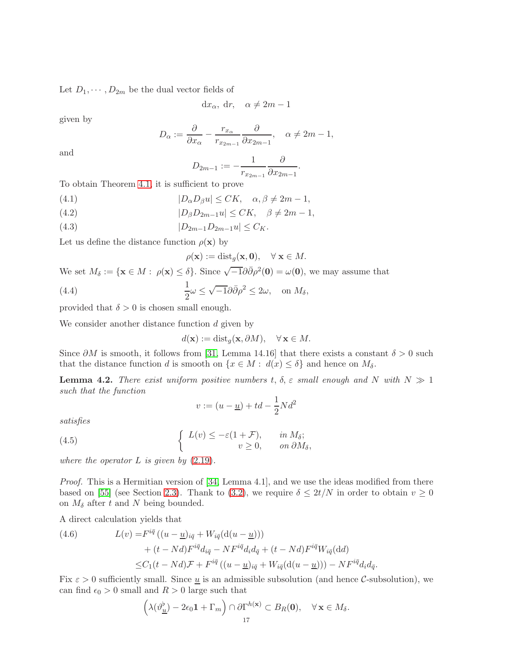Let  $D_1, \dots, D_{2m}$  be the dual vector fields of

$$
dx_{\alpha}, dr, \quad \alpha \neq 2m - 1
$$

given by

$$
D_{\alpha} := \frac{\partial}{\partial x_{\alpha}} - \frac{r_{x_{\alpha}}}{r_{x_{2m-1}}} \frac{\partial}{\partial x_{2m-1}}, \quad \alpha \neq 2m-1,
$$

and

$$
D_{2m-1} := -\frac{1}{r_{x_{2m-1}}} \frac{\partial}{\partial x_{2m-1}}.
$$

To obtain Theorem [4.1,](#page-15-5) it is sufficient to prove

<span id="page-16-2"></span>(4.1) 
$$
|D_{\alpha}D_{\beta}u| \leq CK, \quad \alpha, \beta \neq 2m-1,
$$

<span id="page-16-3"></span>(4.2) 
$$
|D_{\beta}D_{2m-1}u| \leq CK, \quad \beta \neq 2m-1,
$$

<span id="page-16-5"></span>(4.3) 
$$
|D_{2m-1}D_{2m-1}u| \leq C_K.
$$

Let us define the distance function  $\rho(\mathbf{x})$  by

<span id="page-16-4"></span>
$$
\rho(\mathbf{x}) := \text{dist}_g(\mathbf{x}, \mathbf{0}), \quad \forall \mathbf{x} \in M.
$$

We set  $M_{\delta} := \{ \mathbf{x} \in M : \rho(\mathbf{x}) \leq \delta \}.$  Since  $\sqrt{-1} \partial \overline{\partial} \rho^2(\mathbf{0}) = \omega(\mathbf{0}),$  we may assume that

(4.4) 
$$
\frac{1}{2}\omega \leq \sqrt{-1}\partial\bar{\partial}\rho^2 \leq 2\omega, \text{ on } M_{\delta},
$$

provided that  $\delta > 0$  is chosen small enough.

We consider another distance function  $d$  given by

$$
d(\mathbf{x}) := \text{dist}_g(\mathbf{x}, \partial M), \quad \forall \mathbf{x} \in M.
$$

Since  $\partial M$  is smooth, it follows from [\[31,](#page-43-21) Lemma 14.16] that there exists a constant  $\delta > 0$  such that the distance function d is smooth on  $\{x \in M : d(x) \leq \delta\}$  and hence on  $M_{\delta}$ .

**Lemma 4.2.** There exist uniform positive numbers t,  $\delta$ ,  $\varepsilon$  small enough and N with  $N \gg 1$ such that the function

<span id="page-16-1"></span>
$$
v := (u - \underline{u}) + td - \frac{1}{2}Nd^2
$$

satisfies

(4.5) 
$$
\begin{cases} L(v) \leq -\varepsilon (1 + \mathcal{F}), & \text{in } M_{\delta}; \\ v \geq 0, & \text{on } \partial M_{\delta}, \end{cases}
$$

where the operator  $L$  is given by  $(2.19)$ .

*Proof.* This is a Hermitian version of [\[34,](#page-43-2) Lemma 4.1], and we use the ideas modified from there based on [\[55\]](#page-44-10) (see Section [2.3\)](#page-11-0). Thank to [\(3.2\)](#page-15-3), we require  $\delta \leq 2t/N$  in order to obtain  $v \geq 0$ on  $M_{\delta}$  after t and N being bounded.

A direct calculation yields that

<span id="page-16-0"></span>(4.6) 
$$
L(v) = F^{i\bar{q}} ((u - \underline{u})_{i\bar{q}} + W_{i\bar{q}}(\underline{d}(u - \underline{u})))
$$

$$
+ (t - Nd)F^{i\bar{q}}d_{i\bar{q}} - NF^{i\bar{q}}d_i d_{\bar{q}} + (t - Nd)F^{i\bar{q}}W_{i\bar{q}}(\underline{d}d)
$$

$$
\leq C_1(t - Nd)\mathcal{F} + F^{i\bar{q}} ((u - \underline{u})_{i\bar{q}} + W_{i\bar{q}}(\underline{d}(u - \underline{u}))) - NF^{i\bar{q}}d_i d_{\bar{q}}.
$$

Fix  $\varepsilon > 0$  sufficiently small. Since  $\underline{u}$  is an admissible subsolution (and hence C-subsolution), we can find  $\epsilon_0 > 0$  small and  $R > 0$  large such that

$$
\left(\lambda(\vartheta_{\underline{u}}^{\flat}) - 2\epsilon_0 \mathbf{1} + \Gamma_m\right) \cap \partial \Gamma^{h(\mathbf{x})} \subset B_R(\mathbf{0}), \quad \forall \mathbf{x} \in M_{\delta}.
$$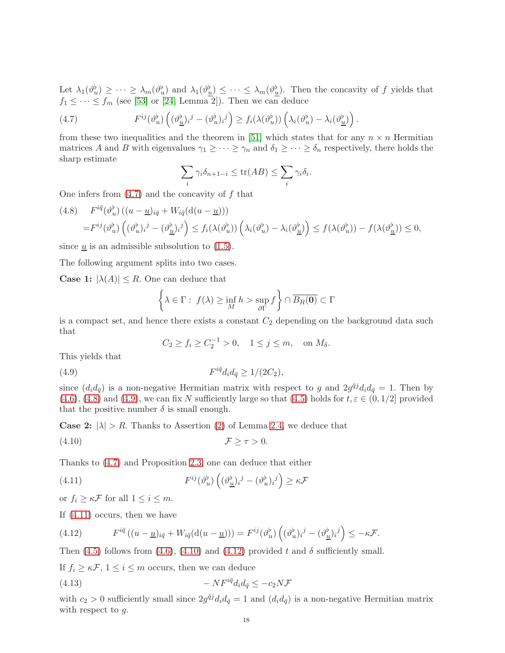Let  $\lambda_1(\vartheta_u^{\flat}) \geq \cdots \geq \lambda_m(\vartheta_u^{\flat})$  and  $\lambda_1(\vartheta_u^{\flat}) \leq \cdots \leq \lambda_m(\vartheta_u^{\flat})$ . Then the concavity of f yields that  $f_1 \leq \cdots \leq f_m$  (see [\[53\]](#page-43-7) or [\[24,](#page-42-19) Lemma 2]). Then we can deduce

(4.7) 
$$
F^{ij}(\vartheta_u^{\flat})\left((\vartheta_{\underline{u}}^{\flat})_i{}^j - (\vartheta_u^{\flat})_i{}^j\right) \geq f_i(\lambda(\vartheta_u^{\flat}))\left(\lambda_i(\vartheta_u^{\flat}) - \lambda_i(\vartheta_{\underline{u}}^{\flat})\right).
$$

from these two inequalities and the theorem in [\[51\]](#page-43-25) which states that for any  $n \times n$  Hermitian matrices A and B with eigenvalues  $\gamma_1 \geq \cdots \geq \gamma_n$  and  $\delta_1 \geq \cdots \geq \delta_n$  respectively, there holds the sharp estimate

<span id="page-17-0"></span>
$$
\sum_{i} \gamma_i \delta_{n+1-i} \le \text{tr}(AB) \le \sum_{i} \gamma_i \delta_i.
$$

One infers from  $(4.7)$  and the concavity of f that

<span id="page-17-1"></span>
$$
(4.8) \tF^{i\bar{q}}(\vartheta_u^{\flat})((u-\underline{u})_{i\bar{q}} + W_{i\bar{q}}(d(u-\underline{u})))
$$
  

$$
=F^{ij}(\vartheta_u^{\flat})((\vartheta_u^{\flat})_i^j - (\vartheta_{\underline{u}}^{\flat})_i^j) \le f_i(\lambda(\vartheta_u^{\flat}))(\lambda_i(\vartheta_u^{\flat}) - \lambda_i(\vartheta_{\underline{u}}^{\flat})) \le f(\lambda(\vartheta_u^{\flat})) - f(\lambda(\vartheta_{\underline{u}}^{\flat})) \le 0,
$$

since  $\underline{u}$  is an admissible subsolution to [\(1.5\)](#page-1-4).

The following argument splits into two cases.

**Case 1:**  $|\lambda(A)| \leq R$ . One can deduce that

$$
\left\{\lambda \in \Gamma: f(\lambda) \ge \inf_M h > \sup_{\partial \Gamma} f \right\} \cap \overline{B_R(\mathbf{0})} \subset \Gamma
$$

is a compact set, and hence there exists a constant  $C_2$  depending on the background data such that

<span id="page-17-4"></span><span id="page-17-2"></span>
$$
C_2 \ge f_i \ge C_2^{-1} > 0
$$
,  $1 \le j \le m$ , on  $M_\delta$ .

This yields that

$$
(4.9) \tF^{i\bar{q}}d_i d_{\bar{q}} \ge 1/(2C_2),
$$

since  $(d_i d_{\bar{q}})$  is a non-negative Hermitian matrix with respect to g and  $2g^{\bar{q}j}d_i d_{\bar{q}} = 1$ . Then by [\(4.6\)](#page-16-0), [\(4.8\)](#page-17-1) and [\(4.9\)](#page-17-2), we can fix N sufficiently large so that [\(4.5\)](#page-16-1) holds for  $t, \varepsilon \in (0, 1/2]$  provided that the positive number  $\delta$  is small enough.

**Case 2:**  $|\lambda| > R$ . Thanks to Assertion [\(2\)](#page-11-1) of Lemma [2.4,](#page-11-2) we deduce that

$$
\mathcal{F} \geq \tau > 0.
$$

Thanks to [\(4.7\)](#page-17-0) and Proposition [2.3,](#page-11-3) one can deduce that either

<span id="page-17-3"></span>(4.11) 
$$
F^{ij}(\vartheta_u^{\flat}) \left( (\vartheta_{\underline{u}}^{\flat})_i{}^j - (\vartheta_u^{\flat})_i{}^j \right) \geq \kappa \mathcal{F}
$$

or  $f_i \geq \kappa \mathcal{F}$  for all  $1 \leq i \leq m$ .

If [\(4.11\)](#page-17-3) occurs, then we have

<span id="page-17-5"></span>(4.12) 
$$
F^{i\bar{q}}((u-\underline{u})_{i\bar{q}}+W_{i\bar{q}}(d(u-\underline{u})))=F^{ij}(\vartheta_u^{\flat})\left((\vartheta_u^{\flat})_i{}^j-(\vartheta_{\underline{u}}^{\flat})_i{}^j\right)\leq -\kappa\mathcal{F}.
$$

Then [\(4.5\)](#page-16-1) follows from [\(4.6\)](#page-16-0), [\(4.10\)](#page-17-4) and [\(4.12\)](#page-17-5) provided t and  $\delta$  sufficiently small.

If  $f_i \geq \kappa \mathcal{F}, 1 \leq i \leq m$  occurs, then we can deduce

<span id="page-17-6"></span>
$$
(4.13)\qquad \qquad -NF^{i\bar{q}}d_id_{\bar{q}}\leq -c_2N\mathcal{F}
$$

with  $c_2 > 0$  sufficiently small since  $2g^{\bar{q}j}d_i d_{\bar{q}} = 1$  and  $(d_i d_{\bar{q}})$  is a non-negative Hermitian matrix with respect to g.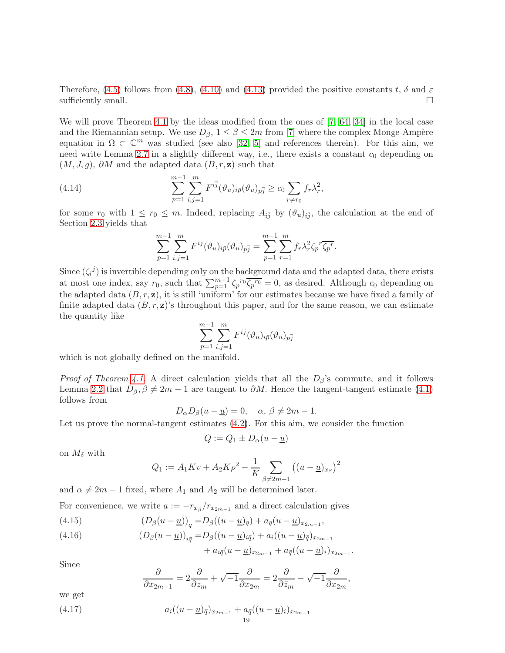Therefore, [\(4.5\)](#page-16-1) follows from [\(4.8\)](#page-17-1), [\(4.10\)](#page-17-4) and [\(4.13\)](#page-17-6) provided the positive constants t,  $\delta$  and  $\varepsilon$ sufficiently small.  $\Box$ 

We will prove Theorem [4.1](#page-15-5) by the ideas modified from the ones of [\[7,](#page-42-4) [64,](#page-44-0) [34\]](#page-43-2) in the local case and the Riemannian setup. We use  $D_{\beta}$ ,  $1 \leq \beta \leq 2m$  from [\[7\]](#page-42-4) where the complex Monge-Ampère equation in  $\Omega \subset \mathbb{C}^m$  was studied (see also [\[32,](#page-43-1) [5\]](#page-42-3) and references therein). For this aim, we need write Lemma  $2.7$  in a slightly different way, i.e., there exists a constant  $c_0$  depending on  $(M, J, g)$ ,  $\partial M$  and the adapted data  $(B, r, z)$  such that

(4.14) 
$$
\sum_{p=1}^{m-1} \sum_{i,j=1}^{m} F^{i\bar{j}}(\vartheta_u)_{i\bar{p}}(\vartheta_u)_{p\bar{j}} \ge c_0 \sum_{r \neq r_0} f_r \lambda_r^2,
$$

for some  $r_0$  with  $1 \leq r_0 \leq m$ . Indeed, replacing  $A_{i\bar{j}}$  by  $(\vartheta_u)_{i\bar{j}}$ , the calculation at the end of Section [2.3](#page-11-0) yields that

<span id="page-18-3"></span>
$$
\sum_{p=1}^{m-1} \sum_{i,j=1}^{m} F^{i\bar{j}} (\vartheta_u)_{i\bar{p}} (\vartheta_u)_{p\bar{j}} = \sum_{p=1}^{m-1} \sum_{r=1}^{m} f_r \lambda_r^2 \zeta_p^r \overline{\zeta_p^r}.
$$

Since  $(\zeta_i^j)$  is invertible depending only on the background data and the adapted data, there exists at most one index, say  $r_0$ , such that  $\sum_{p=1}^{m-1} \zeta_p^{r_0} \overline{\zeta_p^{r_0}} = 0$ , as desired. Although  $c_0$  depending on the adapted data  $(B, r, z)$ , it is still 'uniform' for our estimates because we have fixed a family of finite adapted data  $(B, r, z)$ 's throughout this paper, and for the same reason, we can estimate the quantity like

$$
\sum_{p=1}^{m-1}\sum_{i,j=1}^m F^{i\bar{j}}(\vartheta_u)_{i\bar{p}}(\vartheta_u)_{p\bar{j}}
$$

which is not globally defined on the manifold.

*Proof of Theorem [4.1.](#page-15-5)* A direct calculation yields that all the  $D_\beta$ 's commute, and it follows Lemma [2.2](#page-9-2) that  $D_\beta$ ,  $\beta \neq 2m-1$  are tangent to  $\partial M$ . Hence the tangent-tangent estimate [\(4.1\)](#page-16-2) follows from

$$
D_{\alpha}D_{\beta}(u - \underline{u}) = 0, \quad \alpha, \beta \neq 2m - 1.
$$

Let us prove the normal-tangent estimates [\(4.2\)](#page-16-3). For this aim, we consider the function

$$
Q:=Q_1\pm D_\alpha(u-\underline{u})
$$

on  $M_{\delta}$  with

$$
Q_1 := A_1 K v + A_2 K \rho^2 - \frac{1}{K} \sum_{\beta \neq 2m-1} ((u - \underline{u})_{x_{\beta}})^2
$$

and  $\alpha \neq 2m - 1$  fixed, where  $A_1$  and  $A_2$  will be determined later.

For convenience, we write  $a := -r_{x} / r_{x2m-1}$  and a direct calculation gives

<span id="page-18-0"></span>(4.15) 
$$
(D_{\beta}(u - \underline{u}))_{\bar{q}} = D_{\beta}((u - \underline{u})_{\bar{q}}) + a_{\bar{q}}(u - \underline{u})_{x_{2m-1}},
$$

<span id="page-18-1"></span>(4.16) 
$$
(D_{\beta}(u - \underline{u}))_{i\bar{q}} = D_{\beta}((u - \underline{u})_{i\bar{q}}) + a_i((u - \underline{u})_{\bar{q}})_{x_{2m-1}} + a_{i\bar{q}}((u - \underline{u})_{x_{2m-1}} + a_{\bar{q}}((u - \underline{u})_i)_{x_{2m-1}}.
$$

Since

$$
\frac{\partial}{\partial x_{2m-1}} = 2\frac{\partial}{\partial z_m} + \sqrt{-1}\frac{\partial}{\partial x_{2m}} = 2\frac{\partial}{\partial \bar{z}_m} - \sqrt{-1}\frac{\partial}{\partial x_{2m}},
$$

we get

<span id="page-18-2"></span>(4.17) 
$$
a_i((u - \underline{u})_{\bar{q}})_{x_{2m-1}} + a_{\bar{q}}((u - \underline{u})_i)_{x_{2m-1}}
$$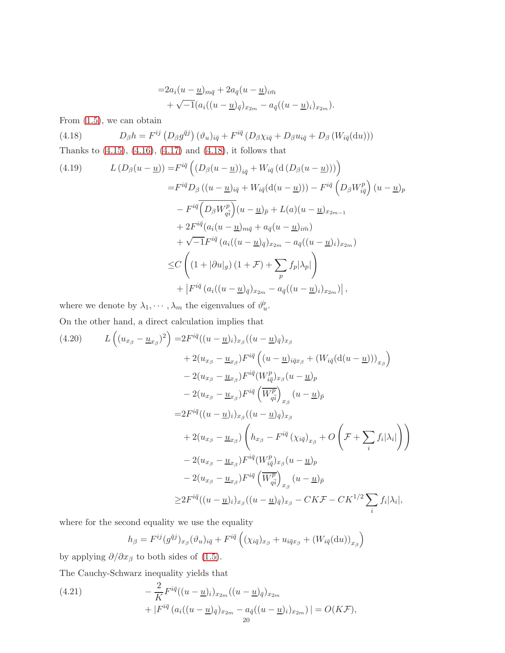<span id="page-19-0"></span>
$$
=2a_i(u-\underline{u})_{m\overline{q}}+2a_{\overline{q}}(u-\underline{u})_{i\overline{n}}+\sqrt{-1}(a_i((u-\underline{u})_{\overline{q}})_{x_{2m}}-a_{\overline{q}}((u-\underline{u})_i)_{x_{2m}}).
$$

From [\(1.5\)](#page-1-4), we can obtain

(4.18)  $D_{\beta}h = F^{ij} (D_{\beta}g^{\bar{q}j}) (\vartheta_u)_{i\bar{q}} + F^{i\bar{q}} (D_{\beta}\chi_{i\bar{q}} + D_{\beta}u_{i\bar{q}} + D_{\beta} (W_{i\bar{q}}(du)))$ Thanks to [\(4.15\)](#page-18-0), [\(4.16\)](#page-18-1), [\(4.17\)](#page-18-2) and [\(4.18\)](#page-19-0), it follows that

<span id="page-19-1"></span>(4.19) 
$$
L(D_{\beta}(u - \underline{u})) = F^{i\bar{q}} \left( (D_{\beta}(u - \underline{u}))_{i\bar{q}} + W_{i\bar{q}} \left( d \left( D_{\beta}(u - \underline{u}) \right) \right) \right)
$$

$$
= F^{i\bar{q}} D_{\beta} \left( (u - \underline{u})_{i\bar{q}} + W_{i\bar{q}} \left( d(u - \underline{u}) \right) \right) - F^{i\bar{q}} \left( D_{\beta} W_{i\bar{q}}^p \right) (u - \underline{u})_p
$$

$$
- F^{i\bar{q}} \left( D_{\beta} W_{q\bar{i}}^p \right) (u - \underline{u})_{\bar{p}} + L(a) (u - \underline{u})_{x_{2m-1}}
$$

$$
+ 2 F^{i\bar{q}} \left( a_i (u - \underline{u})_{m\bar{q}} + a_{\bar{q}} (u - \underline{u})_{i\bar{m}} \right)
$$

$$
+ \sqrt{-1} F^{i\bar{q}} \left( a_i ((u - \underline{u})_{\bar{q}})_{x_{2m}} - a_{\bar{q}} ((u - \underline{u})_i)_{x_{2m}} \right)
$$

$$
\leq C \left( (1 + |\partial u|_g) (1 + \mathcal{F}) + \sum_p f_p |\lambda_p| \right)
$$

$$
+ |F^{i\bar{q}} \left( a_i ((u - \underline{u})_{\bar{q}})_{x_{2m}} - a_{\bar{q}} ((u - \underline{u})_i)_{x_{2m}} \right) |,
$$

where we denote by  $\lambda_1, \dots, \lambda_m$  the eigenvalues of  $\vartheta_u^{\flat}$ .

On the other hand, a direct calculation implies that

<span id="page-19-2"></span>
$$
(4.20) \qquad L\left((u_{x_{\beta}} - \underline{u}_{x_{\beta}})^{2}\right) = 2F^{i\bar{q}}((u - \underline{u})_{i})_{x_{\beta}}((u - \underline{u})_{\bar{q}})_{x_{\beta}}+ 2(u_{x_{\beta}} - \underline{u}_{x_{\beta}})F^{i\bar{q}}((u - \underline{u})_{i\bar{q}x_{\beta}} + (W_{i\bar{q}}(\mathrm{d}(u - \underline{u})))_{x_{\beta}})- 2(u_{x_{\beta}} - \underline{u}_{x_{\beta}})F^{i\bar{q}}(W_{i\bar{q}}^{p})_{x_{\beta}}(u - \underline{u})_{p}- 2(u_{x_{\beta}} - \underline{u}_{x_{\beta}})F^{i\bar{q}}\left(\overline{W_{q\bar{i}}^{p}}\right)_{x_{\beta}}(u - \underline{u})_{\bar{p}}= 2F^{i\bar{q}}((u - \underline{u})_{i})_{x_{\beta}}((u - \underline{u})_{\bar{q}})_{x_{\beta}}+ 2(u_{x_{\beta}} - \underline{u}_{x_{\beta}})\left(h_{x_{\beta}} - F^{i\bar{q}}(X_{i\bar{q}})_{x_{\beta}} + O\left(\mathcal{F} + \sum_{i} f_{i}|\lambda_{i}|\right)\right)- 2(u_{x_{\beta}} - \underline{u}_{x_{\beta}})F^{i\bar{q}}(W_{i\bar{q}}^{p})_{x_{\beta}}(u - \underline{u})_{p}- 2(u_{x_{\beta}} - \underline{u}_{x_{\beta}})F^{i\bar{q}}\left(\overline{W_{q\bar{i}}^{p}}\right)_{x_{\beta}}(u - \underline{u})_{\bar{p}}\geq 2F^{i\bar{q}}((u - \underline{u})_{i})_{x_{\beta}}((u - \underline{u})_{\bar{q}})_{x_{\beta}} - CK\mathcal{F} - CK^{\frac{1}{2}}\sum_{i} f_{i}|\lambda_{i}|,
$$

where for the second equality we use the equality

$$
h_{\beta} = F^{ij}(g^{\bar{q}j})_{x_{\beta}}(\vartheta_u)_{i\bar{q}} + F^{i\bar{q}}((\chi_{i\bar{q}})_{x_{\beta}} + u_{i\bar{q}x_{\beta}} + (W_{i\bar{q}}(\mathrm{d}u))_{x_{\beta}})
$$

by applying  $\partial/\partial x_\beta$  to both sides of [\(1.5\)](#page-1-4).

The Cauchy-Schwarz inequality yields that

<span id="page-19-3"></span>(4.21) 
$$
- \frac{2}{K} F^{i\bar{q}}((u - \underline{u})_i)_{x_{2m}}((u - \underline{u})_{\bar{q}})_{x_{2m}} + |F^{i\bar{q}}(a_i((u - \underline{u})_{\bar{q}})_{x_{2m}} - a_{\bar{q}}((u - \underline{u})_i)_{x_{2m}})| = O(K\mathcal{F}),
$$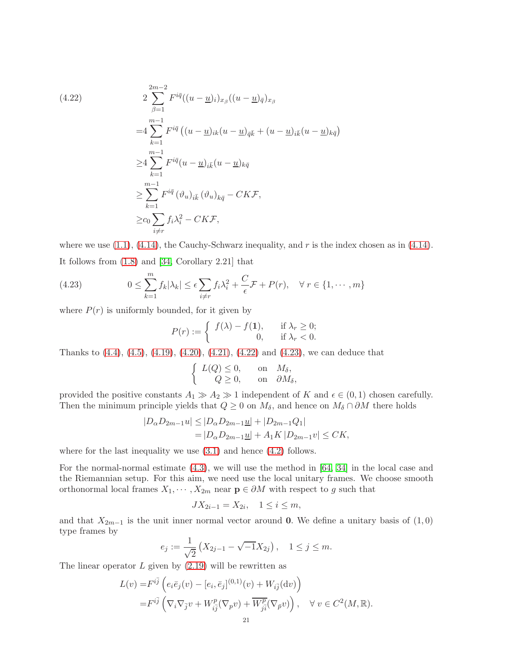<span id="page-20-0"></span>(4.22)  
\n
$$
2 \sum_{\beta=1}^{2m-2} F^{i\bar{q}} ((u - \underline{u})_i)_{x_{\beta}} ((u - \underline{u})_{\bar{q}})_{x_{\beta}}
$$
\n
$$
= 4 \sum_{k=1}^{m-1} F^{i\bar{q}} ((u - \underline{u})_{ik} (u - \underline{u})_{\bar{q}\bar{k}} + (u - \underline{u})_{i\bar{k}} (u - \underline{u})_{k\bar{q}})
$$
\n
$$
\geq 4 \sum_{k=1}^{m-1} F^{i\bar{q}} (u - \underline{u})_{i\bar{k}} (u - \underline{u})_{k\bar{q}}
$$
\n
$$
\geq \sum_{k=1}^{m-1} F^{i\bar{q}} (\vartheta_{u})_{i\bar{k}} (\vartheta_{u})_{k\bar{q}} - CK\mathcal{F},
$$
\n
$$
\geq c_0 \sum_{i \neq r} f_i \lambda_i^2 - CK\mathcal{F},
$$

where we use  $(1.1)$ ,  $(4.14)$ , the Cauchy-Schwarz inequality, and r is the index chosen as in  $(4.14)$ . It follows from [\(1.8\)](#page-1-6) and [\[34,](#page-43-2) Corollary 2.21] that

(4.23) 
$$
0 \leq \sum_{k=1}^{m} f_k |\lambda_k| \leq \epsilon \sum_{i \neq r} f_i \lambda_i^2 + \frac{C}{\epsilon} \mathcal{F} + P(r), \quad \forall r \in \{1, \cdots, m\}
$$

where  $P(r)$  is uniformly bounded, for it given by

<span id="page-20-1"></span>
$$
P(r) := \begin{cases} f(\lambda) - f(1), & \text{if } \lambda_r \ge 0; \\ 0, & \text{if } \lambda_r < 0. \end{cases}
$$

Thanks to [\(4.4\)](#page-16-4), [\(4.5\)](#page-16-1), [\(4.19\)](#page-19-1), [\(4.20\)](#page-19-2), [\(4.21\)](#page-19-3), [\(4.22\)](#page-20-0) and [\(4.23\)](#page-20-1), we can deduce that

$$
\left\{\begin{array}{ccc} L(Q)\leq 0, &\text{ on} & M_\delta, \\ Q\geq 0, &\text{ on} & \partial M_\delta, \end{array}\right.
$$

provided the positive constants  $A_1 \gg A_2 \gg 1$  independent of K and  $\epsilon \in (0,1)$  chosen carefully. Then the minimum principle yields that  $Q \geq 0$  on  $M_{\delta}$ , and hence on  $M_{\delta} \cap \partial M$  there holds

$$
|D_{\alpha}D_{2m-1}u| \le |D_{\alpha}D_{2m-1}\underline{u}| + |D_{2m-1}Q_1|
$$
  
=  $|D_{\alpha}D_{2m-1}\underline{u}| + A_1K|D_{2m-1}v| \le CK,$ 

where for the last inequality we use  $(3.1)$  and hence  $(4.2)$  follows.

For the normal-normal estimate [\(4.3\)](#page-16-5), we will use the method in [\[64,](#page-44-0) [34\]](#page-43-2) in the local case and the Riemannian setup. For this aim, we need use the local unitary frames. We choose smooth orthonormal local frames  $X_1, \dots, X_{2m}$  near  $\mathbf{p} \in \partial M$  with respect to g such that

$$
JX_{2i-1} = X_{2i}, \quad 1 \le i \le m,
$$

and that  $X_{2m-1}$  is the unit inner normal vector around 0. We define a unitary basis of  $(1,0)$ type frames by

$$
e_j := \frac{1}{\sqrt{2}} \left( X_{2j-1} - \sqrt{-1} X_{2j} \right), \quad 1 \le j \le m.
$$

The linear operator  $L$  given by  $(2.19)$  will be rewritten as

$$
L(v) = F^{i\overline{j}} \left( e_i \overline{e}_j(v) - [e_i, \overline{e}_j]^{(0,1)}(v) + W_{i\overline{j}}(dv) \right)
$$
  

$$
= F^{i\overline{j}} \left( \nabla_i \nabla_{\overline{j}} v + W^p_{i\overline{j}} (\nabla_p v) + \overline{W^p_{j\overline{i}}} (\nabla_{\overline{p}} v) \right), \quad \forall v \in C^2(M, \mathbb{R}).
$$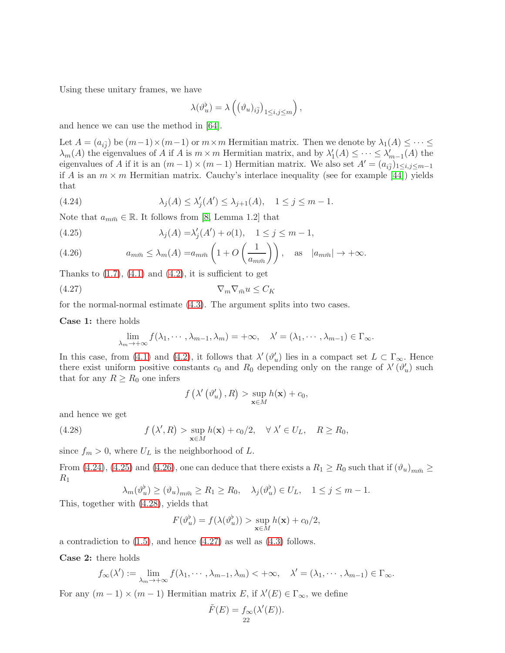Using these unitary frames, we have

$$
\lambda(\vartheta^\flat_u)=\lambda\left(\left(\vartheta_u)_{i\bar{j}}\right)_{1\leq i,j\leq m}\right),
$$

and hence we can use the method in [\[64\]](#page-44-0).

Let  $A = (a_{i\bar{j}})$  be  $(m-1) \times (m-1)$  or  $m \times m$  Hermitian matrix. Then we denote by  $\lambda_1(A) \leq \cdots \leq$  $\lambda_m(A)$  the eigenvalues of A if A is  $m \times m$  Hermitian matrix, and by  $\lambda'_1(A) \leq \cdots \leq \lambda'_{m-1}(A)$  the eigenvalues of A if it is an  $(m-1) \times (m-1)$  Hermitian matrix. We also set  $A' = (a_{i\bar{j}})_{1 \le i,j \le m-1}$ if A is an  $m \times m$  Hermitian matrix. Cauchy's interlace inequality (see for example [\[44\]](#page-43-26)) yields that

<span id="page-21-0"></span>(4.24) 
$$
\lambda_j(A) \leq \lambda'_j(A') \leq \lambda_{j+1}(A), \quad 1 \leq j \leq m-1.
$$

Note that  $a_{m\bar{m}} \in \mathbb{R}$ . It follows from [\[8,](#page-42-0) Lemma 1.2] that

<span id="page-21-1"></span>(4.25) 
$$
\lambda_j(A) = \lambda'_j(A') + o(1), \quad 1 \le j \le m - 1,
$$

<span id="page-21-2"></span>(4.26) 
$$
a_{m\bar{m}} \leq \lambda_m(A) = a_{m\bar{m}} \left( 1 + O\left(\frac{1}{a_{m\bar{m}}}\right) \right), \text{ as } |a_{m\bar{m}}| \to +\infty.
$$

Thanks to  $(1.7)$ ,  $(4.1)$  and  $(4.2)$ , it is sufficient to get

$$
\nabla_m \nabla_{\bar{m}} u \le C_K
$$

for the normal-normal estimate [\(4.3\)](#page-16-5). The argument splits into two cases.

Case 1: there holds

$$
\lim_{\lambda_m \to +\infty} f(\lambda_1, \cdots, \lambda_{m-1}, \lambda_m) = +\infty, \quad \lambda' = (\lambda_1, \cdots, \lambda_{m-1}) \in \Gamma_{\infty}.
$$

In this case, from [\(4.1\)](#page-16-2) and [\(4.2\)](#page-16-3), it follows that  $\lambda'(\vartheta'_u)$  lies in a compact set  $L \subset \Gamma_{\infty}$ . Hence there exist uniform positive constants  $c_0$  and  $R_0$  depending only on the range of  $\lambda'(\vartheta_u')$  such that for any  $R \geq R_0$  one infers

<span id="page-21-4"></span><span id="page-21-3"></span>
$$
f\left(\lambda'\left(\vartheta'_u\right),R\right) > \sup_{\mathbf{x}\in M} h(\mathbf{x}) + c_0,
$$

and hence we get

(4.28) 
$$
f(\lambda', R) > \sup_{\mathbf{x} \in M} h(\mathbf{x}) + c_0/2, \quad \forall \lambda' \in U_L, \quad R \ge R_0,
$$

since  $f_m > 0$ , where  $U_L$  is the neighborhood of  $L$ .

From [\(4.24\)](#page-21-0), [\(4.25\)](#page-21-1) and [\(4.26\)](#page-21-2), one can deduce that there exists a  $R_1 \ge R_0$  such that if  $(\vartheta_u)_{m\bar{m}} \ge$  $R_1$ 

$$
\lambda_m(\vartheta_u^{\flat}) \ge (\vartheta_u)_{m\bar{m}} \ge R_1 \ge R_0, \quad \lambda_j(\vartheta_u^{\flat}) \in U_L, \quad 1 \le j \le m-1.
$$

This, together with [\(4.28\)](#page-21-3), yields that

$$
F(\vartheta_u^{\flat}) = f(\lambda(\vartheta_u^{\flat})) > \sup_{\mathbf{x} \in M} h(\mathbf{x}) + c_0/2,
$$

a contradiction to  $(1.5)$ , and hence  $(4.27)$  as well as  $(4.3)$  follows.

Case 2: there holds

$$
f_{\infty}(\lambda') := \lim_{\lambda_m \to +\infty} f(\lambda_1, \cdots, \lambda_{m-1}, \lambda_m) < +\infty, \quad \lambda' = (\lambda_1, \cdots, \lambda_{m-1}) \in \Gamma_{\infty}.
$$

For any  $(m-1) \times (m-1)$  Hermitian matrix  $E$ , if  $\lambda'(E) \in \Gamma_{\infty}$ , we define

$$
\tilde{F}(E) = f_{\infty}(\lambda'(E)).
$$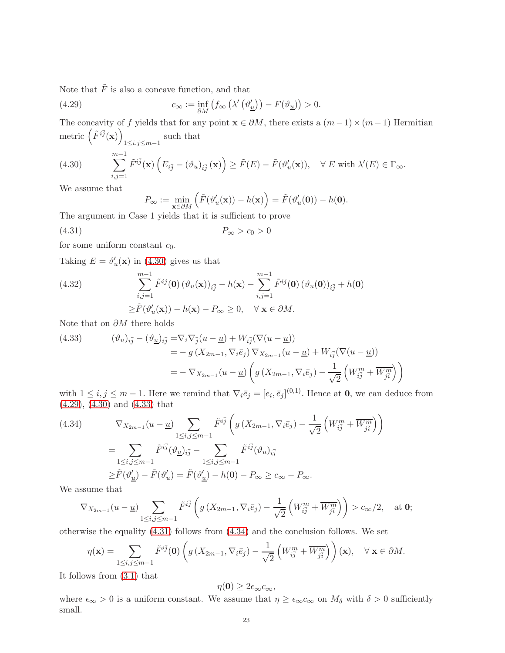Note that  $\tilde{F}$  is also a concave function, and that

(4.29) 
$$
c_{\infty} := \inf_{\partial M} \left( f_{\infty} \left( \lambda' \left( \vartheta'_{\underline{u}} \right) \right) - F(\vartheta_{\underline{u}}) \right) > 0.
$$

The concavity of f yields that for any point  $\mathbf{x} \in \partial M$ , there exists a  $(m-1) \times (m-1)$  Hermitian metric  $(\tilde{F}^{i\bar{j}}(\mathbf{x}))$ 1≤*i*,*j*≤*m*-1<sup>such</sup> that

(4.30) 
$$
\sum_{i,j=1}^{m-1} \tilde{F}^{i\bar{j}}(\mathbf{x}) \left( E_{i\bar{j}} - (\vartheta_u)_{i\bar{j}}(\mathbf{x}) \right) \geq \tilde{F}(E) - \tilde{F}(\vartheta'_u(\mathbf{x})), \quad \forall E \text{ with } \lambda'(E) \in \Gamma_{\infty}.
$$

We assume that

<span id="page-22-3"></span><span id="page-22-1"></span><span id="page-22-0"></span>
$$
P_{\infty} := \min_{\mathbf{x} \in \partial M} \left( \tilde{F}(\vartheta_u'(\mathbf{x})) - h(\mathbf{x}) \right) = \tilde{F}(\vartheta_u'(\mathbf{0})) - h(\mathbf{0}).
$$

The argument in Case 1 yields that it is sufficient to prove

$$
(4.31) \t\t P_{\infty} > c_0 > 0
$$

for some uniform constant  $c_0$ .

Taking  $E = \vartheta'_u(\mathbf{x})$  in [\(4.30\)](#page-22-0) gives us that

<span id="page-22-5"></span>(4.32) 
$$
\sum_{i,j=1}^{m-1} \tilde{F}^{i\bar{j}}(0) \left(\vartheta_u(\mathbf{x})\right)_{i\bar{j}} - h(\mathbf{x}) - \sum_{i,j=1}^{m-1} \tilde{F}^{i\bar{j}}(0) \left(\vartheta_u(0)\right)_{i\bar{j}} + h(0) \n\geq \tilde{F}(\vartheta_u'(\mathbf{x})) - h(\mathbf{x}) - P_{\infty} \geq 0, \quad \forall \mathbf{x} \in \partial M.
$$

Note that on  $\partial M$  there holds

<span id="page-22-2"></span>(4.33) 
$$
(\vartheta_u)_{i\overline{j}} - (\vartheta_{\underline{u}})_{i\overline{j}} = \nabla_i \nabla_{\overline{j}} (u - \underline{u}) + W_{i\overline{j}} (\nabla (u - \underline{u}))
$$
  
\n
$$
= -g (X_{2m-1}, \nabla_i \overline{e}_j) \nabla_{X_{2m-1}} (u - \underline{u}) + W_{i\overline{j}} (\nabla (u - \underline{u}))
$$
  
\n
$$
= - \nabla_{X_{2m-1}} (u - \underline{u}) \left( g (X_{2m-1}, \nabla_i \overline{e}_j) - \frac{1}{\sqrt{2}} \left( W_{i\overline{j}}^m + \overline{W_{j\overline{i}}^m} \right) \right)
$$

with  $1 \leq i, j \leq m-1$ . Here we remind that  $\nabla_i \bar{e}_j = [e_i, \bar{e}_j]^{(0,1)}$ . Hence at **0**, we can deduce from [\(4.29\)](#page-22-1), [\(4.30\)](#page-22-0) and [\(4.33\)](#page-22-2) that

<span id="page-22-4"></span>(4.34) 
$$
\nabla_{X_{2m-1}}(u - \underline{u}) \sum_{1 \le i,j \le m-1} \tilde{F}^{i\overline{j}} \left( g\left(X_{2m-1}, \nabla_i \bar{e}_j\right) - \frac{1}{\sqrt{2}} \left( W_{i\overline{j}}^m + \overline{W_{j\overline{i}}}^m \right) \right)
$$
  
\n
$$
= \sum_{1 \le i,j \le m-1} \tilde{F}^{i\overline{j}} (\vartheta_{\underline{u}})_{i\overline{j}} - \sum_{1 \le i,j \le m-1} \tilde{F}^{i\overline{j}} (\vartheta_{u})_{i\overline{j}}
$$
  
\n
$$
\ge \tilde{F}(\vartheta'_{\underline{u}}) - \tilde{F}(\vartheta'_{u}) = \tilde{F}(\vartheta'_{\underline{u}}) - h(\mathbf{0}) - P_{\infty} \ge c_{\infty} - P_{\infty}.
$$

We assume that

$$
\nabla_{X_{2m-1}}(u-\underline{u})\sum_{1\leq i,j\leq m-1}\tilde{F}^{i\bar{j}}\left(g\left(X_{2m-1},\nabla_{i}\bar{e}_{j}\right)-\frac{1}{\sqrt{2}}\left(W_{i\bar{j}}^{m}+\overline{W_{j\bar{i}}^{m}}\right)\right)>c_{\infty}/2,\quad\text{at}\;0;
$$

otherwise the equality [\(4.31\)](#page-22-3) follows from [\(4.34\)](#page-22-4) and the conclusion follows. We set

$$
\eta(\mathbf{x}) = \sum_{1 \le i,j \le m-1} \tilde{F}^{i\bar{j}}(\mathbf{0}) \left( g\left(X_{2m-1}, \nabla_i \bar{e}_j\right) - \frac{1}{\sqrt{2}} \left( W_{i\bar{j}}^m + \overline{W_{j\bar{i}}^m} \right) \right)(\mathbf{x}), \quad \forall \mathbf{x} \in \partial M.
$$

It follows from [\(3.1\)](#page-15-2) that

$$
\eta(\mathbf{0}) \geq 2\epsilon_{\infty}c_{\infty},
$$

where  $\epsilon_{\infty} > 0$  is a uniform constant. We assume that  $\eta \geq \epsilon_{\infty} c_{\infty}$  on  $M_{\delta}$  with  $\delta > 0$  sufficiently small.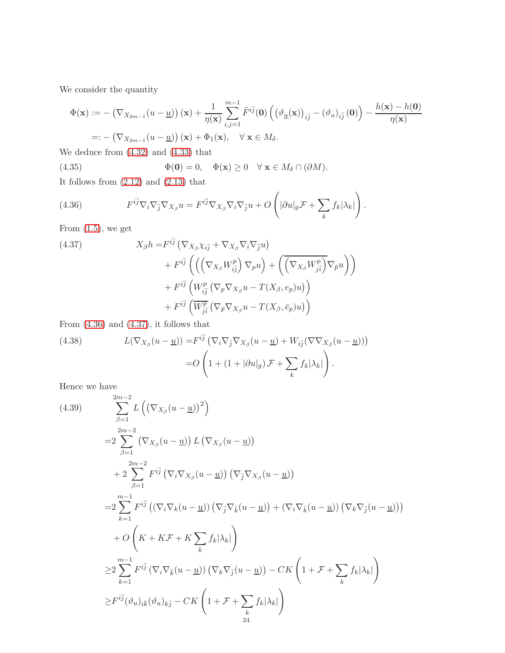We consider the quantity

$$
\Phi(\mathbf{x}) := -(\nabla_{X_{2m-1}}(u-\underline{u}))(\mathbf{x}) + \frac{1}{\eta(\mathbf{x})} \sum_{i,j=1}^{m-1} \tilde{F}^{i\bar{j}}(\mathbf{0}) \left( \left( \vartheta_{\underline{u}}(\mathbf{x}) \right)_{i\bar{j}} - \left( \vartheta_{u} \right)_{i\bar{j}}(\mathbf{0}) \right) - \frac{h(\mathbf{x}) - h(\mathbf{0})}{\eta(\mathbf{x})}
$$
  
=: -(\nabla\_{X\_{2m-1}}(u-\underline{u}))(\mathbf{x}) + \Phi\_{1}(\mathbf{x}), \quad \forall \mathbf{x} \in M\_{\delta}.

We deduce from [\(4.32\)](#page-22-5) and [\(4.33\)](#page-22-2) that

<span id="page-23-2"></span>(4.35) 
$$
\Phi(\mathbf{0}) = 0, \quad \Phi(\mathbf{x}) \ge 0 \quad \forall \mathbf{x} \in M_{\delta} \cap (\partial M).
$$

It follows from  $(2.12)$  and  $(2.13)$  that

<span id="page-23-0"></span>(4.36) 
$$
F^{i\bar{j}} \nabla_i \nabla_{\bar{j}} \nabla_{X_\beta} u = F^{i\bar{j}} \nabla_{X_\beta} \nabla_i \nabla_{\bar{j}} u + O\left(|\partial u|_g \mathcal{F} + \sum_k f_k |\lambda_k|\right).
$$

From  $(1.5)$ , we get

<span id="page-23-1"></span>(4.37)  
\n
$$
X_{\beta}h = F^{i\bar{j}} \left( \nabla_{X_{\beta}} \chi_{i\bar{j}} + \nabla_{X_{\beta}} \nabla_{i} \nabla_{\bar{j}} u \right) \n+ F^{i\bar{j}} \left( \left( \left( \nabla_{X_{\beta}} W_{i\bar{j}}^{p} \right) \nabla_{p} u \right) + \left( \overline{\left( \nabla_{X_{\beta}} W_{j\bar{i}}^{p} \right)} \nabla_{\bar{p}} u \right) \right) \n+ F^{i\bar{j}} \left( W_{i\bar{j}}^{p} \left( \nabla_{p} \nabla_{X_{\beta}} u - T(X_{\beta}, e_{p}) u \right) \right) \n+ F^{i\bar{j}} \left( \overline{W_{j\bar{i}}^{p}} \left( \nabla_{\bar{p}} \nabla_{X_{\beta}} u - T(X_{\beta}, \bar{e}_{p}) u \right) \right)
$$

From  $(4.36)$  and  $(4.37)$ , it follows that

<span id="page-23-3"></span>(4.38) 
$$
L(\nabla_{X_{\beta}}(u - \underline{u})) = F^{i\overline{j}} (\nabla_{i}\nabla_{\overline{j}}\nabla_{X_{\beta}}(u - \underline{u}) + W_{i\overline{j}}(\nabla\nabla_{X_{\beta}}(u - \underline{u})))
$$

$$
= O\left(1 + (1 + |\partial u|_{g})\mathcal{F} + \sum_{k} f_{k}|\lambda_{k}|\right).
$$

Hence we have

<span id="page-23-4"></span>(4.39) 
$$
\sum_{\beta=1}^{2m-2} L\left(\left(\nabla_{X_{\beta}}(u-\underline{u})\right)^{2}\right)
$$
  
\n
$$
=2\sum_{\beta=1}^{2m-2} \left(\nabla_{X_{\beta}}(u-\underline{u})\right) L\left(\nabla_{X_{\beta}}(u-\underline{u})\right)
$$
  
\n
$$
+2\sum_{\beta=1}^{2m-2} F^{i\bar{j}}\left(\nabla_{i}\nabla_{X_{\beta}}(u-\underline{u})\right) \left(\nabla_{\bar{j}}\nabla_{X_{\beta}}(u-\underline{u})\right)
$$
  
\n
$$
=2\sum_{k=1}^{m-1} F^{i\bar{j}}\left(\left(\nabla_{i}\nabla_{k}(u-\underline{u})\right)\left(\nabla_{\bar{j}}\nabla_{\bar{k}}(u-\underline{u})\right) + \left(\nabla_{i}\nabla_{\bar{k}}(u-\underline{u})\right)\left(\nabla_{k}\nabla_{\bar{j}}(u-\underline{u})\right)\right)
$$
  
\n
$$
+O\left(K + K\mathcal{F} + K\sum_{k} f_{k}|\lambda_{k}|\right)
$$
  
\n
$$
\geq 2\sum_{k=1}^{m-1} F^{i\bar{j}}\left(\nabla_{i}\nabla_{\bar{k}}(u-\underline{u})\right)\left(\nabla_{k}\nabla_{\bar{j}}(u-\underline{u})\right) - CK\left(1 + \mathcal{F} + \sum_{k} f_{k}|\lambda_{k}|\right)
$$
  
\n
$$
\geq F^{i\bar{j}}(\vartheta_{u})_{i\bar{k}}(\vartheta_{u})_{k\bar{j}} - CK\left(1 + \mathcal{F} + \sum_{k} f_{k}|\lambda_{k}|\right)
$$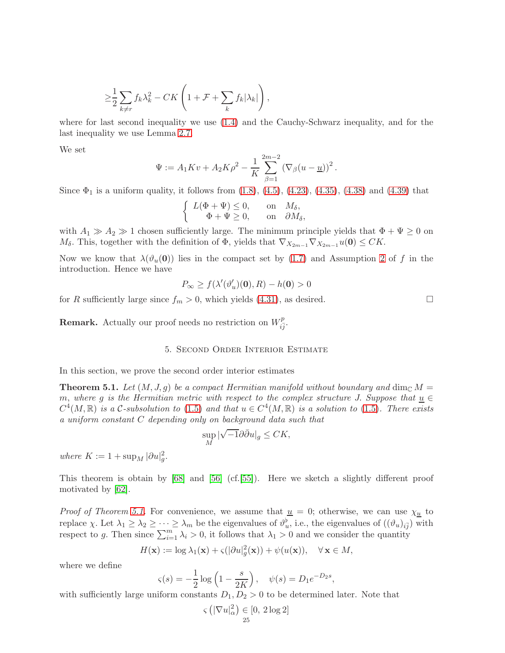$$
\geq \frac{1}{2} \sum_{k \neq r} f_k \lambda_k^2 - C K \left( 1 + \mathcal{F} + \sum_k f_k |\lambda_k| \right),
$$

where for last second inequality we use [\(1.4\)](#page-0-2) and the Cauchy-Schwarz inequality, and for the last inequality we use Lemma [2.7.](#page-14-0)

We set

$$
\Psi := A_1 K v + A_2 K \rho^2 - \frac{1}{K} \sum_{\beta=1}^{2m-2} (\nabla_{\beta} (u - \underline{u}))^2.
$$

Since  $\Phi_1$  is a uniform quality, it follows from  $(1.8)$ ,  $(4.5)$ ,  $(4.23)$ ,  $(4.35)$ ,  $(4.38)$  and  $(4.39)$  that

$$
\left\{\begin{array}{ccc} L(\Phi+\Psi)\leq 0, & \textrm{on} & M_\delta, \\ \Phi+\Psi\geq 0, & \textrm{on} & \partial M_\delta, \end{array}\right.
$$

with  $A_1 \gg A_2 \gg 1$  chosen sufficiently large. The minimum principle yields that  $\Phi + \Psi \ge 0$  on  $M_{\delta}$ . This, together with the definition of  $\Phi$ , yields that  $\nabla_{X_{2m-1}}\nabla_{X_{2m-1}}u(\mathbf{0})\leq CK$ .

Now we know that  $\lambda(\vartheta_u(0))$  lies in the compact set by [\(1.7\)](#page-1-7) and Assumption [2](#page-1-3) of f in the introduction. Hence we have

$$
P_{\infty} \ge f(\lambda'(\vartheta'_u)(0), R) - h(0) > 0
$$

for R sufficiently large since  $f_m > 0$ , which yields [\(4.31\)](#page-22-3), as desired.

<span id="page-24-0"></span>**Remark.** Actually our proof needs no restriction on  $W_{i\bar{j}}^p$ .

## 5. Second Order Interior Estimate

In this section, we prove the second order interior estimates

<span id="page-24-1"></span>**Theorem 5.1.** Let  $(M, J, g)$  be a compact Hermitian manifold without boundary and dim<sub>C</sub> M = m, where g is the Hermitian metric with respect to the complex structure J. Suppose that  $\underline{u} \in$  $C^4(M,\mathbb{R})$  is a C-subsolution to [\(1.5\)](#page-1-4) and that  $u \in C^4(M,\mathbb{R})$  is a solution to (1.5). There exists a uniform constant C depending only on background data such that

$$
\sup_{M} |\sqrt{-1}\partial \bar{\partial} u|_{g} \leq CK,
$$

where  $K := 1 + \sup_M |\partial u|_g^2$ .

This theorem is obtain by [\[68\]](#page-44-2) and [\[56\]](#page-44-3) (cf.[\[55\]](#page-44-10)). Here we sketch a slightly different proof motivated by [\[62\]](#page-44-5).

*Proof of Theorem [5.1.](#page-24-1)* For convenience, we assume that  $u = 0$ ; otherwise, we can use  $\chi_{u}$  to replace  $\chi$ . Let  $\lambda_1 \geq \lambda_2 \geq \cdots \geq \lambda_m$  be the eigenvalues of  $\vartheta_u^{\flat}$ , i.e., the eigenvalues of  $((\vartheta_u)_{i\bar{j}})$  with respect to g. Then since  $\sum_{i=1}^{m} \lambda_i > 0$ , it follows that  $\lambda_1 > 0$  and we consider the quantity

$$
H(\mathbf{x}) := \log \lambda_1(\mathbf{x}) + \varsigma (|\partial u|_g^2(\mathbf{x})) + \psi(u(\mathbf{x})), \quad \forall \mathbf{x} \in M,
$$

where we define

$$
\varsigma(s) = -\frac{1}{2}\log\left(1 - \frac{s}{2K}\right), \quad \psi(s) = D_1 e^{-D_2 s},
$$

with sufficiently large uniform constants  $D_1, D_2 > 0$  to be determined later. Note that

$$
\varsigma\left(|\nabla u|_{\alpha}^2\right) \in [0, 2\log 2]
$$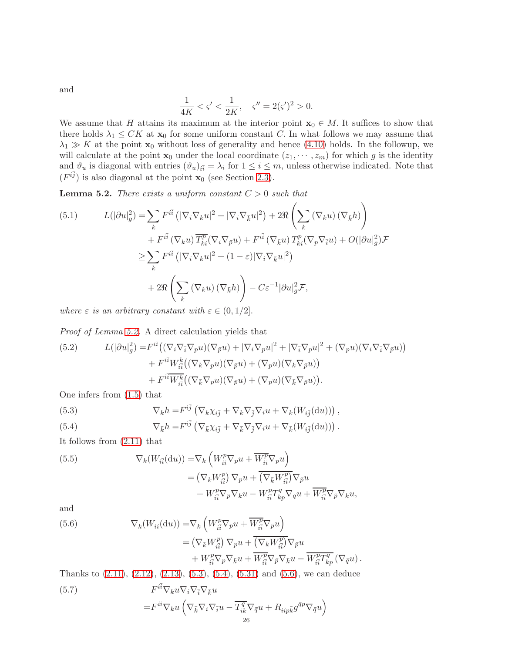and

$$
\frac{1}{4K} < \varsigma' < \frac{1}{2K}, \quad \varsigma'' = 2(\varsigma')^2 > 0.
$$

We assume that H attains its maximum at the interior point  $x_0 \in M$ . It suffices to show that there holds  $\lambda_1 \leq CK$  at  $\mathbf{x}_0$  for some uniform constant C. In what follows we may assume that  $\lambda_1 \gg K$  at the point  $\mathbf{x}_0$  without loss of generality and hence [\(4.10\)](#page-17-4) holds. In the followup, we will calculate at the point  $\mathbf{x}_0$  under the local coordinate  $(z_1, \dots, z_m)$  for which g is the identity and  $\vartheta_u$  is diagonal with entries  $(\vartheta_u)_{i\bar{i}} = \lambda_i$  for  $1 \leq i \leq m$ , unless otherwise indicated. Note that  $(F^{i\bar{j}})$  is also diagonal at the point  $\mathbf{x}_0$  (see Section [2.3\)](#page-11-0).

<span id="page-25-0"></span>**Lemma 5.2.** There exists a uniform constant  $C > 0$  such that

<span id="page-25-6"></span>(5.1) 
$$
L(|\partial u|_g^2) = \sum_k F^{i\bar{i}} \left( |\nabla_i \nabla_k u|^2 + |\nabla_i \nabla_{\bar{k}} u|^2 \right) + 2 \Re \left( \sum_k (\nabla_k u) (\nabla_{\bar{k}} h) \right) + F^{i\bar{i}} (\nabla_k u) \overline{T_{ki}^p} (\nabla_i \nabla_{\bar{p}} u) + F^{i\bar{i}} (\nabla_{\bar{k}} u) T_{ki}^p (\nabla_p \nabla_{\bar{i}} u) + O(|\partial u|_g^2) \mathcal{F} \n\geq \sum_k F^{i\bar{i}} \left( |\nabla_i \nabla_k u|^2 + (1 - \varepsilon) |\nabla_i \nabla_{\bar{k}} u|^2 \right) + 2 \Re \left( \sum_k (\nabla_k u) (\nabla_{\bar{k}} h) \right) - C \varepsilon^{-1} |\partial u|_g^2 \mathcal{F},
$$

where  $\varepsilon$  is an arbitrary constant with  $\varepsilon \in (0, 1/2]$ .

Proof of Lemma [5.2.](#page-25-0) A direct calculation yields that

<span id="page-25-4"></span>(5.2) 
$$
L(|\partial u|_g^2) = F^{i\bar{i}} \left( (\nabla_i \nabla_{\bar{i}} \nabla_p u)(\nabla_{\bar{p}} u) + |\nabla_i \nabla_p u|^2 + |\nabla_{\bar{i}} \nabla_p u|^2 + (\nabla_p u)(\nabla_i \nabla_{\bar{i}} \nabla_{\bar{p}} u) \right) + F^{i\bar{i}} W^k_{i\bar{i}} \left( (\nabla_k \nabla_p u)(\nabla_{\bar{p}} u) + (\nabla_p u)(\nabla_k \nabla_{\bar{p}} u) \right) + F^{i\bar{i}} \overline{W^k_{i\bar{i}}} \left( (\nabla_{\bar{k}} \nabla_p u)(\nabla_{\bar{p}} u) + (\nabla_p u)(\nabla_{\bar{k}} \nabla_{\bar{p}} u) \right).
$$

One infers from [\(1.5\)](#page-1-4) that

<span id="page-25-1"></span>(5.3) 
$$
\nabla_k h = F^{i\bar{j}} \left( \nabla_k \chi_{i\bar{j}} + \nabla_k \nabla_{\bar{j}} \nabla_i u + \nabla_k (W_{i\bar{j}}(du)) \right),
$$

<span id="page-25-2"></span>(5.4) 
$$
\nabla_{\bar{k}} h = F^{i\bar{j}} \left( \nabla_{\bar{k}} \chi_{i\bar{j}} + \nabla_{\bar{k}} \nabla_{\bar{j}} \nabla_i u + \nabla_{\bar{k}} (W_{i\bar{j}}(du)) \right).
$$

It follows from [\(2.11\)](#page-10-3) that

(5.5) 
$$
\nabla_k(W_{i\overline{i}}(\mathrm{d}u)) = \nabla_k \left( W_{i\overline{i}}^p \nabla_p u + \overline{W_{i\overline{i}}^p} \nabla_{\overline{p}} u \right)
$$

$$
= (\nabla_k W_{i\overline{i}}^p) \nabla_p u + \overline{(\nabla_{\overline{k}} W_{i\overline{i}}^p)} \nabla_{\overline{p}} u
$$

$$
+ W_{i\overline{i}}^p \nabla_p \nabla_k u - W_{i\overline{i}}^p T_{kp}^q \nabla_q u + \overline{W_{i\overline{i}}^p} \nabla_{\overline{p}} \nabla_k u,
$$

and

<span id="page-25-3"></span>(5.6) 
$$
\nabla_{\bar{k}}(W_{i\bar{i}}(\mathrm{d}u)) = \nabla_{\bar{k}}\left(W_{i\bar{i}}^{p}\nabla_{p}u + \overline{W_{i\bar{i}}^{p}}\nabla_{\bar{p}}u\right) \n= \left(\nabla_{\bar{k}}W_{i\bar{i}}^{p}\right)\nabla_{p}u + \overline{\left(\nabla_{k}W_{i\bar{i}}^{p}\right)}\nabla_{\bar{p}}u \n+ W_{i\bar{i}}^{p}\nabla_{p}\nabla_{\bar{k}}u + \overline{W_{i\bar{i}}^{p}}\nabla_{\bar{p}}\nabla_{\bar{k}}u - \overline{W_{i\bar{i}}^{p}T_{kp}^{q}}\left(\nabla_{\bar{q}}u\right).
$$

<span id="page-25-5"></span>Thanks to [\(2.11\)](#page-10-3), [\(2.12\)](#page-10-1), [\(2.13\)](#page-10-2), [\(5.3\)](#page-25-1), [\(5.4\)](#page-25-2), [\(5.31\)](#page-29-0) and [\(5.6\)](#page-25-3), we can deduce (5.7)  $F^{i\bar{i}}\nabla_k u \nabla_i \nabla_{\bar{i}} \nabla_{\bar{k}} u$ 

$$
\!=\!\!F^{i\bar{i}}\nabla_k u\left(\nabla_{\bar{k}}\nabla_i\nabla_{\bar{i}} u-\overline{T_{ik}^q\nabla_{\bar{q}} u+R_{i\bar{i}p\bar{k}}g^{\bar{q}p}\nabla_{\bar{q}} u\right)
$$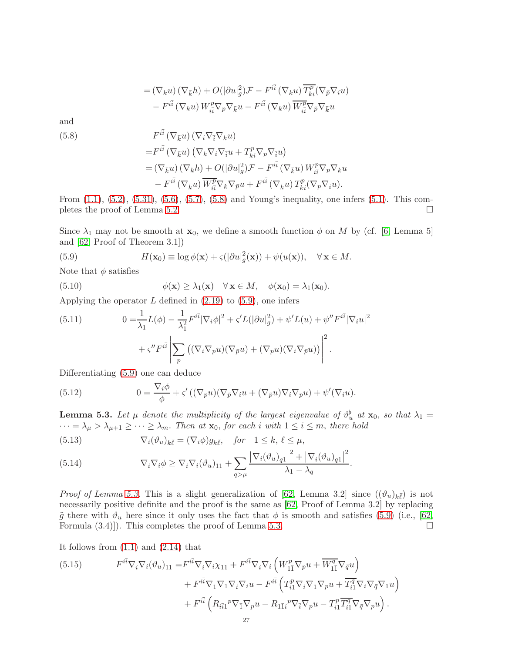$$
= (\nabla_k u) (\nabla_{\bar{k}} h) + O(|\partial u|_g^2) \mathcal{F} - F^{i\bar{i}} (\nabla_k u) \overline{T_{ki}^p} (\nabla_{\bar{p}} \nabla_i u)
$$

$$
- F^{i\bar{i}} (\nabla_k u) W_{i\bar{i}}^p \nabla_p \nabla_{\bar{k}} u - F^{i\bar{i}} (\nabla_k u) \overline{W_{i\bar{i}}^p} \nabla_{\bar{p}} \nabla_{\bar{k}} u
$$

and

<span id="page-26-0"></span>(5.8)  
\n
$$
F^{i\bar{i}}(\nabla_{\bar{k}}u) (\nabla_i \nabla_{\bar{i}} \nabla_k u)
$$
\n
$$
= F^{i\bar{i}}(\nabla_{\bar{k}}u) (\nabla_k \nabla_i \nabla_{\bar{i}} u + T^p_{ki} \nabla_p \nabla_{\bar{i}} u)
$$
\n
$$
= (\nabla_{\bar{k}}u) (\nabla_k h) + O(|\partial u|^2_g) \mathcal{F} - F^{i\bar{i}}(\nabla_{\bar{k}}u) W^p_{i\bar{i}} \nabla_p \nabla_k u
$$
\n
$$
- F^{i\bar{i}}(\nabla_{\bar{k}}u) \overline{W^p_{i\bar{i}} \nabla_k \nabla_{\bar{p}} u + F^{i\bar{i}}(\nabla_{\bar{k}}u) T^p_{ki}(\nabla_p \nabla_{\bar{i}}u).
$$

From [\(1.1\)](#page-0-1), [\(5.2\)](#page-25-4), [\(5.31\)](#page-29-0), [\(5.6\)](#page-25-3), [\(5.7\)](#page-25-5), [\(5.8\)](#page-26-0) and Young's inequality, one infers [\(5.1\)](#page-25-6). This com-pletes the proof of Lemma [5.2.](#page-25-0)

Since  $\lambda_1$  may not be smooth at  $\mathbf{x}_0$ , we define a smooth function  $\phi$  on M by (cf. [\[6,](#page-42-21) Lemma 5] and [\[62,](#page-44-5) Proof of Theorem 3.1])

<span id="page-26-1"></span>(5.9) 
$$
H(\mathbf{x}_0) \equiv \log \phi(\mathbf{x}) + \varsigma (|\partial u|_g^2(\mathbf{x})) + \psi(u(\mathbf{x})), \quad \forall \mathbf{x} \in M.
$$

Note that  $\phi$  satisfies

(5.10) 
$$
\phi(\mathbf{x}) \geq \lambda_1(\mathbf{x}) \quad \forall \mathbf{x} \in M, \quad \phi(\mathbf{x}_0) = \lambda_1(\mathbf{x}_0).
$$

Applying the operator  $L$  defined in  $(2.19)$  to  $(5.9)$ , one infers

<span id="page-26-6"></span>(5.11) 
$$
0 = \frac{1}{\lambda_1} L(\phi) - \frac{1}{\lambda_1^2} F^{i\bar{i}} |\nabla_i \phi|^2 + \varsigma' L(|\partial u|_g^2) + \psi' L(u) + \psi'' F^{i\bar{i}} |\nabla_i u|^2
$$

$$
+ \varsigma'' F^{i\bar{i}} \left| \sum_p \left( (\nabla_i \nabla_p u)(\nabla_{\bar{p}} u) + (\nabla_p u)(\nabla_i \nabla_{\bar{p}} u) \right) \right|^2.
$$

Differentiating [\(5.9\)](#page-26-1) one can deduce

<span id="page-26-7"></span>(5.12) 
$$
0 = \frac{\nabla_i \phi}{\phi} + \varsigma' ((\nabla_p u)(\nabla_{\bar{p}} \nabla_i u + (\nabla_{\bar{p}} u) \nabla_i \nabla_p u) + \psi'(\nabla_i u).
$$

<span id="page-26-2"></span>**Lemma 5.3.** Let  $\mu$  denote the multiplicity of the largest eigenvalue of  $\vartheta_u^{\flat}$  at  $\mathbf{x}_0$ , so that  $\lambda_1 =$  $\cdots = \lambda_{\mu} > \lambda_{\mu+1} \geq \cdots \geq \lambda_m$ . Then at  $\mathbf{x}_0$ , for each i with  $1 \leq i \leq m$ , there hold

<span id="page-26-4"></span>(5.13) 
$$
\nabla_i(\vartheta_u)_{k\bar{\ell}} = (\nabla_i \phi) g_{k\bar{\ell}}, \quad \text{for} \quad 1 \leq k, \, \ell \leq \mu,
$$

<span id="page-26-5"></span>(5.14) 
$$
\nabla_{\overline{i}} \nabla_i \phi \geq \nabla_{\overline{i}} \nabla_i (\vartheta_u)_{1\overline{1}} + \sum_{q > \mu} \frac{|\nabla_i (\vartheta_u)_{q\overline{1}}|^2 + |\nabla_{\overline{i}} (\vartheta_u)_{q\overline{1}}|^2}{\lambda_1 - \lambda_q}.
$$

*Proof of Lemma [5.3.](#page-26-2)* This is a slight generalization of [\[62,](#page-44-5) Lemma 3.2] since  $((\vartheta_u)_{k\bar{\ell}})$  is not necessarily positive definite and the proof is the same as [\[62,](#page-44-5) Proof of Lemma 3.2] by replacing  $\tilde{g}$  there with  $\vartheta_u$  here since it only uses the fact that  $\phi$  is smooth and satisfies [\(5.9\)](#page-26-1) (i.e., [\[62,](#page-44-5) Formula  $(3.4)$ ]). This completes the proof of Lemma [5.3.](#page-26-2)

It follows from  $(1.1)$  and  $(2.14)$  that

<span id="page-26-3"></span>(5.15) 
$$
F^{i\bar{i}}\nabla_{\bar{i}}\nabla_{i}(\vartheta_{u})_{1\bar{1}} = F^{i\bar{i}}\nabla_{\bar{i}}\nabla_{i}\chi_{1\bar{1}} + F^{i\bar{i}}\nabla_{\bar{i}}\nabla_{i}\left(W_{1\bar{1}}^{p}\nabla_{p}u + \overline{W_{1\bar{1}}^{q}}\nabla_{\bar{q}}u\right) + F^{i\bar{i}}\nabla_{\bar{1}}\nabla_{1}\nabla_{\bar{i}}\nabla_{i}u - F^{i\bar{i}}\left(T_{i1}^{p}\nabla_{\bar{i}}\nabla_{\bar{1}}\nabla_{p}u + \overline{T_{i1}^{q}}\nabla_{i}\nabla_{\bar{q}}\nabla_{1}u\right) + F^{i\bar{i}}\left(R_{i\bar{i}1}^{p}\nabla_{\bar{1}}\nabla_{p}u - R_{1\bar{1}i}^{p}\nabla_{\bar{i}}\nabla_{p}u - T_{i1}^{p}\overline{T_{i1}^{q}}\nabla_{\bar{q}}\nabla_{p}u\right).
$$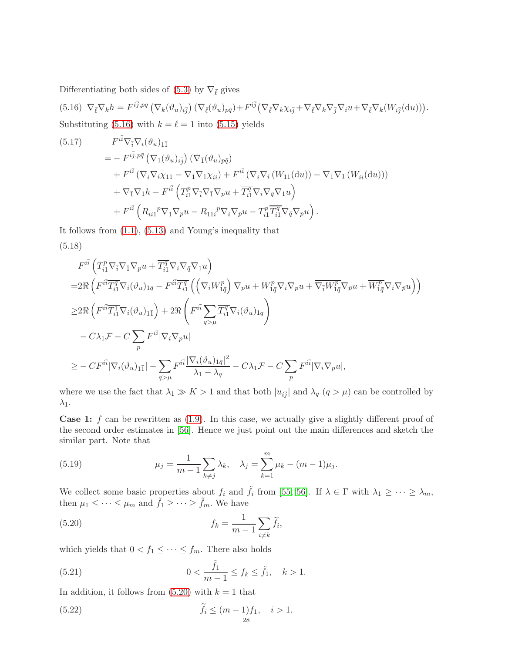Differentiating both sides of [\(5.3\)](#page-25-1) by  $\nabla_{\bar{\ell}}$  gives

<span id="page-27-0"></span>(5.16)  $\nabla_{\bar{\ell}} \nabla_k h = F^{i\bar{j}, p\bar{q}} \left( \nabla_k (\vartheta_u)_{i\bar{j}} \right) \left( \nabla_{\bar{\ell}} (\vartheta_u)_{p\bar{q}} \right) + F^{i\bar{j}} \left( \nabla_{\bar{\ell}} \nabla_k \chi_{i\bar{j}} + \nabla_{\bar{\ell}} \nabla_k \nabla_{\bar{j}} \nabla_i u + \nabla_{\bar{\ell}} \nabla_k (W_{i\bar{j}}(\mathrm{d}u)) \right).$ Substituting [\(5.16\)](#page-27-0) with  $k = \ell = 1$  into [\(5.15\)](#page-26-3) yields

<span id="page-27-5"></span>(5.17) 
$$
F^{i\bar{i}}\nabla_{\bar{i}}\nabla_{i}(\vartheta_{u})_{1\bar{1}} = -F^{i\bar{j},p\bar{q}}\left(\nabla_{1}(\vartheta_{u})_{i\bar{j}}\right)\left(\nabla_{\bar{1}}(\vartheta_{u})_{p\bar{q}}\right) + F^{i\bar{i}}\left(\nabla_{\bar{i}}\nabla_{i}\chi_{1\bar{1}} - \nabla_{\bar{1}}\nabla_{1}\chi_{i\bar{i}}\right) + F^{i\bar{i}}\left(\nabla_{\bar{i}}\nabla_{i}\left(W_{1\bar{1}}(\mathrm{d}u)\right) - \nabla_{\bar{1}}\nabla_{1}\left(W_{i\bar{i}}(\mathrm{d}u)\right)\right) + \nabla_{\bar{1}}\nabla_{1}h - F^{i\bar{i}}\left(T^{p}_{i1}\nabla_{\bar{i}}\nabla_{\bar{1}}\nabla_{p}u + \overline{T^{q}_{i1}}\nabla_{i}\nabla_{\bar{q}}\nabla_{1}u\right) + F^{i\bar{i}}\left(R_{i\bar{i}1}{}^{p}\nabla_{\bar{1}}\nabla_{p}u - R_{1\bar{1}i}{}^{p}\nabla_{\bar{i}}\nabla_{p}u - T^{p}_{i1}\overline{T^{q}_{i1}}\nabla_{\bar{q}}\nabla_{p}u\right).
$$

<span id="page-27-6"></span>It follows from [\(1.1\)](#page-0-1), [\(5.13\)](#page-26-4) and Young's inequality that (5.18)

$$
F^{i\bar{i}}\left(T_{i1}^p \nabla_{\bar{i}} \nabla_{\bar{i}} \nabla_p u + \overline{T_{i1}^q} \nabla_i \nabla_{\bar{q}} \nabla_{1} u\right)
$$
  
\n
$$
= 2 \Re \left(F^{i\bar{i}} \overline{T_{i1}^q} \nabla_i (\vartheta_{u})_{1\bar{q}} - F^{i\bar{i}} \overline{T_{i1}^q} \left( \left(\nabla_i W_{1\bar{q}}^p\right) \nabla_p u + W_{1\bar{q}}^p \nabla_i \nabla_p u + \overline{\nabla_{\bar{i}} W_{1\bar{q}}^p} \nabla_{\bar{p}} u + \overline{W_{1\bar{q}}^p} \nabla_i \nabla_{\bar{p}} u \right) \right)
$$
  
\n
$$
\geq 2 \Re \left(F^{i\bar{i}} \overline{T_{i1}^1} \nabla_i (\vartheta_{u})_{1\bar{1}}\right) + 2 \Re \left(F^{i\bar{i}} \sum_{q>\mu} \overline{T_{i1}^q} \nabla_i (\vartheta_{u})_{1\bar{q}}\right)
$$
  
\n
$$
- C \lambda_1 \mathcal{F} - C \sum_p F^{i\bar{i}} |\nabla_i \nabla_p u|
$$
  
\n
$$
\geq - C F^{i\bar{i}} |\nabla_i (\vartheta_{u})_{1\bar{1}}| - \sum_{q>\mu} F^{i\bar{i}} \frac{|\nabla_i (\vartheta_{u})_{1\bar{q}}|^2}{\lambda_1 - \lambda_q} - C \lambda_1 \mathcal{F} - C \sum_p F^{i\bar{i}} |\nabla_i \nabla_p u|,
$$

where we use the fact that  $\lambda_1 \gg K > 1$  and that both  $|u_{i\bar{j}}|$  and  $\lambda_q$   $(q > \mu)$  can be controlled by  $\lambda_1$ .

**Case 1:**  $f$  can be rewritten as  $(1.9)$ . In this case, we actually give a slightly different proof of the second order estimates in [\[56\]](#page-44-3). Hence we just point out the main differences and sketch the similar part. Note that

<span id="page-27-2"></span>(5.19) 
$$
\mu_j = \frac{1}{m-1} \sum_{k \neq j} \lambda_k, \quad \lambda_j = \sum_{k=1}^m \mu_k - (m-1)\mu_j.
$$

We collect some basic properties about  $f_i$  and  $\tilde{f}_i$  from [\[55,](#page-44-10) [56\]](#page-44-3). If  $\lambda \in \Gamma$  with  $\lambda_1 \geq \cdots \geq \lambda_m$ , then  $\mu_1 \leq \cdots \leq \mu_m$  and  $\tilde{f}_1 \geq \cdots \geq \tilde{f}_m$ . We have

<span id="page-27-1"></span>(5.20) 
$$
f_k = \frac{1}{m-1} \sum_{i \neq k} \widetilde{f}_i,
$$

which yields that  $0 < f_1 \leq \cdots \leq f_m$ . There also holds

<span id="page-27-3"></span>(5.21) 
$$
0 < \frac{\tilde{f}_1}{m-1} \le f_k \le \tilde{f}_1, \quad k > 1.
$$

In addition, it follows from  $(5.20)$  with  $k = 1$  that

<span id="page-27-4"></span>(5.22) 
$$
\tilde{f}_i \le (m-1)f_1, \quad i > 1.
$$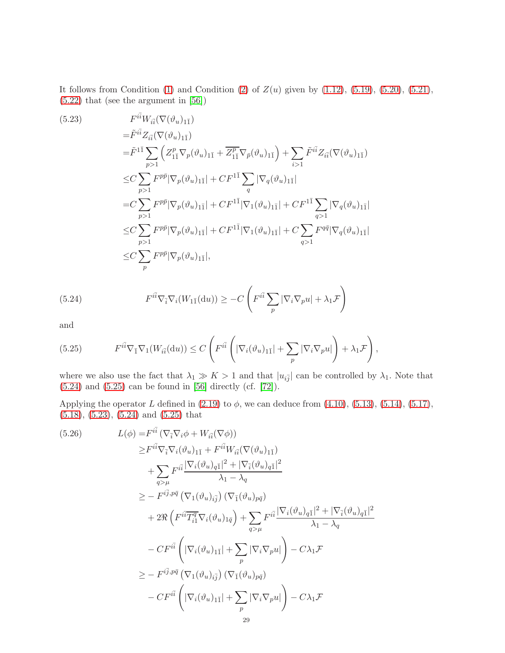It follows from Condition [\(1\)](#page-2-1) and Condition [\(2\)](#page-2-2) of  $Z(u)$  given by [\(1.12\)](#page-2-0), [\(5.19\)](#page-27-2), [\(5.20\)](#page-27-1), [\(5.21\)](#page-27-3), [\(5.22\)](#page-27-4) that (see the argument in [\[56\]](#page-44-3))

<span id="page-28-2"></span>(5.23)  
\n
$$
F^{i\bar{i}}W_{i\bar{i}}(\nabla(\vartheta_{u})_{1\bar{1}})
$$
\n
$$
= \tilde{F}^{i\bar{i}}Z_{i\bar{i}}(\nabla(\vartheta_{u})_{1\bar{1}})
$$
\n
$$
= \tilde{F}^{1\bar{1}}\sum_{p>1} \left(Z_{1\bar{1}}^{p}\nabla_{p}(\vartheta_{u})_{1\bar{1}} + \overline{Z_{1\bar{1}}^{p}}\nabla_{\bar{p}}(\vartheta_{u})_{1\bar{1}}\right) + \sum_{i>1} \tilde{F}^{i\bar{i}}Z_{i\bar{i}}(\nabla(\vartheta_{u})_{1\bar{1}})
$$
\n
$$
\leq C \sum_{p>1} F^{p\bar{p}}|\nabla_{p}(\vartheta_{u})_{1\bar{1}}| + C F^{1\bar{1}} \sum_{q} |\nabla_{q}(\vartheta_{u})_{1\bar{1}}|
$$
\n
$$
= C \sum_{p>1} F^{p\bar{p}}|\nabla_{p}(\vartheta_{u})_{1\bar{1}}| + C F^{1\bar{1}}|\nabla_{1}(\vartheta_{u})_{1\bar{1}}| + C F^{1\bar{1}} \sum_{q>1} |\nabla_{q}(\vartheta_{u})_{1\bar{1}}|
$$
\n
$$
\leq C \sum_{p>1} F^{p\bar{p}}|\nabla_{p}(\vartheta_{u})_{1\bar{1}}| + C F^{1\bar{1}}|\nabla_{1}(\vartheta_{u})_{1\bar{1}}| + C \sum_{q>1} F^{q\bar{q}}|\nabla_{q}(\vartheta_{u})_{1\bar{1}}|
$$
\n
$$
\leq C \sum_{p} F^{p\bar{p}}|\nabla_{p}(\vartheta_{u})_{1\bar{1}}|,
$$

<span id="page-28-0"></span>(5.24) 
$$
F^{i\bar{i}} \nabla_{\bar{i}} \nabla_i (W_{1\bar{1}}(\mathrm{d}u)) \geq -C \left( F^{i\bar{i}} \sum_p |\nabla_i \nabla_p u| + \lambda_1 \mathcal{F} \right)
$$

and

<span id="page-28-1"></span>(5.25) 
$$
F^{i\bar{i}}\nabla_{\bar{1}}\nabla_{1}(W_{i\bar{i}}(\mathrm{d}u)) \leq C\left(F^{i\bar{i}}\left(|\nabla_{i}(\vartheta_{u})_{1\bar{1}}|+\sum_{p}|\nabla_{i}\nabla_{p}u|\right)+\lambda_{1}\mathcal{F}\right),
$$

where we also use the fact that  $\lambda_1 \gg K > 1$  and that  $|u_{i\bar{j}}|$  can be controlled by  $\lambda_1$ . Note that [\(5.24\)](#page-28-0) and [\(5.25\)](#page-28-1) can be found in [\[56\]](#page-44-3) directly (cf. [\[72\]](#page-44-16)).

Applying the operator L defined in  $(2.19)$  to  $\phi$ , we can deduce from  $(4.10)$ ,  $(5.13)$ ,  $(5.14)$ ,  $(5.17)$ , [\(5.18\)](#page-27-6), [\(5.23\)](#page-28-2), [\(5.24\)](#page-28-0) and [\(5.25\)](#page-28-1) that

<span id="page-28-3"></span>(5.26) 
$$
L(\phi) = F^{i\bar{i}} (\nabla_{\bar{i}} \nabla_{i} \phi + W_{i\bar{i}} (\nabla \phi))
$$

$$
\geq F^{i\bar{i}} \nabla_{\bar{i}} \nabla_{i} (\vartheta_{u})_{1\bar{1}} + F^{i\bar{i}} W_{i\bar{i}} (\nabla (\vartheta_{u})_{1\bar{1}})
$$

$$
+ \sum_{q > \mu} F^{i\bar{i}} \frac{|\nabla_{i} (\vartheta_{u})_{q\bar{1}}|^{2} + |\nabla_{\bar{i}} (\vartheta_{u})_{q\bar{1}}|^{2}}{\lambda_{1} - \lambda_{q}}
$$

$$
\geq - F^{i\bar{j}, p\bar{q}} (\nabla_{1} (\vartheta_{u})_{i\bar{j}}) (\nabla_{\bar{1}} (\vartheta_{u})_{p\bar{q}})
$$

$$
+ 2 \Re \left( F^{i\bar{i}} \overline{T_{i1}^{q}} \nabla_{i} (\vartheta_{u})_{1\bar{q}} \right) + \sum_{q > \mu} F^{i\bar{i}} \frac{|\nabla_{i} (\vartheta_{u})_{q\bar{1}}|^{2} + |\nabla_{\bar{i}} (\vartheta_{u})_{q\bar{1}}|^{2}}{\lambda_{1} - \lambda_{q}}
$$

$$
- CF^{i\bar{i}} \left( |\nabla_{i} (\vartheta_{u})_{1\bar{1}}| + \sum_{p} |\nabla_{i} \nabla_{p} u| \right) - C \lambda_{1} \mathcal{F}
$$

$$
\geq - F^{i\bar{j}, p\bar{q}} (\nabla_{1} (\vartheta_{u})_{i\bar{j}}) (\nabla_{\bar{1}} (\vartheta_{u})_{p\bar{q}})
$$

$$
- CF^{i\bar{i}} \left( |\nabla_{i} (\vartheta_{u})_{1\bar{1}}| + \sum_{p} |\nabla_{i} \nabla_{p} u| \right) - C \lambda_{1} \mathcal{F}
$$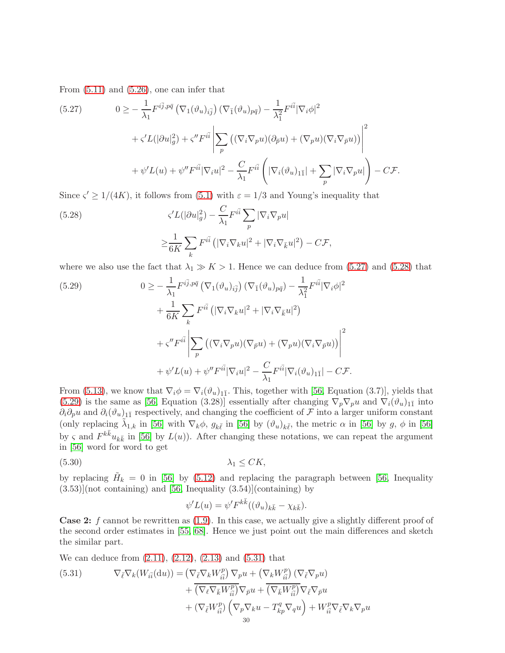From [\(5.11\)](#page-26-6) and [\(5.26\)](#page-28-3), one can infer that

<span id="page-29-1"></span>(5.27) 
$$
0 \geq -\frac{1}{\lambda_1} F^{i\bar{j}, p\bar{q}} \left( \nabla_1 (\vartheta_u)_{i\bar{j}} \right) \left( \nabla_{\bar{1}} (\vartheta_u)_{p\bar{q}} \right) - \frac{1}{\lambda_1^2} F^{i\bar{i}} |\nabla_i \phi|^2
$$

$$
+ \zeta' L (|\partial u|_g^2) + \zeta'' F^{i\bar{i}} \left| \sum_p \left( (\nabla_i \nabla_p u)(\partial_{\bar{p}} u) + (\nabla_p u)(\nabla_i \nabla_{\bar{p}} u) \right) \right|^2
$$

$$
+ \psi' L(u) + \psi'' F^{i\bar{i}} |\nabla_i u|^2 - \frac{C}{\lambda_1} F^{i\bar{i}} \left( |\nabla_i (\vartheta_u)_{1\bar{1}}| + \sum_p |\nabla_i \nabla_p u| \right) - C \mathcal{F}.
$$

Since  $\zeta' \geq 1/(4K)$ , it follows from [\(5.1\)](#page-25-6) with  $\varepsilon = 1/3$  and Young's inequality that

<span id="page-29-2"></span>(5.28) 
$$
\zeta' L(|\partial u|_g^2) - \frac{C}{\lambda_1} F^{i\bar{i}} \sum_p |\nabla_i \nabla_p u|
$$

$$
\geq \frac{1}{6K} \sum_k F^{i\bar{i}} \left( |\nabla_i \nabla_k u|^2 + |\nabla_i \nabla_{\bar{k}} u|^2 \right) - C \mathcal{F},
$$

where we also use the fact that  $\lambda_1 \gg K > 1$ . Hence we can deduce from [\(5.27\)](#page-29-1) and [\(5.28\)](#page-29-2) that

<span id="page-29-3"></span>(5.29)  
\n
$$
0 \geq -\frac{1}{\lambda_1} F^{i\bar{j}, p\bar{q}} \left( \nabla_1 (\vartheta_u)_{i\bar{j}} \right) \left( \nabla_{\bar{1}} (\vartheta_u)_{p\bar{q}} \right) - \frac{1}{\lambda_1^2} F^{i\bar{i}} |\nabla_i \phi|^2
$$
\n
$$
+ \frac{1}{6K} \sum_k F^{i\bar{i}} \left( |\nabla_i \nabla_k u|^2 + |\nabla_i \nabla_{\bar{k}} u|^2 \right)
$$
\n
$$
+ \zeta'' F^{i\bar{i}} \left| \sum_p \left( (\nabla_i \nabla_p u)(\nabla_{\bar{p}} u) + (\nabla_p u)(\nabla_i \nabla_{\bar{p}} u) \right) \right|^2
$$
\n
$$
+ \psi' L(u) + \psi'' F^{i\bar{i}} |\nabla_i u|^2 - \frac{C}{\lambda_1} F^{i\bar{i}} |\nabla_i (\vartheta_u)_{1\bar{1}}| - C \mathcal{F}.
$$

From [\(5.13\)](#page-26-4), we know that  $\nabla_i \phi = \nabla_i (\vartheta_u)_{1\bar{1}}$ . This, together with [\[56,](#page-44-3) Equation (3.7)], yields that  $(5.29)$  is the same as [\[56,](#page-44-3) Equation (3.28)] essentially after changing  $\nabla_p \nabla_p u$  and  $\nabla_i (\vartheta_u)_{1\bar{1}}$  into  $\partial_i \partial_p u$  and  $\partial_i (\partial_u)_{1\bar{1}}$  respectively, and changing the coefficient of  $\mathcal F$  into a larger uniform constant (only replacing  $\tilde{\lambda}_{1,k}$  in [\[56\]](#page-44-3) with  $\nabla_k \phi$ ,  $g_{k\bar{\ell}}$  in [56] by  $(\vartheta_u)_{k\bar{\ell}}$ , the metric  $\alpha$  in [56] by  $g$ ,  $\phi$  in [56] by  $\zeta$  and  $F^{k\bar{k}}u_{k\bar{k}}$  in [\[56\]](#page-44-3) by  $L(u)$ ). After changing these notations, we can repeat the argument in [\[56\]](#page-44-3) word for word to get

$$
\lambda_1 \leq CK,
$$

by replacing  $\tilde{H}_k = 0$  in [\[56\]](#page-44-3) by [\(5.12\)](#page-26-7) and replacing the paragraph between [\[56,](#page-44-3) Inequality  $(3.53)$ ](not containing) and [\[56,](#page-44-3) Inequality  $(3.54)$ ](containing) by

$$
\psi'L(u) = \psi' F^{k\bar{k}}((\vartheta_u)_{k\bar{k}} - \chi_{k\bar{k}}).
$$

**Case 2:**  $f$  cannot be rewritten as  $(1.9)$ . In this case, we actually give a slightly different proof of the second order estimates in [\[55,](#page-44-10) [68\]](#page-44-2). Hence we just point out the main differences and sketch the similar part.

We can deduce from [\(2.11\)](#page-10-3), [\(2.12\)](#page-10-1), [\(2.13\)](#page-10-2) and [\(5.31\)](#page-29-0) that

<span id="page-29-0"></span>(5.31) 
$$
\nabla_{\bar{\ell}} \nabla_{k} (W_{i\bar{i}}(\mathrm{d}u)) = (\nabla_{\bar{\ell}} \nabla_{k} W_{i\bar{i}}^{p}) \nabla_{p} u + (\nabla_{k} W_{i\bar{i}}^{p}) (\nabla_{\bar{\ell}} \nabla_{p}u) + \overline{(\nabla_{\ell} \nabla_{\bar{k}} W_{i\bar{i}}^{p})} \nabla_{\bar{p}} u + \overline{(\nabla_{\bar{k}} W_{i\bar{i}}^{p})} \nabla_{\bar{\ell}} \nabla_{\bar{p}} u + (\nabla_{\bar{\ell}} W_{i\bar{i}}^{p}) (\nabla_{p} \nabla_{k}u - T_{kp}^{q} \nabla_{q}u) + W_{i\bar{i}}^{p} \nabla_{\bar{\ell}} \nabla_{k} \nabla_{p}u
$$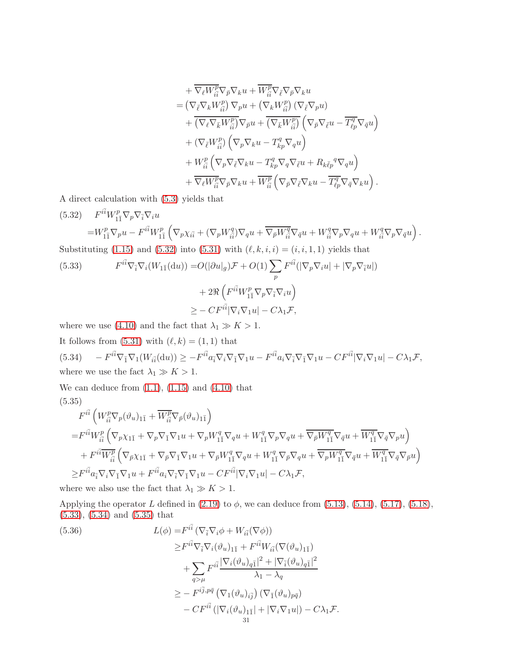$$
\begin{split}\n& + \overline{\nabla_{\ell}W_{\tilde{i}\tilde{i}}^{\mathcal{D}}\nabla_{\tilde{p}}\nabla_{k}u + \overline{W_{\tilde{i}\tilde{i}}^{\mathcal{D}}\nabla_{\tilde{p}}\nabla_{k}u} \\
& = \left(\nabla_{\tilde{\ell}}\nabla_{k}W_{\tilde{i}\tilde{i}}^{\mathcal{D}}\right)\nabla_{p}u + \left(\nabla_{k}W_{\tilde{i}\tilde{i}}^{\mathcal{D}}\right)\left(\nabla_{\tilde{\ell}}\nabla_{p}u\right) \\
& + \overline{\left(\nabla_{\ell}\nabla_{\bar{k}}W_{\tilde{i}\tilde{i}}^{\mathcal{D}}\right)}\nabla_{\tilde{p}}u + \overline{\left(\nabla_{\bar{k}}W_{\tilde{i}\tilde{i}}^{\mathcal{D}}\right)}\left(\nabla_{\tilde{p}}\nabla_{\tilde{\ell}}u - \overline{T_{\ell p}^{q}}\nabla_{\tilde{q}}u\right) \\
& + \left(\nabla_{\tilde{\ell}}W_{\tilde{i}\tilde{i}}^{\mathcal{D}}\right)\left(\nabla_{p}\nabla_{k}u - T_{\kappa p}^{q}\nabla_{q}u\right) \\
& + W_{\tilde{i}\tilde{i}}^{\mathcal{D}}\left(\nabla_{p}\nabla_{\tilde{\ell}}u - T_{\kappa p}^{q}\nabla_{q}\nabla_{\tilde{\ell}}u + R_{k\tilde{\ell}p}{}^{q}\nabla_{q}u\right) \\
& + W_{\tilde{i}\tilde{i}}^{\mathcal{D}}\left(\nabla_{p}\nabla_{\tilde{\ell}}\nabla_{k}u - T_{\kappa p}^{q}\nabla_{q}\nabla_{\tilde{\ell}}u + R_{k\tilde{\ell}p}{}^{q}\nabla_{q}u\right) \\
& + \overline{\nabla_{\ell}W_{\tilde{i}\tilde{i}}^{\mathcal{D}}\nabla_{\tilde{p}}\nabla_{k}u + \overline{W_{\tilde{i}\tilde{i}}^{\mathcal{D}}}\left(\nabla_{\tilde{p}}\nabla_{\tilde{\ell}}\nabla_{k}u - \overline{T_{\ell p}^{q}}\nabla_{\tilde{q}}\nab
$$

A direct calculation with [\(5.3\)](#page-25-1) yields that

<span id="page-30-1"></span><span id="page-30-0"></span>(5.32) 
$$
F^{i\bar{i}}W_{1\bar{1}}^{p}\nabla_{p}\nabla_{\bar{i}}\nabla_{u}
$$
  
\n
$$
=W_{1\bar{1}}^{p}\nabla_{p}u - F^{i\bar{i}}W_{1\bar{1}}^{p}\left(\nabla_{p}\chi_{i\bar{i}} + (\nabla_{p}W_{i\bar{i}}^{q})\nabla_{q}u + \overline{\nabla_{p}W_{i\bar{i}}^{q}}\nabla_{\bar{q}}u + W_{i\bar{i}}^{q}\nabla_{p}\nabla_{q}u + W_{i\bar{i}}^{q}\nabla_{p}\nabla_{\bar{q}}u\right).
$$
  
\nSubstituting (1.15) and (5.32) into (5.31) with  $(\ell, k, i, i) = (i, i, 1, 1)$  yields that  
\n(5.33) 
$$
F^{i\bar{i}}\nabla_{\bar{i}}\nabla_{i}(W_{1\bar{1}}(du)) = O(|\partial u|_{g})\mathcal{F} + O(1)\sum_{p} F^{i\bar{i}}(|\nabla_{p}\nabla_{i}u| + |\nabla_{p}\nabla_{\bar{i}}u|)
$$
  
\n
$$
+ 2\Re\left(F^{i\bar{i}}W_{1\bar{1}}^{p}\nabla_{p}\nabla_{\bar{i}}\nabla_{i}u\right)
$$
  
\n
$$
\geq -CF^{i\bar{i}}|\nabla_{i}\nabla_{1}u| - C\lambda_{1}\mathcal{F},
$$

where we use [\(4.10\)](#page-17-4) and the fact that  $\lambda_1 \gg K > 1$ .

<span id="page-30-2"></span>It follows from  $(5.31)$  with  $(\ell, k) = (1, 1)$  that  $(5.34)$  $\begin{aligned} i^{\bar{i}}\nabla_{\bar{1}}\nabla_{1}(W_{i\bar{i}}(\mathrm{d} u))\geq -F^{i\bar{i}}a_{\bar{i}}\nabla_{i}\nabla_{\bar{1}}\nabla_{1}u-F^{i\bar{i}}a_{i}\nabla_{\bar{i}}\nabla_{\bar{1}}\nabla_{1}u-C F^{i\bar{i}}|\nabla_{i}\nabla_{1}u|-C\lambda_{1}\mathcal{F}, \end{aligned}$ where we use the fact  $\lambda_1 \gg K > 1$ .

<span id="page-30-3"></span>We can deduce from  $(1.1)$ ,  $(1.15)$  and  $(4.10)$  that (5.35)

$$
F^{i\bar{i}}\left(W_{i\bar{i}}^{p}\nabla_{p}(\vartheta_{u})_{1\bar{1}} + \overline{W_{i\bar{i}}^{p}}\nabla_{\bar{p}}(\vartheta_{u})_{1\bar{1}}\right)
$$
  
\n
$$
= F^{i\bar{i}}W_{i\bar{i}}^{p}\left(\nabla_{p}\chi_{1\bar{1}} + \nabla_{p}\nabla_{\bar{1}}\nabla_{1}u + \nabla_{p}W_{1\bar{1}}^{q}\nabla_{q}u + W_{1\bar{1}}^{q}\nabla_{p}\nabla_{q}u + \overline{\nabla_{\bar{p}}W_{1\bar{1}}^{q}}\nabla_{\bar{q}}u + \overline{W_{1\bar{1}}^{q}}\nabla_{\bar{q}}\nabla_{p}u\right)
$$
  
\n
$$
+ F^{i\bar{i}}\overline{W_{i\bar{i}}^{p}}\left(\nabla_{\bar{p}}\chi_{1\bar{1}} + \nabla_{\bar{p}}\nabla_{\bar{1}}\nabla_{1}u + \nabla_{\bar{p}}W_{1\bar{1}}^{q}\nabla_{q}u + W_{1\bar{1}}^{q}\nabla_{\bar{p}}\nabla_{q}u + \overline{\nabla_{p}W_{1\bar{1}}^{q}}\nabla_{\bar{q}}u + \overline{W_{1\bar{1}}^{q}}\nabla_{\bar{q}}\nabla_{\bar{p}}u\right)
$$
  
\n
$$
\geq F^{i\bar{i}}a_{\bar{i}}\nabla_{i}\nabla_{\bar{1}}\nabla_{1}u + F^{i\bar{i}}a_{i}\nabla_{\bar{i}}\nabla_{\bar{1}}\nabla_{1}u - CF^{i\bar{i}}|\nabla_{i}\nabla_{1}u| - C\lambda_{1}\mathcal{F},
$$

where we also use the fact that  $\lambda_1 \gg K > 1.$ 

Applying the operator L defined in  $(2.19)$  to  $\phi$ , we can deduce from  $(5.13)$ ,  $(5.14)$ ,  $(5.17)$ ,  $(5.18)$ , [\(5.33\)](#page-30-1), [\(5.34\)](#page-30-2) and [\(5.35\)](#page-30-3) that

<span id="page-30-4"></span>(5.36)  
\n
$$
L(\phi) = F^{i\bar{i}} (\nabla_{\bar{i}} \nabla_i \phi + W_{i\bar{i}} (\nabla \phi))
$$
\n
$$
\geq F^{i\bar{i}} \nabla_{\bar{i}} \nabla_i (\vartheta_u)_{1\bar{1}} + F^{i\bar{i}} W_{i\bar{i}} (\nabla (\vartheta_u)_{1\bar{1}})
$$
\n
$$
+ \sum_{q > \mu} F^{i\bar{i}} \frac{|\nabla_i (\vartheta_u)_{q\bar{1}}|^2 + |\nabla_{\bar{i}} (\vartheta_u)_{q\bar{1}}|^2}{\lambda_1 - \lambda_q}
$$
\n
$$
\geq - F^{i\bar{j}, p\bar{q}} (\nabla_1 (\vartheta_u)_{i\bar{j}}) (\nabla_{\bar{1}} (\vartheta_u)_{p\bar{q}})
$$
\n
$$
- CF^{i\bar{i}} (|\nabla_i (\vartheta_u)_{1\bar{1}}| + |\nabla_i \nabla_1 u|) - C \lambda_1 \mathcal{F}.
$$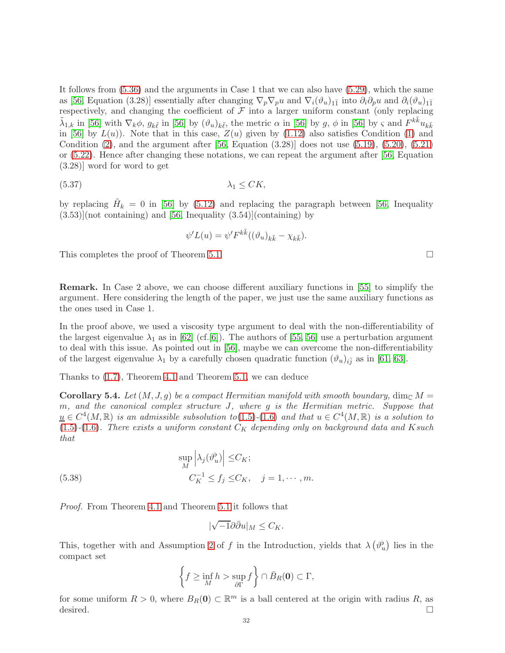It follows from [\(5.36\)](#page-30-4) and the arguments in Case 1 that we can also have [\(5.29\)](#page-29-3), which the same as [\[56,](#page-44-3) Equation (3.28)] essentially after changing  $\nabla_p \nabla_p u$  and  $\nabla_i (\vartheta_u)_{1\bar{1}}$  into  $\partial_i \partial_p u$  and  $\partial_i (\vartheta_u)_{1\bar{1}}$ respectively, and changing the coefficient of  $\mathcal F$  into a larger uniform constant (only replacing  $\tilde{\lambda}_{1,k}$  in [\[56\]](#page-44-3) with  $\nabla_k \phi$ ,  $g_{k\bar{\ell}}$  in [56] by  $(\vartheta_u)_{k\bar{\ell}}$ , the metric  $\alpha$  in [56] by  $g$ ,  $\phi$  in [56] by  $\varsigma$  and  $F^{k\bar{k}}u_{k\bar{k}}$ in [\[56\]](#page-44-3) by  $L(u)$ ). Note that in this case,  $Z(u)$  given by [\(1.12\)](#page-2-0) also satisfies Condition [\(1\)](#page-2-1) and Condition  $(2)$ , and the argument after [\[56,](#page-44-3) Equation  $(3.28)$ ] does not use  $(5.19)$ ,  $(5.20)$ ,  $(5.21)$ or [\(5.22\)](#page-27-4). Hence after changing these notations, we can repeat the argument after [\[56,](#page-44-3) Equation (3.28)] word for word to get

$$
\lambda_1 \leq CK,
$$

by replacing  $\tilde{H}_k = 0$  in [\[56\]](#page-44-3) by [\(5.12\)](#page-26-7) and replacing the paragraph between [\[56,](#page-44-3) Inequality  $(3.53)$ [(not containing) and [\[56,](#page-44-3) Inequality  $(3.54)$ ](containing) by

$$
\psi'L(u) = \psi' F^{k\bar{k}}((\vartheta_u)_{k\bar{k}} - \chi_{k\bar{k}}).
$$

This completes the proof of Theorem [5.1.](#page-24-1)

Remark. In Case 2 above, we can choose different auxiliary functions in [\[55\]](#page-44-10) to simplify the argument. Here considering the length of the paper, we just use the same auxiliary functions as the ones used in Case 1.

In the proof above, we used a viscosity type argument to deal with the non-differentiability of the largest eigenvalue  $\lambda_1$  as in [\[62\]](#page-44-5) (cf.[\[6\]](#page-42-21)). The authors of [\[55,](#page-44-10) [56\]](#page-44-3) use a perturbation argument to deal with this issue. As pointed out in [\[56\]](#page-44-3), maybe we can overcome the non-differentiability of the largest eigenvalue  $\lambda_1$  by a carefully chosen quadratic function  $(\vartheta_u)_{i\bar{j}}$  as in [\[61,](#page-44-13) [63\]](#page-44-14).

Thanks to [\(1.7\)](#page-1-7), Theorem [4.1](#page-15-5) and Theorem [5.1,](#page-24-1) we can deduce

**Corollary 5.4.** Let  $(M, J, q)$  be a compact Hermitian manifold with smooth boundary, dim<sub>C</sub>  $M =$ m, and the canonical complex structure J, where g is the Hermitian metric. Suppose that  $\underline{u} \in C^4(M, \mathbb{R})$  is an admissible subsolution to  $(1.5)$ - $(1.6)$  and that  $u \in C^4(M, \mathbb{R})$  is a solution to  $(1.5)-(1.6)$  $(1.5)-(1.6)$  $(1.5)-(1.6)$ . There exists a uniform constant  $C_K$  depending only on background data and K such that

(5.38) 
$$
\sup_{M} \left| \lambda_{j}(\vartheta_{u}^{b}) \right| \leq C_{K};
$$

$$
C_{K}^{-1} \leq f_{j} \leq C_{K}, \quad j = 1, \cdots, m.
$$

Proof. From Theorem [4.1](#page-15-5) and Theorem [5.1](#page-24-1) it follows that

$$
|\sqrt{-1}\partial\bar{\partial}u|_M\leq C_K.
$$

This, together with and Assumption [2](#page-1-3) of f in the Introduction, yields that  $\lambda(\vartheta_u^{\flat})$  lies in the compact set

$$
\left\{f \ge \inf_M h > \sup_{\partial \Gamma} f\right\} \cap \bar{B}_R(\mathbf{0}) \subset \Gamma,
$$

for some uniform  $R > 0$ , where  $B_R(0) \subset \mathbb{R}^m$  is a ball centered at the origin with radius R, as desired.  $\Box$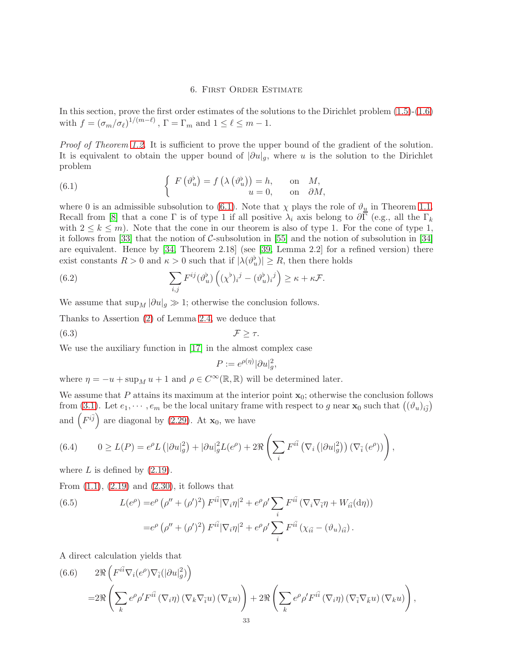## <span id="page-32-1"></span>6. First Order Estimate

<span id="page-32-0"></span>In this section, prove the first order estimates of the solutions to the Dirichlet problem [\(1.5\)](#page-1-4)-[\(1.6\)](#page-1-5) with  $f = (\sigma_m/\sigma_\ell)^{1/(m-\ell)}$ ,  $\Gamma = \Gamma_m$  and  $1 \leq \ell \leq m-1$ .

Proof of Theorem [1.2.](#page-5-1) It is sufficient to prove the upper bound of the gradient of the solution. It is equivalent to obtain the upper bound of  $|\partial u|_g$ , where u is the solution to the Dirichlet problem

(6.1) 
$$
\begin{cases} F(\vartheta_u^{\flat}) = f(\lambda(\vartheta_u^{\flat})) = h, & \text{on } M, \\ u = 0, & \text{on } \partial M, \end{cases}
$$

where 0 is an admissible subsolution to [\(6.1\)](#page-32-1). Note that  $\chi$  plays the role of  $\vartheta_{\underline{u}}$  in Theorem [1.1.](#page-3-0) Recall from [\[8\]](#page-42-0) that a cone Γ is of type 1 if all positive  $\lambda_i$  axis belong to  $\partial \Gamma$  (e.g., all the  $\Gamma_k$ with  $2 \leq k \leq m$ ). Note that the cone in our theorem is also of type 1. For the cone of type 1, it follows from [\[33\]](#page-43-4) that the notion of C-subsolution in [\[55\]](#page-44-10) and the notion of subsolution in [\[34\]](#page-43-2) are equivalent. Hence by [\[34,](#page-43-2) Theorem 2.18] (see [\[39,](#page-43-27) Lemma 2.2] for a refined version) there exist constants  $R > 0$  and  $\kappa > 0$  such that if  $|\lambda(\vartheta_u^{\flat})| \ge R$ , then there holds

(6.2) 
$$
\sum_{i,j} F^{ij}(\vartheta_u^{\flat}) \left( (\chi^{\flat})_i{}^j - (\vartheta_u^{\flat})_i{}^j \right) \geq \kappa + \kappa \mathcal{F}.
$$

We assume that  $\sup_M |\partial u|_g \gg 1$ ; otherwise the conclusion follows.

Thanks to Assertion [\(2\)](#page-11-1) of Lemma [2.4,](#page-11-2) we deduce that

$$
\mathcal{F} \geq \tau.
$$

We use the auxiliary function in [\[17\]](#page-42-20) in the almost complex case

<span id="page-32-5"></span>
$$
P := e^{\rho(\eta)} |\partial u|_g^2,
$$

where  $\eta = -u + \sup_M u + 1$  and  $\rho \in C^{\infty}(\mathbb{R}, \mathbb{R})$  will be determined later.

We assume that P attains its maximum at the interior point  $x_0$ ; otherwise the conclusion follows from [\(3.1\)](#page-15-2). Let  $e_1, \dots, e_m$  be the local unitary frame with respect to g near  $\mathbf{x}_0$  such that  $((\vartheta_u)_{i,j})$ and  $(F^{i\bar{j}})$  are diagonal by [\(2.29\)](#page-13-7). At  $\mathbf{x}_0$ , we have

<span id="page-32-3"></span>(6.4) 
$$
0 \ge L(P) = e^{\rho} L\left(|\partial u|_g^2\right) + |\partial u|_g^2 L(e^{\rho}) + 2\Re\left(\sum_i F^{i\bar{i}}\left(\nabla_i\left(|\partial u|_g^2\right)\right)\left(\nabla_{\bar{i}}\left(e^{\rho}\right)\right)\right),
$$

where  $L$  is defined by  $(2.19)$ .

From  $(1.1)$ ,  $(2.19)$  and  $(2.30)$ , it follows that

<span id="page-32-4"></span>(6.5) 
$$
L(e^{\rho}) = e^{\rho} (\rho'' + (\rho')^2) F^{i\bar{i}} |\nabla_i \eta|^2 + e^{\rho} \rho' \sum_i F^{i\bar{i}} (\nabla_i \nabla_{\bar{i}} \eta + W_{i\bar{i}}(\mathrm{d}\eta))
$$

$$
= e^{\rho} (\rho'' + (\rho')^2) F^{i\bar{i}} |\nabla_i \eta|^2 + e^{\rho} \rho' \sum_i F^{i\bar{i}} (\chi_{i\bar{i}} - (\vartheta_u)_{i\bar{i}}).
$$

A direct calculation yields that

<span id="page-32-2"></span>(6.6) 
$$
2\Re\left(F^{i\bar{i}}\nabla_i(e^{\rho})\nabla_{\bar{i}}(|\partial u|_g^2)\right)
$$
  

$$
=2\Re\left(\sum_k e^{\rho}\rho' F^{i\bar{i}}(\nabla_i \eta) (\nabla_k \nabla_{\bar{i}} u) (\nabla_{\bar{k}} u)\right) + 2\Re\left(\sum_k e^{\rho}\rho' F^{i\bar{i}}(\nabla_i \eta) (\nabla_{\bar{i}} \nabla_{\bar{k}} u) (\nabla_k u)\right),
$$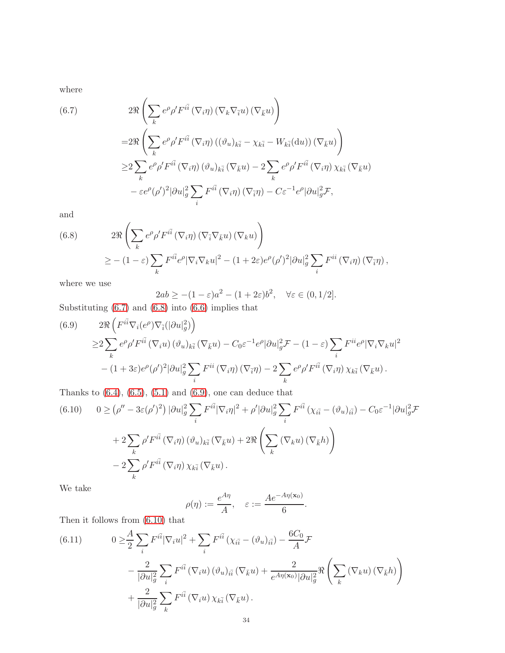where

<span id="page-33-0"></span>(6.7)  
\n
$$
2\Re\left(\sum_{k} e^{\rho} \rho' F^{i\bar{i}}\left(\nabla_{i}\eta\right)\left(\nabla_{k}\nabla_{\bar{i}}u\right)\left(\nabla_{\bar{k}}u\right)\right)
$$
\n
$$
=2\Re\left(\sum_{k} e^{\rho} \rho' F^{i\bar{i}}\left(\nabla_{i}\eta\right)\left((\vartheta_{u})_{k\bar{i}}-\chi_{k\bar{i}}-W_{k\bar{i}}(\mathrm{d}u)\right)\left(\nabla_{\bar{k}}u\right)\right)
$$
\n
$$
\geq 2\sum_{k} e^{\rho} \rho' F^{i\bar{i}}\left(\nabla_{i}\eta\right)\left(\vartheta_{u}\right)_{k\bar{i}}\left(\nabla_{\bar{k}}u\right)-2\sum_{k} e^{\rho} \rho' F^{i\bar{i}}\left(\nabla_{i}\eta\right)\chi_{k\bar{i}}\left(\nabla_{\bar{k}}u\right)
$$
\n
$$
-\varepsilon e^{\rho} (\rho')^{2} |\partial u|_{g}^{2} \sum_{i} F^{i\bar{i}}\left(\nabla_{i}\eta\right)\left(\nabla_{\bar{i}}\eta\right)-C\varepsilon^{-1} e^{\rho} |\partial u|_{g}^{2} \mathcal{F},
$$

and

<span id="page-33-1"></span>(6.8) 
$$
2\Re\left(\sum_{k} e^{\rho} \rho' F^{i\bar{i}}(\nabla_{i}\eta) (\nabla_{\bar{i}}\nabla_{\bar{k}}u) (\nabla_{k}u)\right)
$$

$$
\geq -(1-\varepsilon) \sum_{k} F^{i\bar{i}} e^{\rho} |\nabla_{i}\nabla_{k}u|^{2} - (1+2\varepsilon) e^{\rho} (\rho')^{2} |\partial u|_{g}^{2} \sum_{i} F^{i\bar{i}}(\nabla_{i}\eta) (\nabla_{\bar{i}}\eta),
$$

where we use

$$
2ab \ge -(1 - \varepsilon)a^2 - (1 + 2\varepsilon)b^2, \quad \forall \varepsilon \in (0, 1/2].
$$

Substituting [\(6.7\)](#page-33-0) and [\(6.8\)](#page-33-1) into [\(6.6\)](#page-32-2) implies that

<span id="page-33-2"></span>(6.9) 
$$
2\Re\left(F^{i\bar{i}}\nabla_i(e^{\rho})\nabla_{\bar{i}}(|\partial u|_g^2)\right)
$$
  
\n
$$
\geq 2\sum_k e^{\rho}\rho' F^{i\bar{i}}(\nabla_i u)(\vartheta_u)_{k\bar{i}}(\nabla_{\bar{k}} u) - C_0 \varepsilon^{-1} e^{\rho}|\partial u|_g^2 \mathcal{F} - (1-\varepsilon)\sum_i F^{i\bar{i}} e^{\rho}|\nabla_i \nabla_k u|^2
$$
  
\n
$$
-(1+3\varepsilon)e^{\rho}(\rho')^2|\partial u|_g^2 \sum_i F^{i\bar{i}}(\nabla_i \eta)(\nabla_{\bar{i}} \eta) - 2\sum_k e^{\rho}\rho' F^{i\bar{i}}(\nabla_i \eta) \chi_{k\bar{i}}(\nabla_{\bar{k}} u).
$$

Thanks to  $(6.4)$ ,  $(6.5)$ ,  $(5.1)$  and  $(6.9)$ , one can deduce that

<span id="page-33-3"></span>(6.10) 
$$
0 \ge (\rho'' - 3\varepsilon(\rho')^2) |\partial u|_g^2 \sum_i F^{i\bar{i}} |\nabla_i \eta|^2 + \rho' |\partial u|_g^2 \sum_i F^{i\bar{i}} (\chi_{i\bar{i}} - (\vartheta_u)_{i\bar{i}}) - C_0 \varepsilon^{-1} |\partial u|_g^2 \mathcal{F}
$$

$$
+ 2 \sum_k \rho' F^{i\bar{i}} (\nabla_i \eta) (\vartheta_u)_{k\bar{i}} (\nabla_{\bar{k}} u) + 2 \Re \left( \sum_k (\nabla_k u) (\nabla_{\bar{k}} h) \right)
$$

$$
- 2 \sum_k \rho' F^{i\bar{i}} (\nabla_i \eta) \chi_{k\bar{i}} (\nabla_{\bar{k}} u).
$$

We take

$$
\rho(\eta) := \frac{e^{A\eta}}{A}, \quad \varepsilon := \frac{Ae^{-A\eta(\mathbf{x}_0)}}{6}.
$$

Then it follows from [\(6.10\)](#page-33-3) that

<span id="page-33-4"></span>(6.11) 
$$
0 \geq \frac{A}{2} \sum_{i} F^{i\bar{i}} |\nabla_i u|^2 + \sum_{i} F^{i\bar{i}} (\chi_{i\bar{i}} - (\vartheta_u)_{i\bar{i}}) - \frac{6C_0}{A} \mathcal{F}
$$

$$
- \frac{2}{|\partial u|_g^2} \sum_{i} F^{i\bar{i}} (\nabla_i u) (\vartheta_u)_{i\bar{i}} (\nabla_{\bar{k}} u) + \frac{2}{e^{A\eta(\mathbf{x}_0)} |\partial u|_g^2} \Re \left( \sum_{k} (\nabla_k u) (\nabla_{\bar{k}} h) \right)
$$

$$
+ \frac{2}{|\partial u|_g^2} \sum_{k} F^{i\bar{i}} (\nabla_i u) \chi_{k\bar{i}} (\nabla_{\bar{k}} u).
$$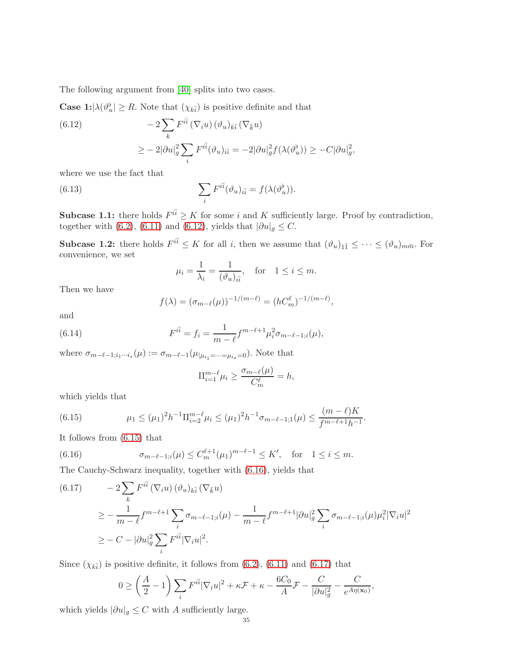The following argument from [\[40\]](#page-43-15) splits into two cases.

**Case 1:** $|\lambda(\vartheta_u^{\flat}|) \geq R$ . Note that  $(\chi_{k\bar{i}})$  is positive definite and that

<span id="page-34-0"></span>(6.12) 
$$
-2\sum_{k} F^{i\bar{i}} (\nabla_i u) (\vartheta_u)_{k\bar{i}} (\nabla_{\bar{k}} u)
$$

$$
\geq -2|\partial u|_g^2 \sum_{i} F^{i\bar{i}} (\vartheta_u)_{i\bar{i}} = -2|\partial u|_g^2 f(\lambda(\vartheta_u^{\flat})) \geq -C|\partial u|_g^2,
$$

where we use the fact that

(6.13) 
$$
\sum_{i} F^{i\bar{i}}(\vartheta_u)_{i\bar{i}} = f(\lambda(\vartheta_u^{\flat})).
$$

**Subcase 1.1:** there holds  $F^{i\bar{i}} \geq K$  for some i and K sufficiently large. Proof by contradiction, together with [\(6.2\)](#page-32-5), [\(6.11\)](#page-33-4) and [\(6.12\)](#page-34-0), yields that  $|\partial u|_g \leq C$ .

**Subcase 1.2:** there holds  $F^{i\bar{i}} \leq K$  for all i, then we assume that  $(\vartheta_u)_{1\bar{1}} \leq \cdots \leq (\vartheta_u)_{m\bar{m}}$ . For convenience, we set

$$
\mu_i = \frac{1}{\lambda_i} = \frac{1}{(\vartheta_u)_{i\bar{i}}}, \quad \text{for} \quad 1 \le i \le m.
$$

Then we have

$$
f(\lambda) = (\sigma_{m-\ell}(\mu))^{-1/(m-\ell)} = (hC_m^{\ell})^{-1/(m-\ell)},
$$

and

(6.14) 
$$
F^{i\bar{i}} = f_i = \frac{1}{m-\ell} f^{m-\ell+1} \mu_i^2 \sigma_{m-\ell-1;i}(\mu),
$$

where  $\sigma_{m-\ell-1;i_1\cdots i_s}(\mu) := \sigma_{m-\ell-1}(\mu_{|\mu_{i_1}=\cdots=\mu_{i_s}=0})$ . Note that

$$
\Pi_{i=1}^{m-\ell} \mu_i \ge \frac{\sigma_{m-\ell}(\mu)}{C_m^{\ell}} = h,
$$

which yields that

<span id="page-34-1"></span>(6.15) 
$$
\mu_1 \leq (\mu_1)^2 h^{-1} \Pi_{i=2}^{m-\ell} \mu_i \leq (\mu_1)^2 h^{-1} \sigma_{m-\ell-1;1}(\mu) \leq \frac{(m-\ell)K}{f^{m-\ell+1}h^{-1}}.
$$

It follows from [\(6.15\)](#page-34-1) that

<span id="page-34-2"></span>(6.16) 
$$
\sigma_{m-\ell-1;i}(\mu) \le C_m^{\ell+1}(\mu_1)^{m-\ell-1} \le K', \text{ for } 1 \le i \le m.
$$

The Cauchy-Schwarz inequality, together with [\(6.16\)](#page-34-2), yields that

<span id="page-34-3"></span>
$$
(6.17) \qquad -2\sum_{k} F^{i\bar{i}} \left(\nabla_{i} u\right) (\vartheta_{u})_{k\bar{i}} \left(\nabla_{\bar{k}} u\right)
$$
\n
$$
\geq -\frac{1}{m-\ell} f^{m-\ell+1} \sum_{i} \sigma_{m-\ell-1;i}(\mu) - \frac{1}{m-\ell} f^{m-\ell+1} |\partial u|_{g}^{2} \sum_{i} \sigma_{m-\ell-1;i}(\mu) \mu_{i}^{2} |\nabla_{i} u|^{2}
$$
\n
$$
\geq -C - |\partial u|_{g}^{2} \sum_{i} F^{i\bar{i}} |\nabla_{i} u|^{2}.
$$

Since  $(\chi_{k\bar{i}})$  is positive definite, it follows from [\(6.2\)](#page-32-5), [\(6.11\)](#page-33-4) and [\(6.17\)](#page-34-3) that

$$
0 \ge \left(\frac{A}{2} - 1\right) \sum_{i} F^{i\bar{i}} |\nabla_i u|^2 + \kappa \mathcal{F} + \kappa - \frac{6C_0}{A} \mathcal{F} - \frac{C}{|\partial u|_g^2} - \frac{C}{e^{A\eta(\mathbf{x}_0)}},
$$

which yields  $|\partial u|_g \leq C$  with A sufficiently large.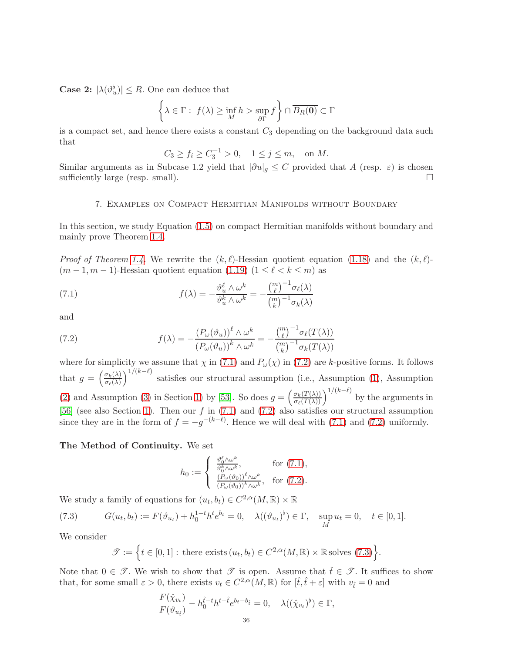**Case 2:**  $|\lambda(\vartheta_u^{\flat})| \leq R$ . One can deduce that

$$
\left\{\lambda \in \Gamma: f(\lambda) \ge \inf_M h > \sup_{\partial \Gamma} f\right\} \cap \overline{B_R(\mathbf{0})} \subset \Gamma
$$

is a compact set, and hence there exists a constant  $C_3$  depending on the background data such that

$$
C_3 \ge f_i \ge C_3^{-1} > 0, \quad 1 \le j \le m, \quad \text{on } M.
$$

<span id="page-35-0"></span>Similar arguments as in Subcase 1.2 yield that  $|\partial u|_g \leq C$  provided that A (resp.  $\varepsilon$ ) is chosen sufficiently large (resp. small). sufficiently large (resp. small).

#### 7. Examples on Compact Hermitian Manifolds without Boundary

In this section, we study Equation [\(1.5\)](#page-1-4) on compact Hermitian manifolds without boundary and mainly prove Theorem [1.4.](#page-6-1)

*Proof of Theorem [1.4.](#page-6-1)* We rewrite the  $(k, \ell)$ -Hessian quotient equation [\(1.18\)](#page-4-0) and the  $(k, \ell)$ - $(m-1, m-1)$ -Hessian quotient equation  $(1.19)$   $(1 \leq \ell \leq k \leq m)$  as

<span id="page-35-1"></span>(7.1) 
$$
f(\lambda) = -\frac{\vartheta_u^{\ell} \wedge \omega^k}{\vartheta_u^k \wedge \omega^k} = -\frac{\binom{m}{\ell}^{-1} \sigma_{\ell}(\lambda)}{\binom{m}{k}^{-1} \sigma_k(\lambda)}
$$

and

<span id="page-35-2"></span>(7.2) 
$$
f(\lambda) = -\frac{(P_{\omega}(\vartheta_u))^{\ell} \wedge \omega^k}{(P_{\omega}(\vartheta_u))^k \wedge \omega^k} = -\frac{\binom{m}{\ell}^{-1} \sigma_{\ell}(T(\lambda))}{\binom{m}{k}^{-1} \sigma_k(T(\lambda))}
$$

where for simplicity we assume that  $\chi$  in [\(7.1\)](#page-35-1) and  $P_{\omega}(\chi)$  in [\(7.2\)](#page-35-2) are k-positive forms. It follows that  $g = \left(\frac{\sigma_k(\lambda)}{\sigma_s(\lambda)}\right)$  $\sigma_\ell(\lambda)$  $\int_{1}^{1/(k-\ell)}$  satisfies our structural assumption (i.e., Assumption [\(1\)](#page-1-2), Assumption [\(2\)](#page-1-3) and Assumption [\(3\)](#page-1-0) in Section [1\)](#page-0-3) by [\[53\]](#page-43-7). So does  $g = \left(\frac{\sigma_k(T(\lambda))}{\sigma_\ell(T(\lambda))}\right)^{1/(k-\ell)}$  by the arguments in [\[56\]](#page-44-3) (see also Section [1\)](#page-0-3). Then our f in  $(7.1)$  and  $(7.2)$  also satisfies our structural assumption since they are in the form of  $f = -g^{-(k-\ell)}$ . Hence we will deal with [\(7.1\)](#page-35-1) and [\(7.2\)](#page-35-2) uniformly.

#### The Method of Continuity. We set

$$
h_0 := \begin{cases} \frac{\vartheta_0^{\ell} \wedge \omega^k}{\vartheta_0^k \wedge \omega^k}, & \text{for (7.1)},\\ \frac{(P_{\omega}(\vartheta_0))^{\ell} \wedge \omega^k}{(P_{\omega}(\vartheta_0))^k \wedge \omega^k}, & \text{for (7.2)}. \end{cases}
$$

We study a family of equations for  $(u_t, b_t) \in C^{2,\alpha}(M, \mathbb{R}) \times \mathbb{R}$ 

(7.3) 
$$
G(u_t, b_t) := F(\vartheta_{u_t}) + h_0^{1-t} h^t e^{b_t} = 0, \quad \lambda((\vartheta_{u_t})^{\flat}) \in \Gamma, \quad \sup_M u_t = 0, \quad t \in [0, 1].
$$

We consider

<span id="page-35-3"></span>
$$
\mathscr{T} := \Big\{ t \in [0,1]: \text{ there exists } (u_t, b_t) \in C^{2,\alpha}(M,\mathbb{R}) \times \mathbb{R} \text{ solves (7.3)} \Big\}.
$$

Note that  $0 \in \mathscr{T}$ . We wish to show that  $\mathscr{T}$  is open. Assume that  $\hat{t} \in \mathscr{T}$ . It suffices to show that, for some small  $\varepsilon > 0$ , there exists  $v_t \in C^{2,\alpha}(M,\mathbb{R})$  for  $[\hat{t}, \hat{t} + \varepsilon]$  with  $v_{\hat{t}} = 0$  and

$$
\frac{F(\hat{\chi}_{v_t})}{F(\vartheta_{u_i})} - h_0^{\hat{t}-t} h^{t-\hat{t}} e^{b_t-b_{\hat{t}}} = 0, \quad \lambda((\hat{\chi}_{v_t})^{\flat}) \in \Gamma,
$$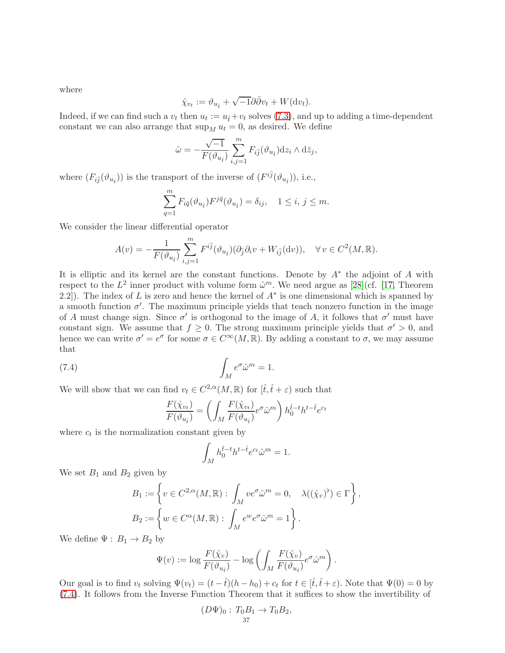where

$$
\hat{\chi}_{v_t} := \vartheta_{u_{\hat{t}}} + \sqrt{-1}\partial\bar{\partial}v_t + W(\mathrm{d}v_t).
$$

Indeed, if we can find such a  $v_t$  then  $u_t := u_t + v_t$  solves [\(7.3\)](#page-35-3), and up to adding a time-dependent constant we can also arrange that  $\sup_M u_t = 0$ , as desired. We define

$$
\hat{\omega} = -\frac{\sqrt{-1}}{F(\vartheta_{u_{\hat{t}}})} \sum_{i,j=1}^{m} F_{i\overline{j}}(\vartheta_{u_{\hat{t}}}) \mathrm{d}z_i \wedge \mathrm{d}\overline{z}_j,
$$

where  $(F_{i\bar{j}}(\vartheta_{u_{\bar{i}}}))$  is the transport of the inverse of  $(F^{i\bar{j}}(\vartheta_{u_{\bar{i}}}))$ , i.e.,

$$
\sum_{q=1}^{m} F_{i\bar{q}}(\vartheta_{u_{\hat{t}}}) F^{j\bar{q}}(\vartheta_{u_{\hat{t}}}) = \delta_{ij}, \quad 1 \le i, j \le m.
$$

We consider the linear differential operator

$$
A(v) = -\frac{1}{F(\vartheta_{u_{\hat{t}}})} \sum_{i,j=1}^{m} F^{i\bar{j}}(\vartheta_{u_{\hat{t}}})(\partial_{\bar{j}}\partial_i v + W_{i\bar{j}}(\mathrm{d}v)), \quad \forall v \in C^2(M, \mathbb{R}).
$$

It is elliptic and its kernel are the constant functions. Denote by  $A^*$  the adjoint of A with respect to the  $L^2$  inner product with volume form  $\hat{\omega}^m$ . We need argue as [\[28\]](#page-43-19)(cf. [\[17,](#page-42-20) Theorem 2.2]). The index of L is zero and hence the kernel of  $A^*$  is one dimensional which is spanned by a smooth function  $\sigma'$ . The maximum principle yields that teach nonzero function in the image of A must change sign. Since  $\sigma'$  is orthogonal to the image of A, it follows that  $\sigma'$  must have constant sign. We assume that  $f \geq 0$ . The strong maximum principle yields that  $\sigma' > 0$ , and hence we can write  $\sigma' = e^{\sigma}$  for some  $\sigma \in C^{\infty}(M, \mathbb{R})$ . By adding a constant to  $\sigma$ , we may assume that

(7.4) 
$$
\int_M e^{\sigma} \hat{\omega}^m = 1.
$$

We will show that we can find  $v_t \in C^{2,\alpha}(M,\mathbb{R})$  for  $[\hat{t}, \hat{t} + \varepsilon)$  such that

<span id="page-36-0"></span>
$$
\frac{F(\hat{\chi}_{v_t})}{F(\vartheta_{u_{\hat{t}}})} = \left(\int_M \frac{F(\hat{\chi}_{v_t})}{F(\vartheta_{u_{\hat{t}}})} e^{\sigma} \hat{\omega}^m \right) h_0^{\hat{t}-t} h^{t-\hat{t}} e^{c_t}
$$

where  $c_t$  is the normalization constant given by

$$
\int_M h_0^{\hat t - \hat t} h^{t - \hat t} e^{c_t} \hat \omega^m = 1.
$$

We set  $B_1$  and  $B_2$  given by

$$
B_1 := \left\{ v \in C^{2,\alpha}(M,\mathbb{R}) : \int_M v e^{\sigma} \hat{\omega}^m = 0, \quad \lambda((\hat{\chi}_v)^{\flat}) \in \Gamma \right\},
$$
  

$$
B_2 := \left\{ w \in C^{\alpha}(M,\mathbb{R}) : \int_M e^w e^{\sigma} \hat{\omega}^m = 1 \right\}.
$$

We define  $\Psi : B_1 \rightarrow B_2$  by

$$
\Psi(v) := \log \frac{F(\hat{\chi}_v)}{F(\vartheta_{u_{\hat{t}}})} - \log \left( \int_M \frac{F(\hat{\chi}_v)}{F(\vartheta_{u_{\hat{t}}})} e^{\sigma} \hat{\omega}^m \right).
$$

Our goal is to find  $v_t$  solving  $\Psi(v_t) = (t - \hat{t})(h - h_0) + c_t$  for  $t \in [\hat{t}, \hat{t} + \varepsilon)$ . Note that  $\Psi(0) = 0$  by [\(7.4\)](#page-36-0). It follows from the Inverse Function Theorem that it suffices to show the invertibility of

$$
(D\Psi)_0: T_0B_1 \to T_0B_2,
$$
  
37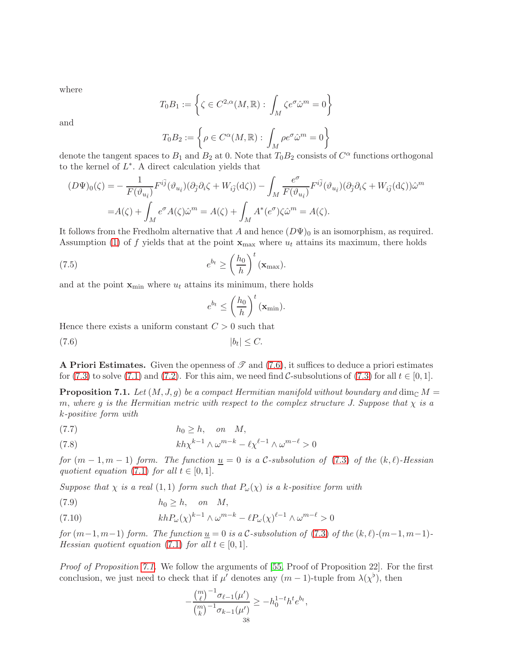where

$$
T_0 B_1 := \left\{ \zeta \in C^{2,\alpha}(M,\mathbb{R}) : \int_M \zeta e^{\sigma} \hat{\omega}^m = 0 \right\}
$$

and

$$
T_0 B_2 := \left\{ \rho \in C^{\alpha}(M, \mathbb{R}) : \int_M \rho e^{\sigma} \hat{\omega}^m = 0 \right\}
$$

denote the tangent spaces to  $B_1$  and  $B_2$  at 0. Note that  $T_0B_2$  consists of  $C^{\alpha}$  functions orthogonal to the kernel of  $L^*$ . A direct calculation yields that

$$
(D\Psi)_0(\zeta) = -\frac{1}{F(\vartheta_{u_i})} F^{i\bar{j}}(\vartheta_{u_i})(\partial_{\bar{j}}\partial_i\zeta + W_{i\bar{j}}(\mathrm{d}\zeta)) - \int_M \frac{e^{\sigma}}{F(\vartheta_{u_i})} F^{i\bar{j}}(\vartheta_{u_i})(\partial_{\bar{j}}\partial_i\zeta + W_{i\bar{j}}(\mathrm{d}\zeta))\hat{\omega}^m
$$
  
=  $A(\zeta) + \int_M e^{\sigma} A(\zeta) \hat{\omega}^m = A(\zeta) + \int_M A^*(e^{\sigma})\zeta \hat{\omega}^m = A(\zeta).$ 

It follows from the Fredholm alternative that A and hence  $(D\Psi)_0$  is an isomorphism, as required. Assumption [\(1\)](#page-1-2) of f yields that at the point  $\mathbf{x}_{\text{max}}$  where  $u_t$  attains its maximum, there holds

(7.5) 
$$
e^{b_t} \ge \left(\frac{h_0}{h}\right)^t (\mathbf{x}_{\text{max}}).
$$

and at the point  $\mathbf{x}_{\text{min}}$  where  $u_t$  attains its minimum, there holds

<span id="page-37-2"></span><span id="page-37-0"></span>
$$
e^{b_t} \leq \left(\frac{h_0}{h}\right)^t (\mathbf{x}_{\min}).
$$

Hence there exists a uniform constant  $C > 0$  such that

$$
(7.6) \t\t\t |b_t| \leq C.
$$

A Priori Estimates. Given the openness of  $\mathscr T$  and [\(7.6\)](#page-37-0), it suffices to deduce a priori estimates for [\(7.3\)](#page-35-3) to solve [\(7.1\)](#page-35-1) and [\(7.2\)](#page-35-2). For this aim, we need find C-subsolutions of (7.3) for all  $t \in [0,1]$ .

<span id="page-37-1"></span>**Proposition 7.1.** Let  $(M, J, g)$  be a compact Hermitian manifold without boundary and dim<sub>C</sub> M m, where g is the Hermitian metric with respect to the complex structure J. Suppose that  $\chi$  is a k-positive form with

<span id="page-37-3"></span>(7.7) h<sup>0</sup> ≥ h, on M,

<span id="page-37-4"></span>(7.8) 
$$
kh\chi^{k-1}\wedge\omega^{m-k}-\ell\chi^{\ell-1}\wedge\omega^{m-\ell}>0
$$

for  $(m-1, m-1)$  form. The function  $\underline{u} = 0$  is a C-subsolution of [\(7.3\)](#page-35-3) of the  $(k, \ell)$ -Hessian quotient equation [\(7.1\)](#page-35-1) for all  $t \in [0,1]$ .

Suppose that  $\chi$  is a real  $(1,1)$  form such that  $P_{\omega}(\chi)$  is a k-positive form with

(7.9) h<sup>0</sup> ≥ h, on M,

(7.10) 
$$
khP_{\omega}(\chi)^{k-1} \wedge \omega^{m-k} - \ell P_{\omega}(\chi)^{\ell-1} \wedge \omega^{m-\ell} > 0
$$

for  $(m-1, m-1)$  form. The function  $\underline{u} = 0$  is a C-subsolution of [\(7.3\)](#page-35-3) of the  $(k, \ell)$ - $(m-1, m-1)$ -Hessian quotient equation [\(7.1\)](#page-35-1) for all  $t \in [0,1]$ .

Proof of Proposition [7.1.](#page-37-1) We follow the arguments of [\[55,](#page-44-10) Proof of Proposition 22]. For the first conclusion, we just need to check that if  $\mu'$  denotes any  $(m-1)$ -tuple from  $\lambda(\chi^{\flat})$ , then

$$
-\frac{\binom{m}{\ell}^{-1}\sigma_{\ell-1}(\mu')}{\binom{m}{k}^{-1}\sigma_{k-1}(\mu')} \ge -h_0^{1-t}h^t e^{b_t},
$$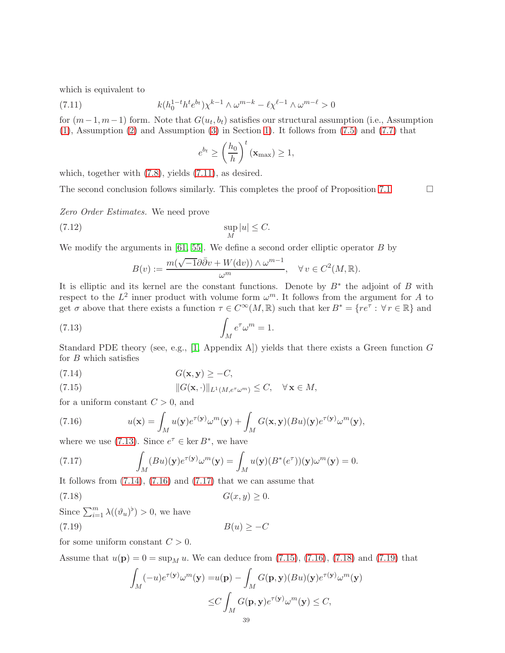which is equivalent to

(7.11) 
$$
k(h_0^{1-t}h^te^{b_t})\chi^{k-1} \wedge \omega^{m-k} - \ell \chi^{\ell-1} \wedge \omega^{m-\ell} > 0
$$

for  $(m-1, m-1)$  form. Note that  $G(u_t, b_t)$  satisfies our structural assumption (i.e., Assumption [\(1\)](#page-1-2), Assumption [\(2\)](#page-1-3) and Assumption [\(3\)](#page-1-0) in Section [1\)](#page-0-3). It follows from [\(7.5\)](#page-37-2) and [\(7.7\)](#page-37-3) that

<span id="page-38-8"></span><span id="page-38-0"></span>
$$
e^{b_t} \ge \left(\frac{h_0}{h}\right)^t (\mathbf{x}_{\text{max}}) \ge 1,
$$

which, together with [\(7.8\)](#page-37-4), yields [\(7.11\)](#page-38-0), as desired.

The second conclusion follows similarly. This completes the proof of Proposition [7.1](#page-37-1)  $\Box$ 

Zero Order Estimates. We need prove

$$
\sup_{M}|u| \leq C.
$$

We modify the arguments in [\[61,](#page-44-13) [55\]](#page-44-10). We define a second order elliptic operator B by

<span id="page-38-1"></span>
$$
B(v) := \frac{m(\sqrt{-1}\partial\bar{\partial}v + W(\mathrm{d}v)) \wedge \omega^{m-1}}{\omega^m}, \quad \forall v \in C^2(M, \mathbb{R}).
$$

It is elliptic and its kernel are the constant functions. Denote by  $B^*$  the adjoint of B with respect to the  $L^2$  inner product with volume form  $\omega^m$ . It follows from the argument for A to get  $\sigma$  above that there exists a function  $\tau \in C^{\infty}(M, \mathbb{R})$  such that ker  $B^* = \{re^{\tau} : \forall r \in \mathbb{R}\}\$  and

(7.13) 
$$
\int_M e^{\tau} \omega^m = 1.
$$

Standard PDE theory (see, e.g., [\[1,](#page-42-22) Appendix A]) yields that there exists a Green function  $G$ for  $B$  which satisfies

<span id="page-38-2"></span>
$$
G(\mathbf{x}, \mathbf{y}) \ge -C,
$$

<span id="page-38-5"></span>(7.15) 
$$
||G(\mathbf{x}, \cdot)||_{L^1(M, e^{\tau_\omega m})} \leq C, \quad \forall \mathbf{x} \in M,
$$

for a uniform constant  $C > 0$ , and

<span id="page-38-3"></span>(7.16) 
$$
u(\mathbf{x}) = \int_M u(\mathbf{y}) e^{\tau(\mathbf{y})} \omega^m(\mathbf{y}) + \int_M G(\mathbf{x}, \mathbf{y}) (Bu)(\mathbf{y}) e^{\tau(\mathbf{y})} \omega^m(\mathbf{y}),
$$

where we use [\(7.13\)](#page-38-1). Since  $e^{\tau} \in \ker B^*$ , we have

<span id="page-38-4"></span>(7.17) 
$$
\int_M (Bu)(\mathbf{y})e^{\tau(\mathbf{y})}\omega^m(\mathbf{y}) = \int_M u(\mathbf{y})(B^*(e^{\tau}))(\mathbf{y})\omega^m(\mathbf{y}) = 0.
$$

It follows from  $(7.14)$ ,  $(7.16)$  and  $(7.17)$  that we can assume that

$$
(7.18) \tG(x,y) \ge 0.
$$

Since 
$$
\sum_{i=1}^{m} \lambda((\vartheta_u)^{\flat}) > 0
$$
, we have  
(7.19)  $B(u) \geq -C$ 

for some uniform constant  $C > 0$ .

Assume that  $u(\mathbf{p}) = 0 = \sup_M u$ . We can deduce from [\(7.15\)](#page-38-5), [\(7.16\)](#page-38-3), [\(7.18\)](#page-38-6) and [\(7.19\)](#page-38-7) that

<span id="page-38-7"></span><span id="page-38-6"></span>
$$
\int_{M} (-u)e^{\tau(\mathbf{y})} \omega^{m}(\mathbf{y}) = u(\mathbf{p}) - \int_{M} G(\mathbf{p}, \mathbf{y})(Bu)(\mathbf{y})e^{\tau(\mathbf{y})} \omega^{m}(\mathbf{y})
$$
  

$$
\leq C \int_{M} G(\mathbf{p}, \mathbf{y})e^{\tau(\mathbf{y})} \omega^{m}(\mathbf{y}) \leq C,
$$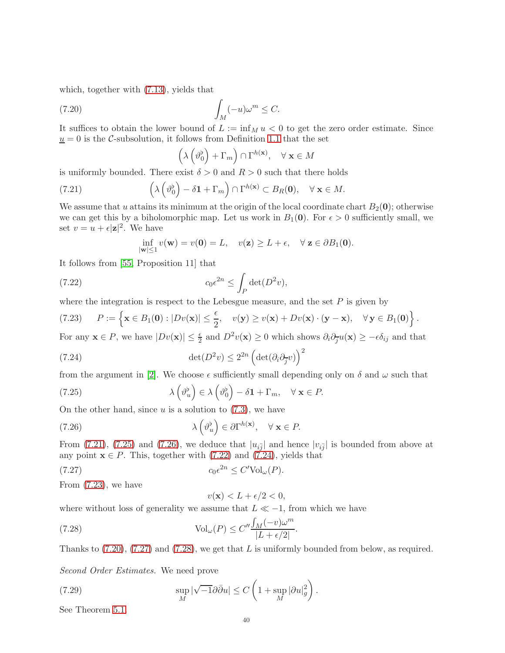which, together with [\(7.13\)](#page-38-1), yields that

(7.20) 
$$
\int_M (-u)\omega^m \leq C.
$$

It suffices to obtain the lower bound of  $L := \inf_M u < 0$  to get the zero order estimate. Since  $\underline{u} = 0$  is the C-subsolution, it follows from Definition [1.1](#page-3-3) that the set

<span id="page-39-6"></span><span id="page-39-0"></span>
$$
\left(\lambda\left(\vartheta_0^{\flat}\right)+\Gamma_m\right)\cap\Gamma^{h(\mathbf{x})}, \quad \forall \mathbf{x} \in M
$$

is uniformly bounded. There exist  $\delta > 0$  and  $R > 0$  such that there holds

(7.21) 
$$
\left(\lambda\left(\vartheta_0^{\flat}\right)-\delta\mathbf{1}+\Gamma_m\right)\cap\Gamma^{h(\mathbf{x})}\subset B_R(\mathbf{0}), \quad \forall \mathbf{x}\in M.
$$

We assume that u attains its minimum at the origin of the local coordinate chart  $B_2(0)$ ; otherwise we can get this by a biholomorphic map. Let us work in  $B_1(0)$ . For  $\epsilon > 0$  sufficiently small, we set  $v = u + \epsilon |\mathbf{z}|^2$ . We have

<span id="page-39-4"></span><span id="page-39-3"></span>
$$
\inf_{|\mathbf{w}|\leq 1} v(\mathbf{w}) = v(\mathbf{0}) = L, \quad v(\mathbf{z}) \geq L + \epsilon, \quad \forall \mathbf{z} \in \partial B_1(\mathbf{0}).
$$

It follows from [\[55,](#page-44-10) Proposition 11] that

(7.22) 
$$
c_0 \epsilon^{2n} \leq \int_P \det(D^2 v),
$$

where the integration is respect to the Lebesgue measure, and the set  $P$  is given by

<span id="page-39-5"></span>(7.23) 
$$
P := \left\{ \mathbf{x} \in B_1(\mathbf{0}) : |Dv(\mathbf{x})| \leq \frac{\epsilon}{2}, \quad v(\mathbf{y}) \geq v(\mathbf{x}) + Dv(\mathbf{x}) \cdot (\mathbf{y} - \mathbf{x}), \quad \forall \mathbf{y} \in B_1(\mathbf{0}) \right\}.
$$

For any  $\mathbf{x} \in P$ , we have  $|Dv(\mathbf{x})| \leq \frac{\epsilon}{2}$  and  $D^2v(\mathbf{x}) \geq 0$  which shows  $\partial_i \partial_{\overline{j}} u(\mathbf{x}) \geq -\epsilon \delta_{ij}$  and that

(7.24) 
$$
\det(D^2 v) \le 2^{2n} \left(\det(\partial_i \partial_{\overline{j}} v)\right)^2
$$

from the argument in [\[2\]](#page-42-23). We choose  $\epsilon$  sufficiently small depending only on  $\delta$  and  $\omega$  such that

(7.25) 
$$
\lambda \left( \vartheta_u^{\flat} \right) \in \lambda \left( \vartheta_0^{\flat} \right) - \delta \mathbf{1} + \Gamma_m, \quad \forall \mathbf{x} \in P.
$$

On the other hand, since  $u$  is a solution to  $(7.3)$ , we have

(7.26) 
$$
\lambda \left( \vartheta_u^{\flat} \right) \in \partial \Gamma^{h(\mathbf{x})}, \quad \forall \mathbf{x} \in P.
$$

From [\(7.21\)](#page-39-0), [\(7.25\)](#page-39-1) and [\(7.26\)](#page-39-2), we deduce that  $|u_{i\bar{j}}|$  and hence  $|v_{i\bar{j}}|$  is bounded from above at any point  $\mathbf{x} \in P$ . This, together with [\(7.22\)](#page-39-3) and [\(7.24\)](#page-39-4), yields that

$$
(7.27) \t\t\t c_0 \epsilon^{2n} \le C' \text{Vol}_{\omega}(P).
$$

From [\(7.23\)](#page-39-5), we have

<span id="page-39-9"></span><span id="page-39-8"></span><span id="page-39-7"></span><span id="page-39-2"></span><span id="page-39-1"></span>
$$
v(\mathbf{x}) < L + \epsilon/2 < 0,
$$

where without loss of generality we assume that  $L \ll -1$ , from which we have

(7.28) 
$$
\text{Vol}_{\omega}(P) \le C'' \frac{\int_M (-v)\omega^m}{|L + \epsilon/2|}
$$

Thanks to  $(7.20)$ ,  $(7.27)$  and  $(7.28)$ , we get that L is uniformly bounded from below, as required.

.

Second Order Estimates. We need prove

(7.29) 
$$
\sup_{M} |\sqrt{-1}\partial \bar{\partial} u| \leq C \left(1 + \sup_{M} |\partial u|_{g}^{2}\right).
$$

See Theorem [5.1.](#page-24-1)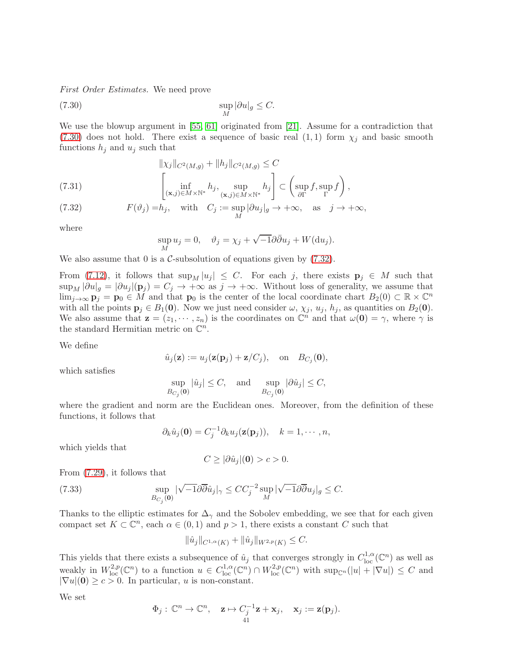First Order Estimates. We need prove

(7.30) 
$$
\sup_{M} |\partial u|_{g} \leq C.
$$

We use the blowup argument in [\[55,](#page-44-10) [61\]](#page-44-13) originated from [\[21\]](#page-42-9). Assume for a contradiction that  $(7.30)$  does not hold. There exist a sequence of basic real  $(1,1)$  form  $\chi_i$  and basic smooth functions  $h_j$  and  $u_j$  such that

(7.31) 
$$
\| \chi_j \|_{C^2(M,g)} + \| h_j \|_{C^2(M,g)} \leq C
$$

$$
\left[ \inf_{(\mathbf{x},j) \in M \times \mathbb{N}^*} h_j, \sup_{(\mathbf{x},j) \in M \times \mathbb{N}^*} h_j \right] \subset \left( \sup_{\partial \Gamma} f, \sup_{\Gamma} f \right),
$$

<span id="page-40-1"></span>(7.32) 
$$
F(\vartheta_j) = h_j, \text{ with } C_j := \sup_M |\partial u_j|_g \to +\infty, \text{ as } j \to +\infty,
$$

where

<span id="page-40-0"></span>
$$
\sup_M u_j = 0, \quad \vartheta_j = \chi_j + \sqrt{-1} \partial \overline{\partial} u_j + W(\mathrm{d} u_j).
$$

We also assume that  $0$  is a  $\mathcal{C}$ -subsolution of equations given by  $(7.32)$ .

From [\(7.12\)](#page-38-8), it follows that  $\sup_M |u_j| \leq C$ . For each j, there exists  $p_j \in M$  such that  $\sup_M |\partial u|_g = |\partial u_j|(\mathbf{p}_j) = C_j \to +\infty$  as  $j \to +\infty$ . Without loss of generality, we assume that  $\lim_{j\to\infty}$   $\mathbf{p}_j = \mathbf{p}_0 \in M$  and that  $\mathbf{p}_0$  is the center of the local coordinate chart  $B_2(0) \subset \mathbb{R} \times \mathbb{C}^n$ with all the points  $\mathbf{p}_j \in B_1(\mathbf{0})$ . Now we just need consider  $\omega$ ,  $\chi_j$ ,  $u_j$ ,  $h_j$ , as quantities on  $B_2(\mathbf{0})$ . We also assume that  $\mathbf{z} = (z_1, \dots, z_n)$  is the coordinates on  $\mathbb{C}^n$  and that  $\omega(\mathbf{0}) = \gamma$ , where  $\gamma$  is the standard Hermitian metric on  $\mathbb{C}^n$ .

We define

$$
\hat{u}_j(\mathbf{z}) := u_j(\mathbf{z}(\mathbf{p}_j) + \mathbf{z}/C_j), \text{ on } B_{C_j}(\mathbf{0}),
$$

which satisfies

$$
\sup_{B_{C_j}(\mathbf{0})} |\hat{u}_j| \le C, \quad \text{and} \quad \sup_{B_{C_j}(\mathbf{0})} |\partial \hat{u}_j| \le C,
$$

where the gradient and norm are the Euclidean ones. Moreover, from the definition of these functions, it follows that

$$
\partial_k \hat{u}_j(\mathbf{0}) = C_j^{-1} \partial_k u_j(\mathbf{z}(\mathbf{p}_j)), \quad k = 1, \cdots, n,
$$

which yields that

$$
C \geq |\partial \hat{u}_j|(\mathbf{0}) > c > 0.
$$

From [\(7.29\)](#page-39-9), it follows that

(7.33) 
$$
\sup_{B_{C_j}(\mathbf{0})} |\sqrt{-1}\partial \overline{\partial} \hat{u}_j|_{\gamma} \leq CC_j^{-2} \sup_M |\sqrt{-1}\partial \overline{\partial} u_j|_{g} \leq C.
$$

Thanks to the elliptic estimates for  $\Delta_{\gamma}$  and the Sobolev embedding, we see that for each given compact set  $K \subset \mathbb{C}^n$ , each  $\alpha \in (0,1)$  and  $p > 1$ , there exists a constant C such that

$$
\|\hat{u}_j\|_{C^{1,\alpha}(K)} + \|\hat{u}_j\|_{W^{2,p}(K)} \leq C.
$$

This yields that there exists a subsequence of  $\hat{u}_j$  that converges strongly in  $C^{1,\alpha}_{loc}(\mathbb{C}^n)$  as well as weakly in  $W^{2,p}_{loc}(\mathbb{C}^n)$  to a function  $u \in C^{1,\alpha}_{loc}(\mathbb{C}^n) \cap W^{2,p}_{loc}(\mathbb{C}^n)$  with  $\sup_{\mathbb{C}^n}(|u| + |\nabla u|) \leq C$  and  $|\nabla u|(\mathbf{0}) \ge c > 0$ . In particular, u is non-constant.

We set

$$
\Phi_j: \mathbb{C}^n \to \mathbb{C}^n
$$
,  $\mathbf{z} \mapsto C_j^{-1} \mathbf{z} + \mathbf{x}_j$ ,  $\mathbf{x}_j := \mathbf{z}(\mathbf{p}_j)$ .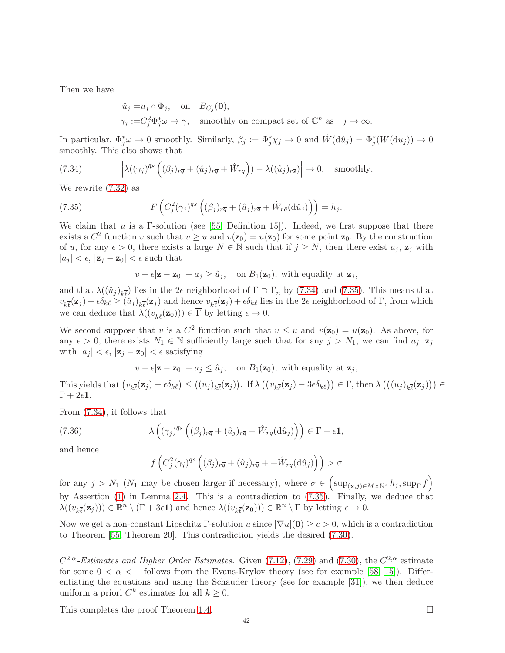Then we have

$$
\hat{u}_j = u_j \circ \Phi_j, \text{ on } B_{C_j}(\mathbf{0}),
$$
  

$$
\gamma_j := C_j^2 \Phi_j^* \omega \to \gamma, \text{ smoothly on compact set of } \mathbb{C}^n \text{ as } j \to \infty.
$$

In particular,  $\Phi_j^* \omega \to 0$  smoothly. Similarly,  $\beta_j := \Phi_j^* \chi_j \to 0$  and  $\hat{W}(\hat{du}_j) = \Phi_j^* (W(du_j)) \to 0$ smoothly. This also shows that

<span id="page-41-0"></span>(7.34) 
$$
\left| \lambda((\gamma_j)^{\bar{q}_s} \left( (\beta_j)_{r\bar{q}} + (\hat{u}_j)_{r\bar{q}} + \hat{W}_{r\bar{q}} \right) - \lambda((\hat{u}_j)_{r\bar{s}}) \right| \to 0, \text{ smoothly.}
$$

We rewrite [\(7.32\)](#page-40-1) as

(7.35) 
$$
F\left(C_j^2(\gamma_j)^{\bar{q}s}\left((\beta_j)_{r\overline{q}}+(\hat{u}_j)_{r\overline{q}}+\hat{W}_{r\bar{q}}(\mathrm{d}\hat{u}_j)\right)\right)=h_j.
$$

We claim that u is a  $\Gamma$ -solution (see [\[55,](#page-44-10) Definition 15]). Indeed, we first suppose that there exists a  $C^2$  function v such that  $v \ge u$  and  $v(\mathbf{z}_0) = u(\mathbf{z}_0)$  for some point  $\mathbf{z}_0$ . By the construction of u, for any  $\epsilon > 0$ , there exists a large  $N \in \mathbb{N}$  such that if  $j \ge N$ , then there exist  $a_j$ ,  $\mathbf{z}_j$  with  $|a_j| < \epsilon$ ,  $|\mathbf{z}_j - \mathbf{z}_0| < \epsilon$  such that

<span id="page-41-1"></span>
$$
v + \epsilon |\mathbf{z} - \mathbf{z}_0| + a_j \ge \hat{u}_j, \quad \text{on } B_1(\mathbf{z}_0), \text{ with equality at } \mathbf{z}_j,
$$

and that  $\lambda((\hat{u}_j)_{k\overline{\ell}})$  lies in the 2 $\epsilon$  neighborhood of  $\Gamma \supset \Gamma_n$  by [\(7.34\)](#page-41-0) and [\(7.35\)](#page-41-1). This means that  $v_{k\bar{\ell}}(\mathbf{z}_j) + \epsilon \delta_{k\ell} \geq (\hat{u}_j)_{k\bar{\ell}}(\mathbf{z}_j)$  and hence  $v_{k\bar{\ell}}(\mathbf{z}_j) + \epsilon \delta_{k\ell}$  lies in the 2 $\epsilon$  neighborhood of  $\Gamma$ , from which we can deduce that  $\lambda((v_{k\bar{\ell}}(\mathbf{z}_0))) \in \Gamma$  by letting  $\epsilon \to 0$ .

We second suppose that v is a  $C^2$  function such that  $v \leq u$  and  $v(\mathbf{z}_0) = u(\mathbf{z}_0)$ . As above, for any  $\epsilon > 0$ , there exists  $N_1 \in \mathbb{N}$  sufficiently large such that for any  $j > N_1$ , we can find  $a_j$ ,  $\mathbf{z}_j$ with  $|a_j| < \epsilon$ ,  $|\mathbf{z}_j - \mathbf{z}_0| < \epsilon$  satisfying

 $v - \epsilon |\mathbf{z} - \mathbf{z}_0| + a_j \leq \hat{u}_j$ , on  $B_1(\mathbf{z}_0)$ , with equality at  $\mathbf{z}_j$ ,

This yields that  $(v_{k\bar{\ell}}(\mathbf{z}_j) - \epsilon \delta_{k\ell}) \le ((u_j)_{k\bar{\ell}}(\mathbf{z}_j))$ . If  $\lambda ((v_{k\bar{\ell}}(\mathbf{z}_j) - 3\epsilon \delta_{k\ell})) \in \Gamma$ , then  $\lambda ((u_j)_{k\bar{\ell}}(\mathbf{z}_j)) \in \Gamma$  $\Gamma + 2\epsilon$ 1.

From [\(7.34\)](#page-41-0), it follows that

(7.36) 
$$
\lambda \left( (\gamma_j)^{\bar{q}_s} \left( (\beta_j)_{r\overline{q}} + (\hat{u}_j)_{r\overline{q}} + \hat{W}_{r\overline{q}} (\mathrm{d}\hat{u}_j) \right) \right) \in \Gamma + \epsilon \mathbf{1},
$$

and hence

$$
f\left(C_j^2(\gamma_j)^{\bar{q}s}\left((\beta_j)_{r\overline{q}}+(\hat{u}_j)_{r\overline{q}}+ +\hat{W}_{r\overline{q}}(\mathrm{d}\hat{u}_j)\right)\right) > \sigma
$$

for any  $j > N_1$  ( $N_1$  may be chosen larger if necessary), where  $\sigma \in \left(\sup_{(\mathbf{x},j)\in M\times \mathbb{N}^*} h_j, \sup_{\Gamma} f\right)$ by Assertion [\(1\)](#page-11-4) in Lemma [2.4.](#page-11-2) This is a contradiction to [\(7.35\)](#page-41-1). Finally, we deduce that  $\lambda((v_{k\overline{\ell}}(\mathbf{z}_j))) \in \mathbb{R}^n \setminus (\Gamma + 3\epsilon \mathbf{1})$  and hence  $\lambda((v_{k\overline{\ell}}(\mathbf{z}_0))) \in \mathbb{R}^n \setminus \Gamma$  by letting  $\epsilon \to 0$ .

Now we get a non-constant Lipschitz  $\Gamma$ -solution u since  $|\nabla u|(0) \geq c > 0$ , which is a contradiction to Theorem [\[55,](#page-44-10) Theorem 20]. This contradiction yields the desired [\(7.30\)](#page-40-0).

 $C^{2,\alpha}$ -Estimates and Higher Order Estimates. Given [\(7.12\)](#page-38-8), [\(7.29\)](#page-39-9) and [\(7.30\)](#page-40-0), the  $C^{2,\alpha}$  estimate for some  $0 < \alpha < 1$  follows from the Evans-Krylov theory (see for example [\[58,](#page-44-15) [15\]](#page-42-24)). Differentiating the equations and using the Schauder theory (see for example [\[31\]](#page-43-21)), we then deduce uniform a priori  $C^k$  estimates for all  $k \geq 0$ .

This completes the proof Theorem [1.4.](#page-6-1)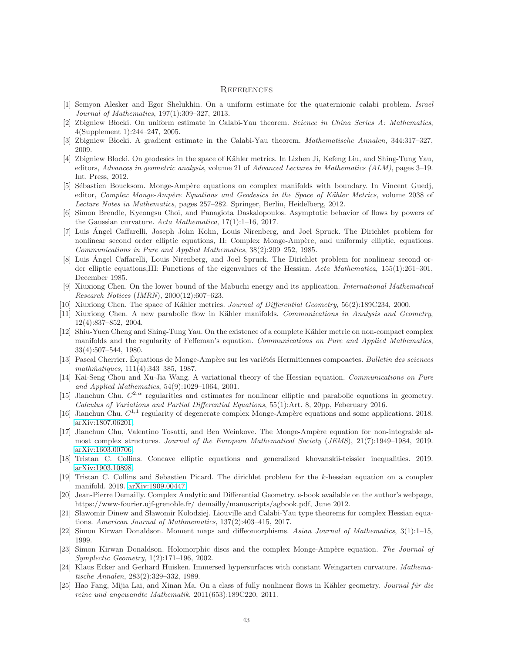#### **REFERENCES**

- <span id="page-42-23"></span><span id="page-42-22"></span>[1] Semyon Alesker and Egor Shelukhin. On a uniform estimate for the quaternionic calabi problem. Israel Journal of Mathematics, 197(1):309–327, 2013.
- <span id="page-42-7"></span>[2] Zbigniew Blocki. On uniform estimate in Calabi-Yau theorem. Science in China Series A: Mathematics, 4(Supplement 1):244–247, 2005.
- <span id="page-42-8"></span>[3] Zbigniew Blocki. A gradient estimate in the Calabi-Yau theorem. Mathematische Annalen, 344:317–327, 2009.
- [4] Zbigniew Błocki. On geodesics in the space of Kähler metrics. In Lizhen Ji, Kefeng Liu, and Shing-Tung Yau, editors, Advances in geometric analysis, volume 21 of Advanced Lectures in Mathematics (ALM), pages 3–19. Int. Press, 2012.
- <span id="page-42-3"></span>[5] Sébastien Boucksom. Monge-Ampère equations on complex manifolds with boundary. In Vincent Guedj, editor, Complex Monge-Ampère Equations and Geodesics in the Space of Kähler Metrics, volume 2038 of Lecture Notes in Mathematics, pages 257–282. Springer, Berlin, Heidelberg, 2012.
- <span id="page-42-21"></span>[6] Simon Brendle, Kyeongsu Choi, and Panagiota Daskalopoulos. Asymptotic behavior of flows by powers of the Gaussian curvature. Acta Mathematica,  $17(1):1-16$ ,  $2017$ .
- <span id="page-42-4"></span>[7] Luis Ángel Caffarelli, Joseph John Kohn, Louis Nirenberg, and Joel Spruck. The Dirichlet problem for nonlinear second order elliptic equations, II: Complex Monge-Ampère, and uniformly elliptic, equations. Communications in Pure and Applied Mathematics, 38(2):209–252, 1985.
- <span id="page-42-0"></span>[8] Luis Ángel Caffarelli, Louis Nirenberg, and Joel Spruck. The Dirichlet problem for nonlinear second order elliptic equations,III: Functions of the eigenvalues of the Hessian. Acta Mathematica, 155(1):261–301, December 1985.
- <span id="page-42-12"></span>[9] Xiuxiong Chen. On the lower bound of the Mabuchi energy and its application. International Mathematical Research Notices (IMRN), 2000(12):607–623.
- <span id="page-42-13"></span><span id="page-42-5"></span>[10] Xiuxiong Chen. The space of Kähler metrics. Journal of Differential Geometry, 56(2):189C234, 2000.
- [11] Xiuxiong Chen. A new parabolic flow in Kähler manifolds. Communications in Analysis and Geometry, 12(4):837–852, 2004.
- <span id="page-42-18"></span>[12] Shiu-Yuen Cheng and Shing-Tung Yau. On the existence of a complete Kähler metric on non-compact complex manifolds and the regularity of Feffeman's equation. Communications on Pure and Applied Mathematics, 33(4):507–544, 1980.
- <span id="page-42-10"></span>[13] Pascal Cherrier. Équations de Monge-Ampère sur les variétés Hermitiennes compoactes. Bulletin des sciences mathmatiques, 111(4):343-385, 1987.
- <span id="page-42-1"></span>[14] Kai-Seng Chou and Xu-Jia Wang. A variational theory of the Hessian equation. Communications on Pure and Applied Mathematics, 54(9):1029–1064, 2001.
- <span id="page-42-24"></span>[15] Jianchun Chu.  $C^{2,\alpha}$  regularities and estimates for nonlinear elliptic and parabolic equations in geometry. Calculus of Variations and Partial Differential Equations, 55(1):Art. 8, 20pp, Feberuary 2016.
- <span id="page-42-20"></span><span id="page-42-16"></span>[16] Jianchun Chu.  $C^{1,1}$  regularity of degenerate complex Monge-Ampère equations and some applications. 2018. [arXiv:1807.06201.](http://arxiv.org/abs/1807.06201)
- [17] Jianchun Chu, Valentino Tosatti, and Ben Weinkove. The Monge-Ampère equation for non-integrable almost complex structures. Journal of the European Mathematical Society (JEMS), 21(7):1949–1984, 2019. [arXiv:1603.00706.](http://arxiv.org/abs/1603.00706)
- <span id="page-42-15"></span><span id="page-42-2"></span>[18] Tristan C. Collins. Concave elliptic equations and generalized khovanskii-teissier inequalities. 2019. [arXiv:1903.10898.](http://arxiv.org/abs/1903.10898)
- <span id="page-42-17"></span>[19] Tristan C. Collins and Sebastien Picard. The dirichlet problem for the k-hessian equation on a complex manifold. 2019. [arXiv:1909.00447.](http://arxiv.org/abs/1909.00447)
- [20] Jean-Pierre Demailly. Complex Analytic and Differential Geometry. e-book available on the author's webpage, https://www-fourier.ujf-grenoble.fr/ demailly/manuscripts/agbook.pdf, June 2012.
- <span id="page-42-9"></span>[21] Sławomir Dinew and Sławomir Kołodziej. Liouville and Calabi-Yau type theorems for complex Hessian equations. American Journal of Mathmematics, 137(2):403–415, 2017.
- <span id="page-42-11"></span><span id="page-42-6"></span>[22] Simon Kirwan Donaldson. Moment maps and diffeomorphisms. Asian Journal of Mathematics, 3(1):1–15, 1999.
- [23] Simon Kirwan Donaldson. Holomorphic discs and the complex Monge-Ampère equation. The Journal of Symplectic Geometry, 1(2):171–196, 2002.
- <span id="page-42-19"></span>[24] Klaus Ecker and Gerhard Huisken. Immersed hypersurfaces with constant Weingarten curvature. Mathematische Annalen, 283(2):329–332, 1989.
- <span id="page-42-14"></span>[25] Hao Fang, Mijia Lai, and Xinan Ma. On a class of fully nonlinear flows in Kähler geometry. Journal für die reine und angewandte Mathematik, 2011(653):189C220, 2011.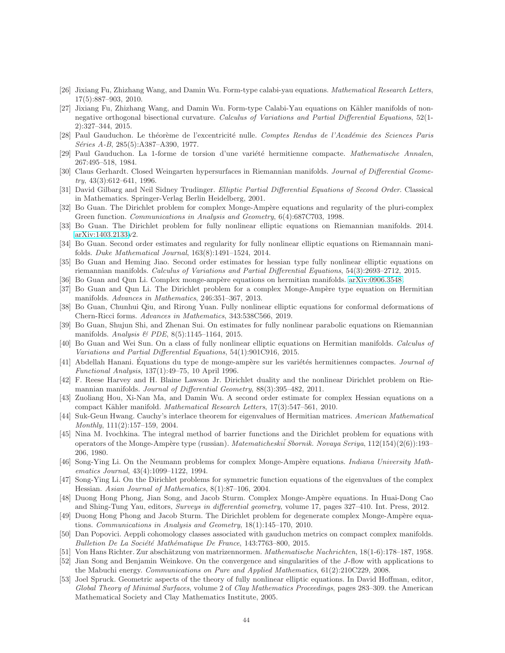- <span id="page-43-16"></span>[26] Jixiang Fu, Zhizhang Wang, and Damin Wu. Form-type calabi-yau equations. Mathematical Research Letters, 17(5):887–903, 2010.
- <span id="page-43-17"></span>[27] Jixiang Fu, Zhizhang Wang, and Damin Wu. Form-type Calabi-Yau equations on Kähler manifolds of nonnegative orthogonal bisectional curvature. Calculus of Variations and Partial Differential Equations, 52(1-2):327–344, 2015.
- <span id="page-43-19"></span>[28] Paul Gauduchon. Le théorème de l'excentricité nulle. Comptes Rendus de l'Académie des Sciences Paris Séries A-B, 285(5):A387-A390, 1977.
- <span id="page-43-24"></span><span id="page-43-18"></span>[29] Paul Gauduchon. La 1-forme de torsion d'une variété hermitienne compacte. Mathematische Annalen, 267:495–518, 1984.
- [30] Claus Gerhardt. Closed Weingarten hypersurfaces in Riemannian manifolds. Journal of Differential Geome $try, 43(3):612-641, 1996.$
- <span id="page-43-21"></span><span id="page-43-1"></span>[31] David Gilbarg and Neil Sidney Trudinger. Elliptic Partial Differential Equations of Second Order. Classical in Mathematics. Springer-Verlag Berlin Heidelberg, 2001.
- [32] Bo Guan. The Dirichlet problem for complex Monge-Ampère equations and regularity of the pluri-complex Green function. Communications in Analysis and Geometry, 6(4):687C703, 1998.
- <span id="page-43-4"></span><span id="page-43-2"></span>[33] Bo Guan. The Dirichlet problem for fully nonlinear elliptic equations on Riemannian manifolds. 2014. [arXiv:1403.2133v](http://arxiv.org/abs/1403.2133)2.
- [34] Bo Guan. Second order estimates and regularity for fully nonlinear elliptic equations on Riemannain manifolds. Duke Mathematical Journal, 163(8):1491–1524, 2014.
- <span id="page-43-8"></span>[35] Bo Guan and Heming Jiao. Second order estimates for hessian type fully nonlinear elliptic equations on riemannian manifolds. Calculus of Variations and Partial Differential Equations, 54(3):2693–2712, 2015.
- <span id="page-43-13"></span><span id="page-43-3"></span>[36] Bo Guan and Qun Li. Complex monge-ampère equations on hermitian manifolds. [arXiv:0906.3548.](http://arxiv.org/abs/0906.3548)
- [37] Bo Guan and Qun Li. The Dirichlet problem for a complex Monge-Ampère type equation on Hermitian manifolds. Advances in Mathematics, 246:351–367, 2013.
- <span id="page-43-22"></span>[38] Bo Guan, Chunhui Qiu, and Rirong Yuan. Fully nonlinear elliptic equations for conformal deformations of Chern-Ricci forms. Advances in Mathematics, 343:538C566, 2019.
- <span id="page-43-27"></span>[39] Bo Guan, Shujun Shi, and Zhenan Sui. On estimates for fully nonlinear parabolic equations on Riemannian manifolds. Analysis & PDE, 8(5):1145–1164, 2015.
- <span id="page-43-15"></span>[40] Bo Guan and Wei Sun. On a class of fully nonlinear elliptic equations on Hermitian manifolds. Calculus of Variations and Partial Differential Equations, 54(1):901C916, 2015.
- <span id="page-43-12"></span>[41] Abdellah Hanani. Équations du type de monge-ampère sur les variétés hermitiennes compactes. Journal of Functional Analysis, 137(1):49–75, 10 April 1996.
- <span id="page-43-9"></span>[42] F. Reese Harvey and H. Blaine Lawson Jr. Dirichlet duality and the nonlinear Dirichlet problem on Riemannian manifolds. Journal of Differential Geometry, 88(3):395–482, 2011.
- <span id="page-43-11"></span>[43] Zuoliang Hou, Xi-Nan Ma, and Damin Wu. A second order estimate for complex Hessian equations on a compact Kähler manifold. *Mathematical Research Letters*, 17(3):547–561, 2010.
- <span id="page-43-26"></span>[44] Suk-Geun Hwang. Cauchy's interlace theorem for eigenvalues of Hermitian matrices. American Mathematical Monthly, 111(2):157–159, 2004.
- <span id="page-43-0"></span>[45] Nina M. Ivochkina. The integral method of barrier functions and the Dirichlet problem for equations with operators of the Monge-Ampère type (russian). Matematicheski $\tilde{i}$  Sbornik. Novaya Seriya, 112(154)(2(6)):193– 206, 1980.
- <span id="page-43-23"></span>[46] Song-Ying Li. On the Neumann problems for complex Monge-Ampère equations. Indiana University Mathematics Journal, 43(4):1099–1122, 1994.
- <span id="page-43-5"></span>[47] Song-Ying Li. On the Dirichlet problems for symmetric function equations of the eigenvalues of the complex Hessian. Asian Journal of Mathematics, 8(1):87–106, 2004.
- <span id="page-43-6"></span>[48] Duong Hong Phong, Jian Song, and Jacob Sturm. Complex Monge-Ampère equations. In Huai-Dong Cao and Shing-Tung Yau, editors, Surveys in differential geometry, volume 17, pages 327–410. Int. Press, 2012.
- <span id="page-43-10"></span>[49] Duong Hong Phong and Jacob Sturm. The Dirichlet problem for degenerate complex Monge-Ampère equations. Communications in Analysis and Geometry, 18(1):145–170, 2010.
- <span id="page-43-20"></span>[50] Dan Popovici. Aeppli cohomology classes associated with gauduchon metrics on compact complex manifolds. Bulletion De La Société Mathématique De France, 143:7763-800, 2015.
- <span id="page-43-25"></span><span id="page-43-14"></span>[51] Von Hans Richter. Zur abschätzung von matrizennormen. Mathematische Nachrichten, 18(1-6):178–187, 1958.
- [52] Jian Song and Benjamin Weinkove. On the convergence and singularities of the J-flow with applications to the Mabuchi energy. Communications on Pure and Applied Mathematics, 61(2):210C229, 2008.
- <span id="page-43-7"></span>[53] Joel Spruck. Geometric aspects of the theory of fully nonlinear elliptic equations. In David Hoffman, editor, Global Theory of Minimal Surfaces, volume 2 of Clay Mathematics Proceedings, pages 283–309. the American Mathematical Society and Clay Mathematics Institute, 2005.